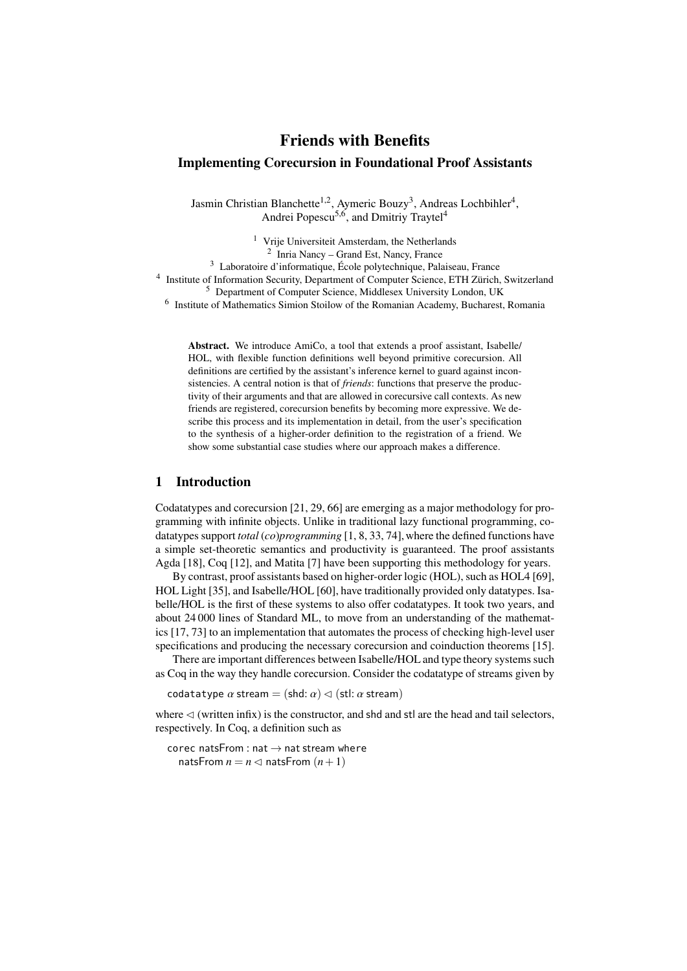# Friends with Benefits Implementing Corecursion in Foundational Proof Assistants

Jasmin Christian Blanchette<sup>1,2</sup>, Aymeric Bouzy<sup>3</sup>, Andreas Lochbihler<sup>4</sup>, Andrei Popescu<sup>5,6</sup>, and Dmitriy Traytel<sup>4</sup>

<sup>1</sup> Vrije Universiteit Amsterdam, the Netherlands 2 Inria Nancy – Grand Est, Nancy, France <sup>3</sup> Laboratoire d'informatique, École polytechnique, Palaiseau, France <sup>4</sup> Institute of Information Security, Department of Computer Science, ETH Zürich, Switzerland <sup>5</sup> Department of Computer Science, Middlesex University London, UK <sup>6</sup> Institute of Mathematics Simion Stoilow of the Romanian Academy, Bucharest, Romania

> Abstract. We introduce AmiCo, a tool that extends a proof assistant, Isabelle/ HOL, with flexible function definitions well beyond primitive corecursion. All definitions are certified by the assistant's inference kernel to guard against inconsistencies. A central notion is that of *friends*: functions that preserve the productivity of their arguments and that are allowed in corecursive call contexts. As new friends are registered, corecursion benefits by becoming more expressive. We describe this process and its implementation in detail, from the user's specification to the synthesis of a higher-order definition to the registration of a friend. We show some substantial case studies where our approach makes a difference.

# 1 Introduction

Codatatypes and corecursion [\[21,](#page-36-0) [29,](#page-37-0) [66\]](#page-38-0) are emerging as a major methodology for programming with infinite objects. Unlike in traditional lazy functional programming, codatatypes support *total* (*co*)*programming* [\[1,](#page-35-0) [8,](#page-36-1) [33,](#page-37-1) [74\]](#page-39-0), where the defined functions have a simple set-theoretic semantics and productivity is guaranteed. The proof assistants Agda [\[18\]](#page-36-2), Coq [\[12\]](#page-36-3), and Matita [\[7\]](#page-36-4) have been supporting this methodology for years.

By contrast, proof assistants based on higher-order logic (HOL), such as HOL4 [\[69\]](#page-38-1), HOL Light [\[35\]](#page-37-2), and Isabelle/HOL [\[60\]](#page-38-2), have traditionally provided only datatypes. Isabelle/HOL is the first of these systems to also offer codatatypes. It took two years, and about 24 000 lines of Standard ML, to move from an understanding of the mathematics [\[17,](#page-36-5) [73\]](#page-39-1) to an implementation that automates the process of checking high-level user specifications and producing the necessary corecursion and coinduction theorems [\[15\]](#page-36-6).

There are important differences between Isabelle/HOL and type theory systems such as Coq in the way they handle corecursion. Consider the codatatype of streams given by

codatatype  $\alpha$  stream = (shd:  $\alpha$ )  $\lhd$  (stl:  $\alpha$  stream)

where  $\leq$  (written infix) is the constructor, and shd and stl are the head and tail selectors, respectively. In Coq, a definition such as

corec natsFrom : nat  $\rightarrow$  nat stream where natsFrom  $n = n \triangleleft$  natsFrom  $(n+1)$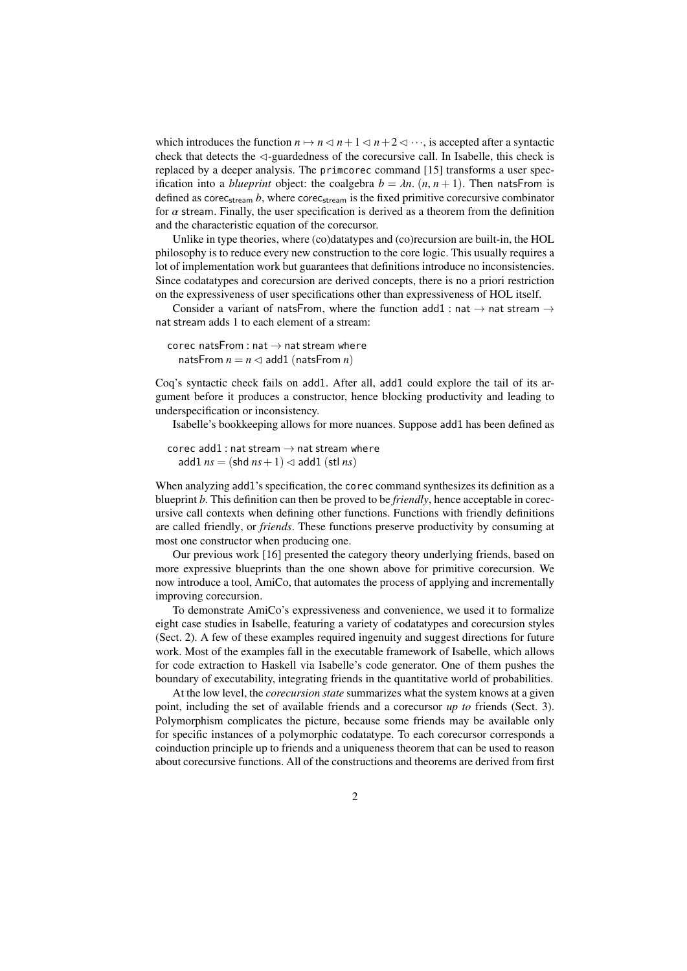which introduces the function  $n \mapsto n \leq n+1 \leq n+2 \leq \cdots$ , is accepted after a syntactic check that detects the  $\triangleleft$ -guardedness of the corecursive call. In Isabelle, this check is replaced by a deeper analysis. The primcorec command [\[15\]](#page-36-6) transforms a user specification into a *blueprint* object: the coalgebra  $b = \lambda n$ .  $(n, n + 1)$ . Then natsFrom is defined as corec<sub>stream</sub>  $b$ , where corec<sub>stream</sub> is the fixed primitive corecursive combinator for  $\alpha$  stream. Finally, the user specification is derived as a theorem from the definition and the characteristic equation of the corecursor.

Unlike in type theories, where (co)datatypes and (co)recursion are built-in, the HOL philosophy is to reduce every new construction to the core logic. This usually requires a lot of implementation work but guarantees that definitions introduce no inconsistencies. Since codatatypes and corecursion are derived concepts, there is no a priori restriction on the expressiveness of user specifications other than expressiveness of HOL itself.

Consider a variant of natsFrom, where the function add1 : nat  $\rightarrow$  nat stream  $\rightarrow$ nat stream adds 1 to each element of a stream:

corec natsFrom : nat  $\rightarrow$  nat stream where natsFrom  $n = n \leq 1$  add1 (natsFrom *n*)

Coq's syntactic check fails on add1. After all, add1 could explore the tail of its argument before it produces a constructor, hence blocking productivity and leading to underspecification or inconsistency.

Isabelle's bookkeeping allows for more nuances. Suppose add1 has been defined as

corec add1 : nat stream  $\rightarrow$  nat stream where add1  $ns = (shd ns + 1) \leq add1 (stl ns)$ 

When analyzing add1's specification, the corec command synthesizes its definition as a blueprint *b*. This definition can then be proved to be *friendly*, hence acceptable in corecursive call contexts when defining other functions. Functions with friendly definitions are called friendly, or *friends*. These functions preserve productivity by consuming at most one constructor when producing one.

Our previous work [\[16\]](#page-36-7) presented the category theory underlying friends, based on more expressive blueprints than the one shown above for primitive corecursion. We now introduce a tool, AmiCo, that automates the process of applying and incrementally improving corecursion.

To demonstrate AmiCo's expressiveness and convenience, we used it to formalize eight case studies in Isabelle, featuring a variety of codatatypes and corecursion styles (Sect. [2\)](#page-3-0). A few of these examples required ingenuity and suggest directions for future work. Most of the examples fall in the executable framework of Isabelle, which allows for code extraction to Haskell via Isabelle's code generator. One of them pushes the boundary of executability, integrating friends in the quantitative world of probabilities.

At the low level, the *corecursion state* summarizes what the system knows at a given point, including the set of available friends and a corecursor *up to* friends (Sect. [3\)](#page-13-0). Polymorphism complicates the picture, because some friends may be available only for specific instances of a polymorphic codatatype. To each corecursor corresponds a coinduction principle up to friends and a uniqueness theorem that can be used to reason about corecursive functions. All of the constructions and theorems are derived from first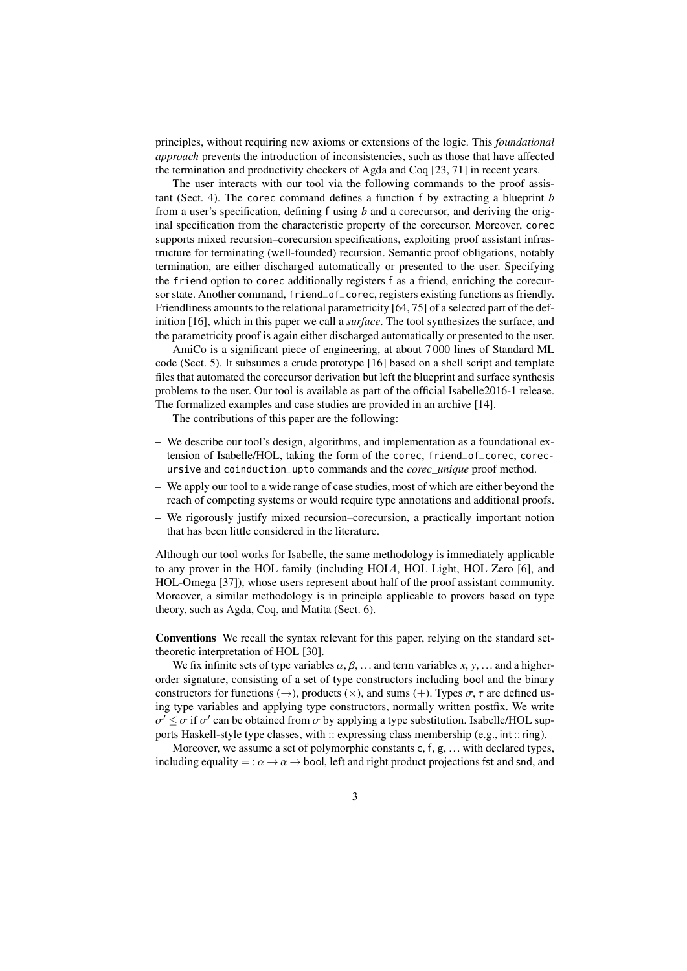principles, without requiring new axioms or extensions of the logic. This *foundational approach* prevents the introduction of inconsistencies, such as those that have affected the termination and productivity checkers of Agda and Coq [\[23,](#page-36-8) [71\]](#page-38-3) in recent years.

The user interacts with our tool via the following commands to the proof assistant (Sect. [4\)](#page-19-0). The corec command defines a function f by extracting a blueprint *b* from a user's specification, defining f using *b* and a corecursor, and deriving the original specification from the characteristic property of the corecursor. Moreover, corec supports mixed recursion–corecursion specifications, exploiting proof assistant infrastructure for terminating (well-founded) recursion. Semantic proof obligations, notably termination, are either discharged automatically or presented to the user. Specifying the friend option to corec additionally registers f as a friend, enriching the corecursor state. Another command, friend\_of\_corec, registers existing functions as friendly. Friendliness amounts to the relational parametricity [\[64,](#page-38-4) [75\]](#page-39-2) of a selected part of the definition [\[16\]](#page-36-7), which in this paper we call a *surface*. The tool synthesizes the surface, and the parametricity proof is again either discharged automatically or presented to the user.

AmiCo is a significant piece of engineering, at about 7 000 lines of Standard ML code (Sect. [5\)](#page-31-0). It subsumes a crude prototype [\[16\]](#page-36-7) based on a shell script and template files that automated the corecursor derivation but left the blueprint and surface synthesis problems to the user. Our tool is available as part of the official Isabelle2016-1 release. The formalized examples and case studies are provided in an archive [\[14\]](#page-36-9).

The contributions of this paper are the following:

- We describe our tool's design, algorithms, and implementation as a foundational extension of Isabelle/HOL, taking the form of the corec, friend\_of\_corec, corecursive and coinduction\_upto commands and the *corec\_unique* proof method.
- We apply our tool to a wide range of case studies, most of which are either beyond the reach of competing systems or would require type annotations and additional proofs.
- We rigorously justify mixed recursion–corecursion, a practically important notion that has been little considered in the literature.

Although our tool works for Isabelle, the same methodology is immediately applicable to any prover in the HOL family (including HOL4, HOL Light, HOL Zero [\[6\]](#page-35-1), and HOL-Omega [\[37\]](#page-37-3)), whose users represent about half of the proof assistant community. Moreover, a similar methodology is in principle applicable to provers based on type theory, such as Agda, Coq, and Matita (Sect. [6\)](#page-32-0).

Conventions We recall the syntax relevant for this paper, relying on the standard settheoretic interpretation of HOL [\[30\]](#page-37-4).

We fix infinite sets of type variables  $\alpha, \beta, \ldots$  and term variables  $x, y, \ldots$  and a higherorder signature, consisting of a set of type constructors including bool and the binary constructors for functions ( $\rightarrow$ ), products ( $\times$ ), and sums (+). Types  $\sigma$ ,  $\tau$  are defined using type variables and applying type constructors, normally written postfix. We write σ ports Haskell-style type classes, with :: expressing class membership (e.g., int::ring).  $\alpha' \leq \sigma$  if  $\sigma'$  can be obtained from  $\sigma$  by applying a type substitution. Isabelle/HOL sup-<br>orts Haskell-style type classes, with :: expressing class membership (e.g., int.:: ring)

Moreover, we assume a set of polymorphic constants <sup>c</sup>, <sup>f</sup>, <sup>g</sup>, ... with declared types, including equality = :  $\alpha \rightarrow \alpha \rightarrow$  bool, left and right product projections fst and snd, and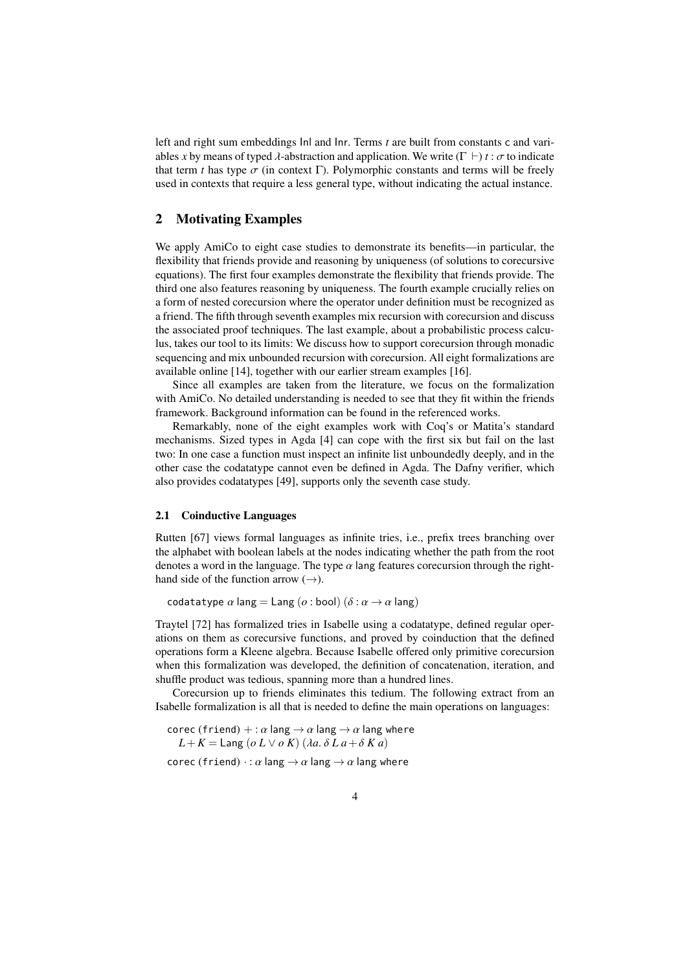left and right sum embeddings Inl and Inr. Terms *t* are built from constants c and variables *x* by means of typed  $\lambda$ -abstraction and application. We write ( $\Gamma \vdash$ )  $t : \sigma$  to indicate that term *t* has type  $\sigma$  (in context Γ). Polymorphic constants and terms will be freely used in contexts that require a less general type, without indicating the actual instance.

# <span id="page-3-0"></span>2 Motivating Examples

We apply AmiCo to eight case studies to demonstrate its benefits—in particular, the flexibility that friends provide and reasoning by uniqueness (of solutions to corecursive equations). The first four examples demonstrate the flexibility that friends provide. The third one also features reasoning by uniqueness. The fourth example crucially relies on a form of nested corecursion where the operator under definition must be recognized as a friend. The fifth through seventh examples mix recursion with corecursion and discuss the associated proof techniques. The last example, about a probabilistic process calculus, takes our tool to its limits: We discuss how to support corecursion through monadic sequencing and mix unbounded recursion with corecursion. All eight formalizations are available online [\[14\]](#page-36-9), together with our earlier stream examples [\[16\]](#page-36-7).

Since all examples are taken from the literature, we focus on the formalization with AmiCo. No detailed understanding is needed to see that they fit within the friends framework. Background information can be found in the referenced works.

Remarkably, none of the eight examples work with Coq's or Matita's standard mechanisms. Sized types in Agda [\[4\]](#page-35-2) can cope with the first six but fail on the last two: In one case a function must inspect an infinite list unboundedly deeply, and in the other case the codatatype cannot even be defined in Agda. The Dafny verifier, which also provides codatatypes [\[49\]](#page-37-5), supports only the seventh case study.

### <span id="page-3-1"></span>2.1 Coinductive Languages

Rutten [\[67\]](#page-38-5) views formal languages as infinite tries, i.e., prefix trees branching over the alphabet with boolean labels at the nodes indicating whether the path from the root denotes a word in the language. The type  $\alpha$  lang features corecursion through the righthand side of the function arrow  $(\rightarrow)$ .

codatatype  $\alpha$  lang = Lang ( $\alpha$  : bool) ( $\delta$  :  $\alpha \rightarrow \alpha$  lang)

Traytel [\[72\]](#page-38-6) has formalized tries in Isabelle using a codatatype, defined regular operations on them as corecursive functions, and proved by coinduction that the defined operations form a Kleene algebra. Because Isabelle offered only primitive corecursion when this formalization was developed, the definition of concatenation, iteration, and shuffle product was tedious, spanning more than a hundred lines.

Corecursion up to friends eliminates this tedium. The following extract from an Isabelle formalization is all that is needed to define the main operations on languages:

```
corec (friend) + : \alpha lang \rightarrow \alpha lang \rightarrow \alpha lang where
   L + K = Lang (o L \vee o K) (\lambda a. \delta L a + \delta K a)
```
corec (friend)  $\cdot$ :  $\alpha$  lang  $\rightarrow$   $\alpha$  lang  $\rightarrow$   $\alpha$  lang where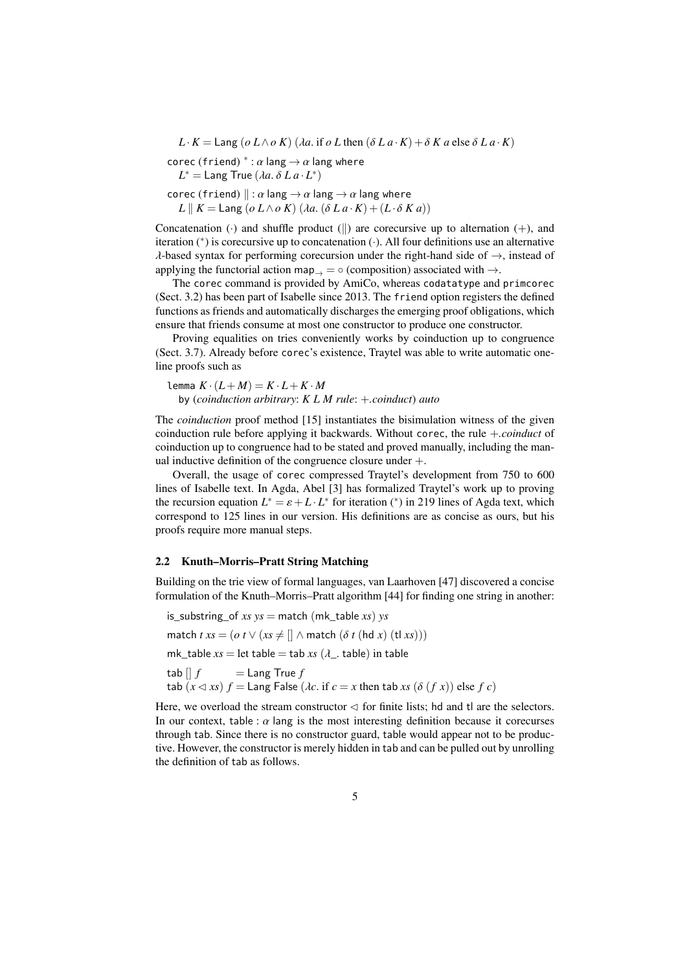$L \cdot K =$  Lang ( $o \ L \wedge o \ K$ ) ( $\lambda a$ . if  $o \ L$  then ( $\delta L a \cdot K$ ) +  $\delta K a$  else  $\delta L a \cdot K$ )

corec (friend)  $^*$ :  $\alpha$  lang  $\rightarrow \alpha$  lang where<br>  $I^* = I$  ang True ( $\lambda a, \delta I, a, I^*$ )

 $L^* =$  Lang True  $(\lambda a.\ \delta\ L\ a\cdot L^*)$ 

corec (friend)  $\parallel : \alpha \text{ lang} \rightarrow \alpha \text{ lang} \rightarrow \alpha \text{ lang where}$  $L \parallel K =$  Lang (*o*  $L \wedge o K$ ) ( $\lambda a$ . ( $\delta L a \cdot K$ ) + ( $L \cdot \delta K a$ ))

Concatenation ( $\cdot$ ) and shuffle product (||) are corecursive up to alternation (+), and iteration (<sup>∗</sup> ) is corecursive up to concatenation (·). All four definitions use an alternative  $\lambda$ -based syntax for performing corecursion under the right-hand side of  $\rightarrow$ , instead of applying the functorial action map  $\Rightarrow$   $\circ$  (composition) associated with  $\rightarrow$ .

The corec command is provided by AmiCo, whereas codatatype and primcorec (Sect. [3.2\)](#page-14-0) has been part of Isabelle since 2013. The friend option registers the defined functions as friends and automatically discharges the emerging proof obligations, which ensure that friends consume at most one constructor to produce one constructor.

Proving equalities on tries conveniently works by coinduction up to congruence (Sect. [3.7\)](#page-17-0). Already before corec's existence, Traytel was able to write automatic oneline proofs such as

lemma  $K \cdot (L + M) = K \cdot L + K \cdot M$ by (*coinduction arbitrary*: *K L M rule*: +*.coinduct*) *auto*

The *coinduction* proof method [\[15\]](#page-36-6) instantiates the bisimulation witness of the given coinduction rule before applying it backwards. Without corec, the rule +*.coinduct* of coinduction up to congruence had to be stated and proved manually, including the manual inductive definition of the congruence closure under +.

Overall, the usage of corec compressed Traytel's development from 750 to 600 lines of Isabelle text. In Agda, Abel [\[3\]](#page-35-3) has formalized Traytel's work up to proving the recursion equation  $L^* = \varepsilon + L \cdot L^*$  for iteration (\*) in 219 lines of Agda text, which<br>correspond to 125 lines in our version. His definitions are as concise as ours, but his correspond to 125 lines in our version. His definitions are as concise as ours, but his proofs require more manual steps.

## 2.2 Knuth–Morris–Pratt String Matching

Building on the trie view of formal languages, van Laarhoven [\[47\]](#page-37-6) discovered a concise formulation of the Knuth–Morris–Pratt algorithm [\[44\]](#page-37-7) for finding one string in another:

is\_substring\_of *xs ys* = match (mk\_table *xs*) *ys* match  $txs = (o t \lor (xs \neq [] \land match (\delta t (hd x) (tl xs)))$ mk\_table  $xs$  = let table = tab  $xs$  ( $\lambda$ \_. table) in table<br>tab  $\begin{bmatrix} \end{bmatrix} f$  = Lang True  $f$  $=$  Lang True  $f$ tab  $(x \triangleleft xs)$   $f =$  Lang False  $(\lambda c)$  if  $c = x$  then tab xs  $(\delta(f x))$  else  $f c$ )

Here, we overload the stream constructor  $\triangleleft$  for finite lists; hd and tl are the selectors. In our context, table :  $\alpha$  lang is the most interesting definition because it corecurses through tab. Since there is no constructor guard, table would appear not to be productive. However, the constructor is merely hidden in tab and can be pulled out by unrolling the definition of tab as follows.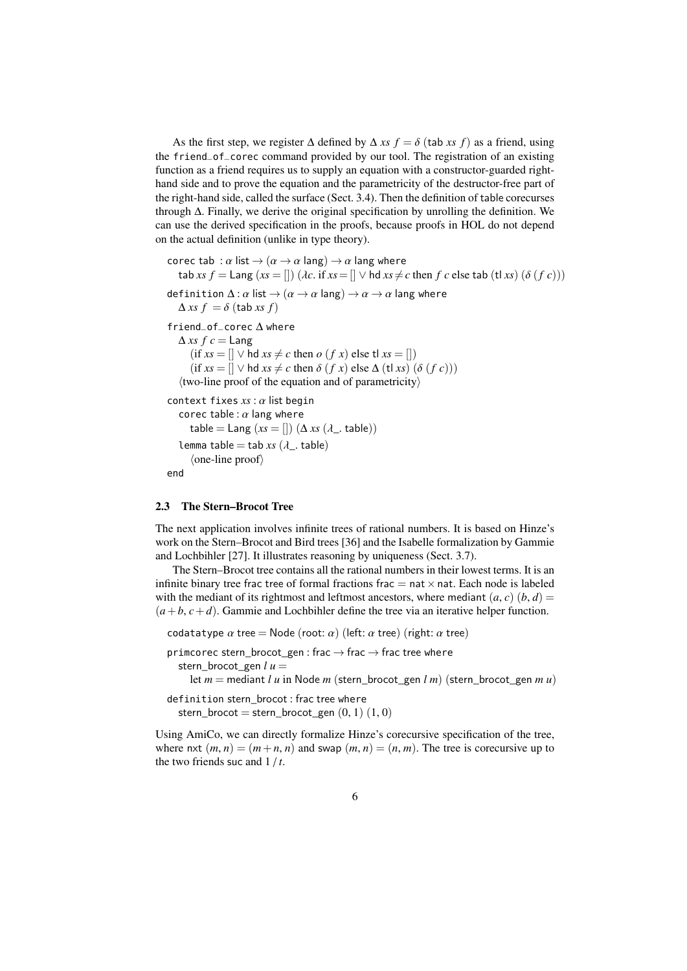As the first step, we register  $\Delta$  defined by  $\Delta$  *xs*  $f = \delta$  (tab *xs f*) as a friend, using the friend\_of\_corec command provided by our tool. The registration of an existing function as a friend requires us to supply an equation with a constructor-guarded righthand side and to prove the equation and the parametricity of the destructor-free part of the right-hand side, called the surface (Sect. [3.4\)](#page-15-0). Then the definition of table corecurses through ∆. Finally, we derive the original specification by unrolling the definition. We can use the derived specification in the proofs, because proofs in HOL do not depend on the actual definition (unlike in type theory).

```
corec tab : \alpha list \rightarrow (\alpha \rightarrow \alpha lang) \rightarrow \alpha lang where
   \text{tab } xs \ f = \text{Lang } (xs = [] ) \ (\lambda c \text{. if } xs = [] \lor \text{hd } xs \neq c \text{ then } f \ c \text{ else } \text{tab } (\text{tl } xs) \ (\delta \ (f \ c)))definition \Delta: \alpha list \rightarrow (\alpha \rightarrow \alpha \text{ lang}) \rightarrow \alpha \rightarrow \alpha lang where
   \Deltaxs f = \delta (tab xs f)
friend_of_corec ∆ where
   \Deltaxs fc = Lang
        (\text{if } xs = [] \lor \text{hd } xs \neq c \text{ then } o \ (f \ x) \ \text{else } \text{tl } xs = [])(\text{if } xs = [] \lor \text{hd } xs \neq c \text{ then } \delta (fx) \text{ else } \Delta (\text{tl } xs) (\delta (fc)))\langletwo-line proof of the equation and of parametricity\ranglecontext fixes xs : α list begin
    corec table : \alpha lang where
       table = Lang (xs = [])(\Delta xs (\lambda_-\text{. table}))lemma table = tab xs(\lambda). table)
        \langleone-line proof\rangleend
```
## 2.3 The Stern–Brocot Tree

The next application involves infinite trees of rational numbers. It is based on Hinze's work on the Stern–Brocot and Bird trees [\[36\]](#page-37-8) and the Isabelle formalization by Gammie and Lochbihler [\[27\]](#page-36-10). It illustrates reasoning by uniqueness (Sect. [3.7\)](#page-17-0).

The Stern–Brocot tree contains all the rational numbers in their lowest terms. It is an infinite binary tree frac tree of formal fractions frac  $=$  nat  $\times$  nat. Each node is labeled with the mediant of its rightmost and leftmost ancestors, where mediant  $(a, c)$   $(b, d)$  =  $(a+b, c+d)$ . Gammie and Lochbihler define the tree via an iterative helper function.

```
codatatype \alpha tree = Node (root: \alpha) (left: \alpha tree) (right: \alpha tree)
```
primcorec stern\_brocot\_gen : frac  $\rightarrow$  frac  $\rightarrow$  frac tree where stern brocot gen  $l u =$ 

let  $m =$  mediant *lu* in Node *m* (stern brocot gen *l m*) (stern brocot gen *mu*)

```
definition stern_brocot : frac tree where
  stern_brocot = stern_brocot_gen (0, 1) (1, 0)
```
Using AmiCo, we can directly formalize Hinze's corecursive specification of the tree, where nxt  $(m, n) = (m+n, n)$  and swap  $(m, n) = (n, m)$ . The tree is corecursive up to the two friends suc and 1 / *<sup>t</sup>*.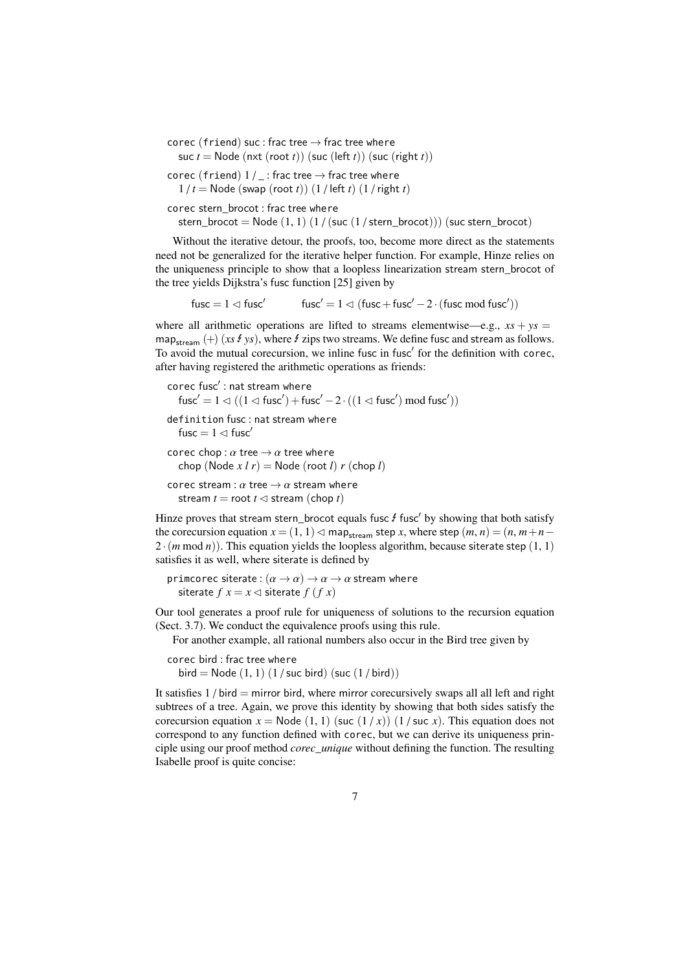corec (friend) suc : frac tree  $\rightarrow$  frac tree where suc *t* = Node (nxt (root *t*)) (suc (left *t*)) (suc (right *t*))

corec (friend)  $1/$  : frac tree  $\rightarrow$  frac tree where  $1/t =$  Node (swap (root *t*))  $(1/$  left *t*)  $(1/right t)$ 

corec stern\_brocot : frac tree where

stern\_brocot = Node  $(1, 1)$   $(1)$  (suc  $(1)$  stern\_brocot))) (suc stern\_brocot)

Without the iterative detour, the proofs, too, become more direct as the statements need not be generalized for the iterative helper function. For example, Hinze relies on the uniqueness principle to show that a loopless linearization stream stern\_brocot of the tree yields Dijkstra's fusc function [\[25\]](#page-36-11) given by

fusc =  $1 \triangleleft$  fusc<sup>'</sup>  $fusc' = 1 \triangleleft (fusc + fusc' - 2 \cdot (fusc \mod fusc'))$ 

where all arithmetic operations are lifted to streams elementwise—e.g.,  $xs + ys =$ map<sub>stream</sub>  $(+)$  (*xs f ys*), where *f* zips two streams. We define fusc and stream as follows. To avoid the mutual corecursion, we inline fusc in fusc' for the definition with corec, after having registered the arithmetic operations as friends:

```
corec fusc': nat stream where
   fusc' = 1 \lhd ((1 \lhd \text{fusc}') + \text{fusc}' - 2 \cdot ((1 \lhd \text{fusc}') \text{ mod } \text{fusc}'))definition fusc : nat stream where
   fusc = 1 \triangleleft fusc<sup>'</sup>
corec chop : \alpha tree \rightarrow \alpha tree where
   chop (Node x l r) = Node (root l) r (chop l)
corec stream : \alpha tree \rightarrow \alpha stream where
   stream t = root t \le stream (chop t)
```
Hinze proves that stream stern\_brocot equals fusc  $f$  fusc' by showing that both satisfy the corecursion equation  $x = (1, 1) \triangleleft \max_{x \in \mathbb{R}^n} x$ , where step  $(m, n) = (n, m+n-1)$  $2 \cdot (m \mod n)$ . This equation yields the loopless algorithm, because siterate step  $(1, 1)$ satisfies it as well, where siterate is defined by

```
primcorec siterate : (\alpha \rightarrow \alpha) \rightarrow \alpha \rightarrow \alpha stream where
   siterate f x = x \triangleleft siterate f (f x)
```
Our tool generates a proof rule for uniqueness of solutions to the recursion equation (Sect. [3.7\)](#page-17-0). We conduct the equivalence proofs using this rule.

For another example, all rational numbers also occur in the Bird tree given by

```
corec bird : frac tree where
  bird = Node (1, 1) (1 / suc bird) (\text{succ}(1/\text{bird}))
```
It satisfies  $1/$  bird = mirror bird, where mirror corecursively swaps all all left and right subtrees of a tree. Again, we prove this identity by showing that both sides satisfy the corecursion equation  $x = \text{Node}(1, 1)$  (suc  $(1/x)$ )  $(1/\text{succ } x)$ . This equation does not correspond to any function defined with corec, but we can derive its uniqueness principle using our proof method *corec\_unique* without defining the function. The resulting Isabelle proof is quite concise: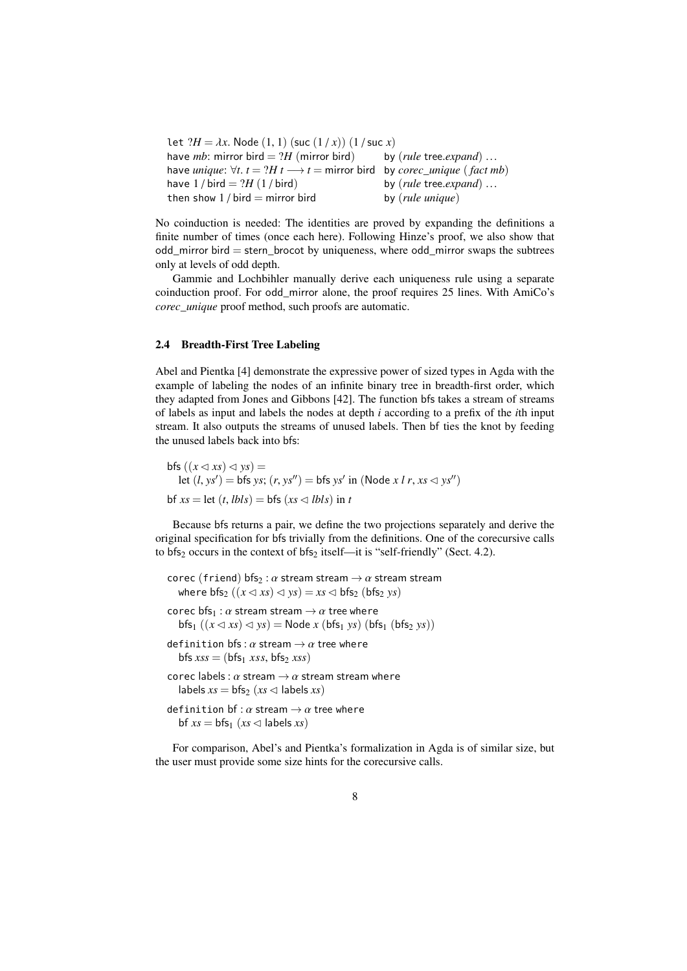```
let ?H = \lambda x. Node (1, 1) (suc (1/x)) (1/suc x)<br>have mb: mirror bird = ?H (mirror bird) by (rule tree.expand)...
have mb: mirror bird = ?H (mirror bird) by (rule tree.expand) ...<br>have unique: \forall t, t = ?H t \rightarrow t = mirror bird, by carec, unique (fact n
have unique: \forall t. t = ?H t \longrightarrow t = mirror bird by corec_unique (fact mb)<br>have 1 / bird – 2H (1 / bird) by (rule tree expand)
have 1 / \text{bird} = ?H (1 / \text{bird}) by (rule tree.expand) ...<br>then show 1 / \text{bird} = mirror bird by (rule unique)
then show 1 / \text{bird} = mirror bird
```
No coinduction is needed: The identities are proved by expanding the definitions a finite number of times (once each here). Following Hinze's proof, we also show that odd\_mirror bird = stern\_brocot by uniqueness, where odd\_mirror swaps the subtrees only at levels of odd depth.

Gammie and Lochbihler manually derive each uniqueness rule using a separate coinduction proof. For odd\_mirror alone, the proof requires 25 lines. With AmiCo's *corec\_unique* proof method, such proofs are automatic.

## <span id="page-7-0"></span>2.4 Breadth-First Tree Labeling

Abel and Pientka [\[4\]](#page-35-2) demonstrate the expressive power of sized types in Agda with the example of labeling the nodes of an infinite binary tree in breadth-first order, which they adapted from Jones and Gibbons [\[42\]](#page-37-9). The function bfs takes a stream of streams of labels as input and labels the nodes at depth *i* according to a prefix of the *i*th input stream. It also outputs the streams of unused labels. Then bf ties the knot by feeding the unused labels back into bfs:

 $\mathsf{bfs}\left((x\triangleleft xs)\triangleleft ys\right)\right)=$ let  $(l, ys') = bfs ys$ ;  $(r, ys'') = bfs ys'$  in (Node *x l r*, *xs*  $\lhd ys''$ )  $bf x s = \text{let } (t, \text{lbls}) = \text{bfs } (xs \le \text{lbls}) \text{ in } t$ 

Because bfs returns a pair, we define the two projections separately and derive the original specification for bfs trivially from the definitions. One of the corecursive calls to  $bfs_2$  occurs in the context of  $bfs_2$  itself—it is "self-friendly" (Sect. [4.2\)](#page-22-0).

```
corec (friend) bfs<sub>2</sub> : \alpha stream stream \rightarrow \alpha stream stream
   where bf_2 ((x \triangleleft xs) \triangleleft ys) = xs \triangleleft bfs_2 (bf_2 ys)
corec bfs_1 : \alpha stream stream \rightarrow \alpha tree where
   bfs_1 ((x \triangleleft xs) \triangleleft ys) = Node x (bfs_1 ys) (bfs_1 (bfs_2 ys))definition bfs: \alpha stream \rightarrow \alpha tree where
   bfs xss = (bfs_1 xss, bfs_2 xss)
corec labels : \alpha stream \rightarrow \alpha stream stream where
   labels xs = bfs_2 (xs \triangleleft labels xs)
definition bf: \alpha stream \rightarrow \alpha tree where
   bf xs = bfs_1 (xs \leq labels xs)
```
For comparison, Abel's and Pientka's formalization in Agda is of similar size, but the user must provide some size hints for the corecursive calls.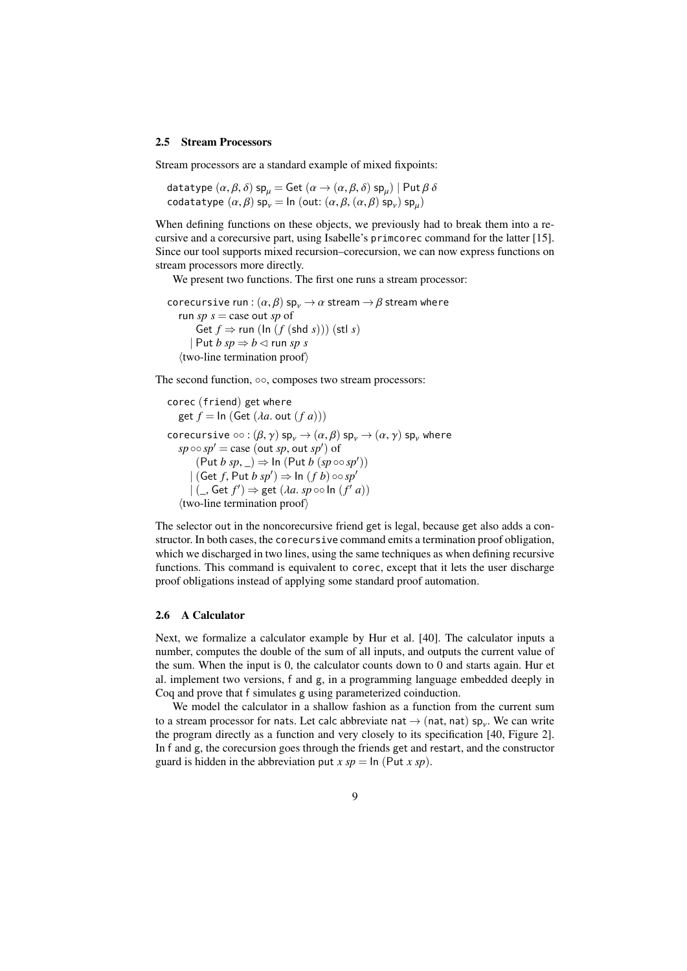#### 2.5 Stream Processors

Stream processors are a standard example of mixed fixpoints:

datatype  $(\alpha, \beta, \delta)$  sp<sub>µ</sub> = Get  $(\alpha \rightarrow (\alpha, \beta, \delta)$  sp<sub>µ</sub> $)$  | Put  $\beta \delta$ <br>codatatype  $(\alpha, \beta)$  sp = Ip (out:  $(\alpha, \beta, (\alpha, \beta)$  sp) sp) codatatype  $(\alpha, \beta)$  sp<sub>v</sub> = ln (out:  $(\alpha, \beta, (\alpha, \beta)$  sp<sub>v</sub>) sp<sub>µ</sub>)

When defining functions on these objects, we previously had to break them into a recursive and a corecursive part, using Isabelle's primcorec command for the latter [\[15\]](#page-36-6). Since our tool supports mixed recursion–corecursion, we can now express functions on stream processors more directly.

 $\overline{a}$ 

We present two functions. The first one runs a stream processor:

```
corecursive run : (\alpha, \beta) sp<sub>v</sub> \rightarrow \alpha stream \rightarrow \beta stream where
    run sp s = \text{case out } sp \text{ of }Get f \Rightarrow run (\ln(f(\text{shd } s)))) (stl s)
         \vert Put b \mathfrak{so} \Rightarrow \mathfrak{b} \triangleleft \text{ run } \mathfrak{so} \mathfrak{s}\langletwo-line termination proof\rangle
```
The second function, ∘∘, composes two stream processors:

```
corec (friend) get where
     get f = \ln (\text{Get } (\lambda a, \text{ out } (f a)))corecursive \circ \circ : (\beta, \gamma) sp<sub>v</sub> \rightarrow (\alpha, \beta) sp<sub>v</sub> \rightarrow (\alpha, \gamma) sp<sub>v</sub> where
       s p \circ s p' = \text{case} (\text{out } sp, \text{out } sp') of<br>
\left( \begin{array}{c} \text{Put } h \text{ s}p \\ \text{or } h \end{array} \right) \rightarrow \text{In} (\text{Put } h \text{ s}p)(\text{Put } b \text{ sp}, \_) \Rightarrow \ln (\text{Put } b \text{ (sp \circ o \text{ sp}'))<br>
(\text{Get } f \text{ Put } b \text{ sn}') \rightarrow \ln (f \text{ h}) \circ \text{on} \text{ sn}'| (Get f, Put b sp') \Rightarrow In (f b) \circ \circ sp'<br>| (Cet f') \Rightarrow get (lg speed n (f')
              | \left( \right), Get f' \right) \Rightarrow get (\lambda a. sp \circ \circ \ln (f' a))\langletwo-line termination proof\rangle
```
The selector out in the noncorecursive friend get is legal, because get also adds a constructor. In both cases, the corecursive command emits a termination proof obligation, which we discharged in two lines, using the same techniques as when defining recursive functions. This command is equivalent to corec, except that it lets the user discharge proof obligations instead of applying some standard proof automation.

# 2.6 A Calculator

Next, we formalize a calculator example by Hur et al. [\[40\]](#page-37-10). The calculator inputs a number, computes the double of the sum of all inputs, and outputs the current value of the sum. When the input is 0, the calculator counts down to 0 and starts again. Hur et al. implement two versions, f and g, in a programming language embedded deeply in Coq and prove that f simulates g using parameterized coinduction.

We model the calculator in a shallow fashion as a function from the current sum to a stream processor for nats. Let calc abbreviate nat  $\rightarrow$  (nat, nat) sp<sub>y</sub>. We can write<br>the program directly as a function and very closely to its specification [40]. Figure 21 the program directly as a function and very closely to its specification [\[40,](#page-37-10) Figure 2]. In f and g, the corecursion goes through the friends get and restart, and the constructor guard is hidden in the abbreviation put  $x sp = \ln (\text{Put } x sp)$ .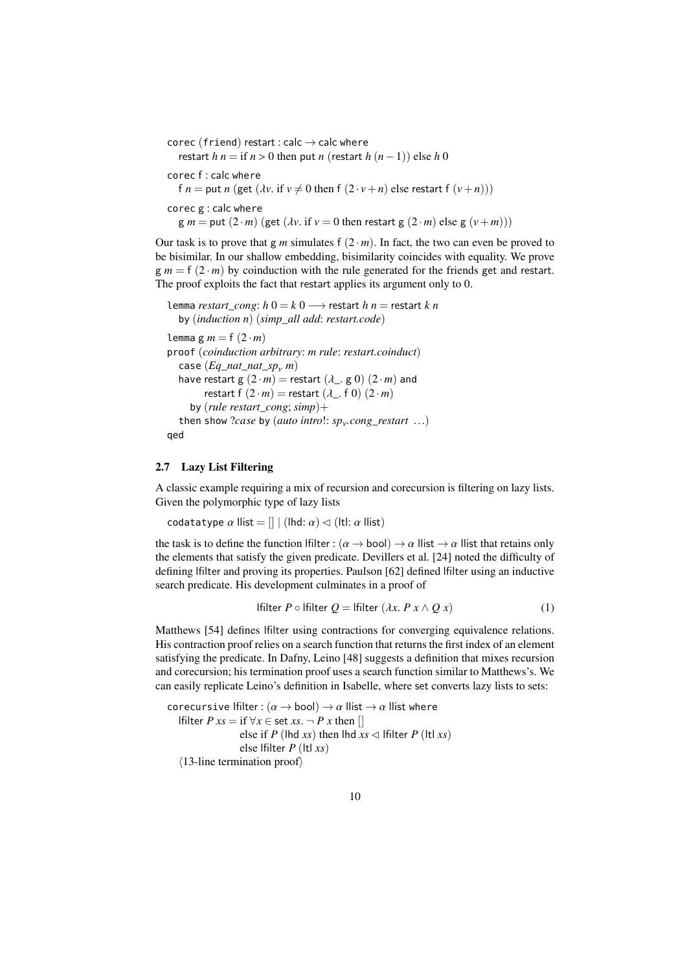```
corec (friend) restart : calc \rightarrow calc where
   restart h n = if n > 0 then put n (restart h (n-1)) else h 0corec f : calc where
   f n = put n (get (\lambda v. if v \neq 0 then f (2 \cdot v + n) else restart f (v+n)))
corec g : calc where
   g m = put (2 \cdot m) (get (\lambda v \cdot \text{if } v = 0 \text{ then restart } g (2 \cdot m) \text{ else } g (v + m)))
```
Our task is to prove that g *m* simulates f  $(2 \cdot m)$ . In fact, the two can even be proved to be bisimilar. In our shallow embedding, bisimilarity coincides with equality. We prove  $g m = f (2 \cdot m)$  by coinduction with the rule generated for the friends get and restart. The proof exploits the fact that restart applies its argument only to 0.

```
lemma restart cong: h 0 = k 0 → restart h n = restart k n
   by (induction n) (simp_all add: restart.code)
lemma g m = f(2 \cdot m)proof (coinduction arbitrary: m rule: restart.coinduct)
   case (Eq\_nat\_nat\_sp_{\gamma} m)<br>have restart g(2, m) = r\epsilonhave restart g(2 \cdot m) = restart (\lambda_-, g(0)) (2 \cdot m) and
         restart f (2 \cdot m) = restart (\lambda_{-}, f \cdot 0) (2 \cdot m)by (rule restart_cong; simp)+
   then show ?case by (auto intro!: spν.cong_restart ...)
qed
```
## <span id="page-9-1"></span>2.7 Lazy List Filtering

A classic example requiring a mix of recursion and corecursion is filtering on lazy lists. Given the polymorphic type of lazy lists

codatatype  $\alpha$  llist =  $[] |$  (lhd:  $\alpha$ )  $\lhd$  (ltl:  $\alpha$  llist)

the task is to define the function lfilter :  $(\alpha \to \text{bool}) \to \alpha$  llist  $\to \alpha$  llist that retains only the elements that satisfy the given predicate. Devillers et al. [\[24\]](#page-36-12) noted the difficulty of defining lfilter and proving its properties. Paulson [\[62\]](#page-38-7) defined lfilter using an inductive search predicate. His development culminates in a proof of

<span id="page-9-0"></span>If 
$$
P \circ \text{Hitter } Q = \text{Hitter } (\lambda x. P x \wedge Q x) \tag{1}
$$

Matthews [\[54\]](#page-38-8) defines lfilter using contractions for converging equivalence relations. His contraction proof relies on a search function that returns the first index of an element satisfying the predicate. In Dafny, Leino [\[48\]](#page-37-11) suggests a definition that mixes recursion and corecursion; his termination proof uses a search function similar to Matthews's. We can easily replicate Leino's definition in Isabelle, where set converts lazy lists to sets:

corecursive lfilter :  $(\alpha \rightarrow \text{bool}) \rightarrow \alpha$  llist  $\rightarrow \alpha$  llist where lfilter *P xs* = if  $\forall$ *x* ∈ set *xs*.  $\neg$  *P x* then [] else if *P* (lhd *xs*) then lhd  $xs \triangleleft$  lfilter *P* (ltl *xs*) else lfilter *P* (ltl *xs*)  $\langle$ 13-line termination proof $\rangle$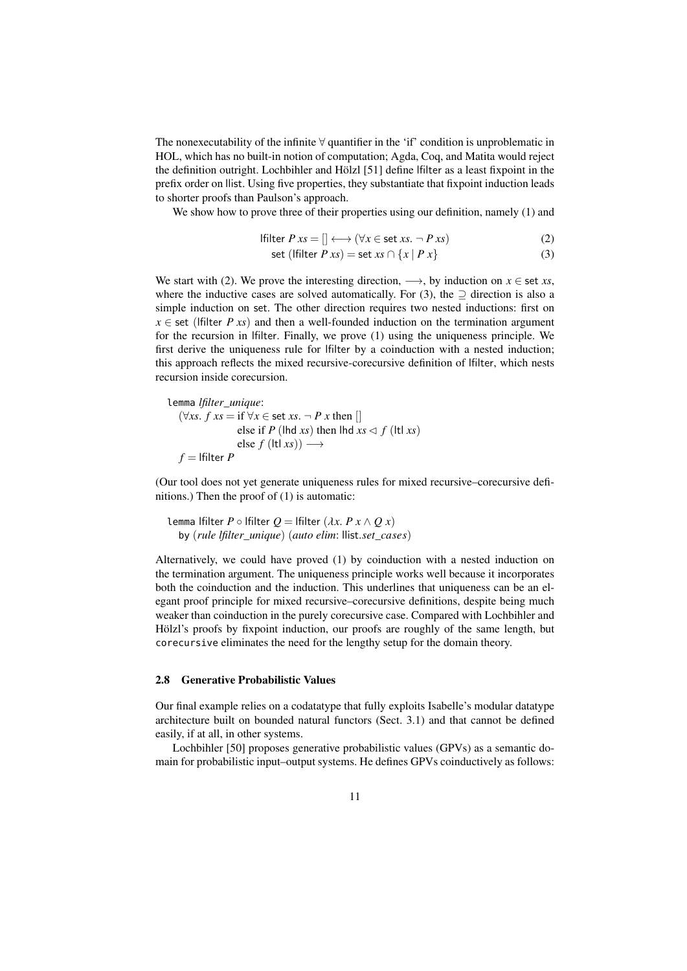The nonexecutability of the infinite  $\forall$  quantifier in the 'if' condition is unproblematic in HOL, which has no built-in notion of computation; Agda, Coq, and Matita would reject the definition outright. Lochbihler and Hölzl [\[51\]](#page-38-9) define lfilter as a least fixpoint in the prefix order on llist. Using five properties, they substantiate that fixpoint induction leads to shorter proofs than Paulson's approach.

We show how to prove three of their properties using our definition, namely [\(1\)](#page-9-0) and

$$
\text{Hilter } P \, xs = [] \longleftrightarrow (\forall x \in \text{set } xs. \neg P \, xs) \tag{2}
$$
\n
$$
\text{set } (\text{filter } P \, xs) = \text{set } xs \, \bigcirc \, \bigcirc \, [x \mid P \, x] \tag{3}
$$

<span id="page-10-1"></span><span id="page-10-0"></span>
$$
set (If |t|) = set xs \cap \{x \mid P x\}
$$
\n(3)

We start with [\(2\)](#page-10-0). We prove the interesting direction,  $\longrightarrow$ , by induction on  $x \in$  set *xs*, where the inductive cases are solved automatically. For [\(3\)](#page-10-1), the  $\supseteq$  direction is also a simple induction on set. The other direction requires two nested inductions: first on  $x \in$  set (lfilter *P xs*) and then a well-founded induction on the termination argument for the recursion in lfilter. Finally, we prove [\(1\)](#page-9-0) using the uniqueness principle. We first derive the uniqueness rule for lfilter by a coinduction with a nested induction; this approach reflects the mixed recursive-corecursive definition of lfilter, which nests recursion inside corecursion.

lemma *lfilter\_unique*: ( $\forall$ *xs*. *f xs* = if  $\forall$ *x* ∈ set *xs*. ¬ *P x* then [] else if *P* (lhd *xs*) then lhd  $xs \leq f$  (ltl *xs*) else  $f$  (ltl  $xs$ ))  $\longrightarrow$  $f =$ **|filter**  $P$ 

(Our tool does not yet generate uniqueness rules for mixed recursive–corecursive definitions.) Then the proof of [\(1\)](#page-9-0) is automatic:

lemma lfilter  $P \circ$  lfilter  $Q =$  lfilter  $(\lambda x. P x \wedge Q x)$ by (*rule lfilter\_unique*) (*auto elim*: llist.*set*\_*cases*)

Alternatively, we could have proved [\(1\)](#page-9-0) by coinduction with a nested induction on the termination argument. The uniqueness principle works well because it incorporates both the coinduction and the induction. This underlines that uniqueness can be an elegant proof principle for mixed recursive–corecursive definitions, despite being much weaker than coinduction in the purely corecursive case. Compared with Lochbihler and Hölzl's proofs by fixpoint induction, our proofs are roughly of the same length, but corecursive eliminates the need for the lengthy setup for the domain theory.

## <span id="page-10-2"></span>2.8 Generative Probabilistic Values

Our final example relies on a codatatype that fully exploits Isabelle's modular datatype architecture built on bounded natural functors (Sect. [3.1\)](#page-13-1) and that cannot be defined easily, if at all, in other systems.

Lochbihler [\[50\]](#page-37-12) proposes generative probabilistic values (GPVs) as a semantic domain for probabilistic input–output systems. He defines GPVs coinductively as follows: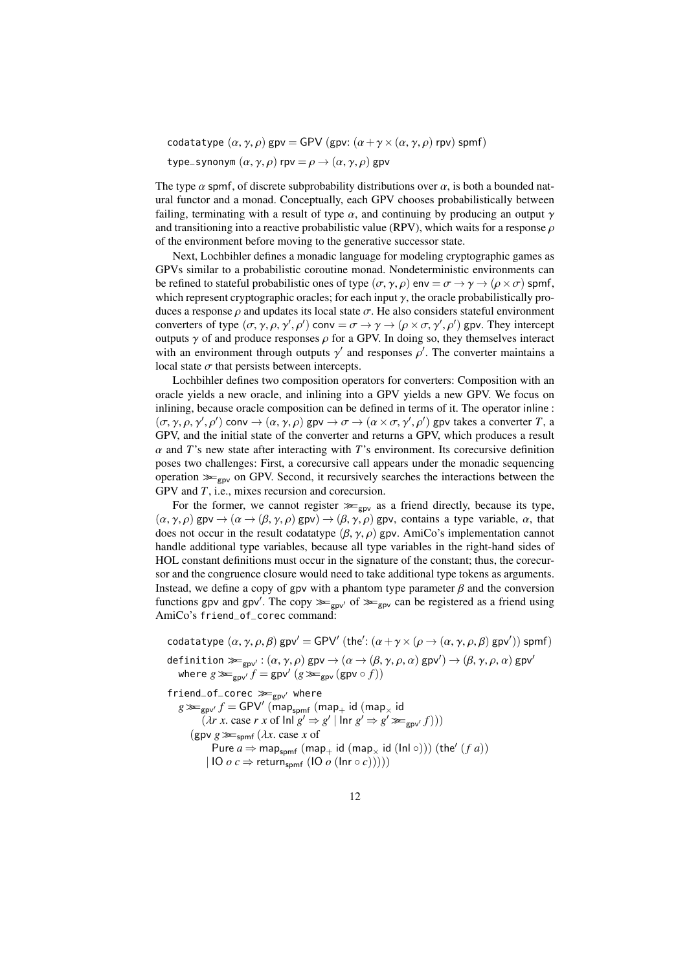codatatype  $(\alpha, \gamma, \rho)$  gpv = GPV (gpv:  $(\alpha + \gamma \times (\alpha, \gamma, \rho)$  rpv) spmf)

type\_synonym  $(\alpha, \gamma, \rho)$  rpv  $= \rho \rightarrow (\alpha, \gamma, \rho)$  gpv

The type  $\alpha$  spmf, of discrete subprobability distributions over  $\alpha$ , is both a bounded natural functor and a monad. Conceptually, each GPV chooses probabilistically between failing, terminating with a result of type  $\alpha$ , and continuing by producing an output  $\gamma$ and transitioning into a reactive probabilistic value (RPV), which waits for a response  $\rho$ of the environment before moving to the generative successor state.

Next, Lochbihler defines a monadic language for modeling cryptographic games as GPVs similar to a probabilistic coroutine monad. Nondeterministic environments can be refined to stateful probabilistic ones of type  $(\sigma, \gamma, \rho)$  env =  $\sigma \to \gamma \to (\rho \times \sigma)$  spmf, which represent cryptographic oracles; for each input  $\gamma$ , the oracle probabilistically produces a response  $\rho$  and updates its local state  $\sigma$ . He also considers stateful environment converters of type  $(\sigma, \gamma, \rho, \gamma', \rho')$  conv =  $\sigma \rightarrow \gamma \rightarrow (\rho \times \sigma, \gamma', \rho')$  gpv. They intercept<br>outputs  $\chi$  of and produce responses  $\rho$  for a GPV. In doing so, they themselves interact outputs  $\gamma$  of and produce responses  $\rho$  for a GPV. In doing so, they themselves interact with an environment through outputs  $\gamma'$  and responses  $\rho'$ . The converter maintains a local state  $\sigma$  that persists between intercepts.

Lochbihler defines two composition operators for converters: Composition with an oracle yields a new oracle, and inlining into a GPV yields a new GPV. We focus on inlining, because oracle composition can be defined in terms of it. The operator inline :  $(\sigma, \gamma, \rho, \gamma', \rho')$  conv  $\rightarrow$   $(\alpha, \gamma, \rho)$  gpv  $\rightarrow \sigma \rightarrow (\alpha \times \sigma, \gamma', \rho')$  gpv takes a converter *T*, a<br>GPV and the initial state of the converter and returns a GPV which produces a result GPV, and the initial state of the converter and returns a GPV, which produces a result  $\alpha$  and *T*'s new state after interacting with *T*'s environment. Its corecursive definition poses two challenges: First, a corecursive call appears under the monadic sequencing operation  $\gg_{\text{gav}}$  on GPV. Second, it recursively searches the interactions between the GPV and *T*, i.e., mixes recursion and corecursion.

For the former, we cannot register  $\gg_{\text{gpv}}$  as a friend directly, because its type,  $(\alpha, \gamma, \rho)$  gpv  $\rightarrow$   $(\alpha \rightarrow (\beta, \gamma, \rho)$  gpv)  $\rightarrow$   $(\beta, \gamma, \rho)$  gpv, contains a type variable,  $\alpha$ , that does not occur in the result codatatype  $(\beta, \gamma, \rho)$  gpv. AmiCo's implementation cannot handle additional type variables, because all type variables in the right-hand sides of HOL constant definitions must occur in the signature of the constant; thus, the corecursor and the congruence closure would need to take additional type tokens as arguments. Instead, we define a copy of gpv with a phantom type parameter  $\beta$  and the conversion functions gpv and gpv'. The copy  $\gg_{\text{gpv}}$  of  $\gg_{\text{gpv}}$  can be registered as a friend using  $\Delta$ miCo's friend of cores command: AmiCo's friend\_of\_corec command:

codatatype  $(\alpha, \gamma, \rho, \beta)$  gpv' = GPV'  $(\text{the}' : (\alpha + \gamma \times (\rho \to (\alpha, \gamma, \rho, \beta)$  gpv')) spmf)

definition  $\gg_{\text{gpv}'} : (\alpha, \gamma, \rho) \text{ gpv} \rightarrow (\alpha \rightarrow (\beta, \gamma, \rho, \alpha) \text{ gpv}') \rightarrow (\beta, \gamma, \rho, \alpha) \text{ gpv}'$ <br>where  $\alpha \gg_{\text{gpv}'} f = \text{ gpv}' (\alpha \gg_{\text{gpv}'} (\alpha \gg_{\text{gpv}'} (\alpha))$ where  $g \gg g_{\text{gpv}} f = g \text{pv}' \left( g \gg g_{\text{pv}} \left( g \text{pv} \circ f \right) \right)$ 

 $friend\_of\_core \ggg_{\text{gpv}'}$  where  $g \gg g_{\text{gap}} f = \text{GPV}$ <sup>'</sup> (map<sub>spmf</sub> (map<sub>+</sub> id (map<sub>×</sub> id)<br>(*dr x case r x* of lnl  $g' \rightarrow g'$  ) lnr  $g' \rightarrow g'$  $(\lambda r \times \text{case } r \times \text{of } \text{In} \mid g' \Rightarrow g' \mid \text{In} \mid g' \Rightarrow g' \gg_{\text{gpv}'} f)))$ (gpv  $g \gg f_{\text{spmf}} (\lambda x \cdot \text{case } x \cdot \text{of }$  $P$ ure  $a \Rightarrow$  map<sub>spmf</sub> (map<sub>+</sub> id (map<sub>x</sub> id (lnl ∘))) (the' (*f a*))  $|$  IO  $o$   $c \Rightarrow$  return<sub>spmf</sub>  $($ IO  $o$   $($ Inr  $\circ$   $c$  $))))$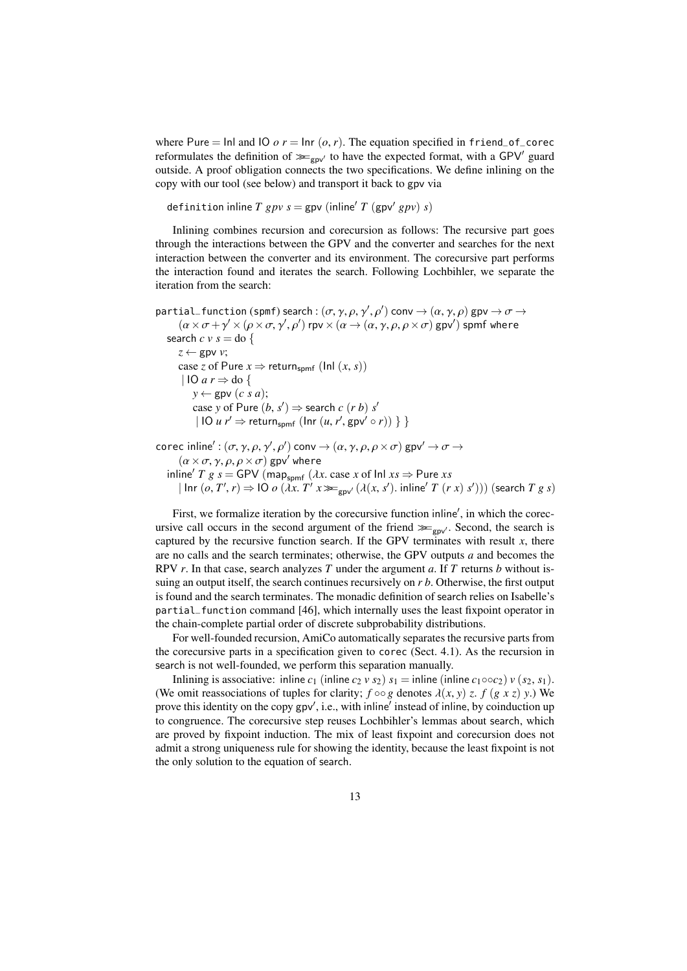where Pure = Inl and IO  $o r = \ln r (o, r)$ . The equation specified in friend\_of\_corec reformulates the definition of  $\gg_{\text{gpv}'}$  to have the expected format, with a GPV' guard outside. A proof obligation connects the two specifications. We define inlining on the copy with our tool (see below) and transport it back to gpv via

definition inline *T* gpv  $s =$  gpv (inline' *T* (gpv' gpv) *s*)

Inlining combines recursion and corecursion as follows: The recursive part goes through the interactions between the GPV and the converter and searches for the next interaction between the converter and its environment. The corecursive part performs the interaction found and iterates the search. Following Lochbihler, we separate the iteration from the search:

```
partial_function (spmf) search : (\sigma, \gamma, \rho, \gamma', \rho') conv \rightarrow (\alpha, \gamma, \rho) gpv \rightarrow \sigma \rightarrow<br>
(\alpha \times \sigma + \gamma' \times (\alpha \times \sigma, \gamma', \rho')) rpv \times (\alpha \rightarrow (\alpha \times \rho, \rho \times \sigma) gpv') spmf where
            (\alpha \times \sigma + \gamma' \times (\rho \times \sigma, \gamma', \rho')) rpv\times (\alpha \to (\alpha, \gamma, \rho, \rho \times \sigma)) gpv') spmf where
     search c v s = do {
           z \leftarrow gpv v;
           case z of Pure x \Rightarrow return<sub>spmf</sub> (lnl (x, s))
             | IO a r \Rightarrow do {
                   y \leftarrow \text{gpv}(c \text{ s } a);case y of Pure (b, s') \Rightarrow search c (r b) s'\left\{ \text{IO } u \text{ } r' \Rightarrow \text{return}_{\text{spmf}} \left( \text{Inr } (u, r', \text{gpv'} \circ r) \right) \right\} \right\}corec inline': (\sigma, \gamma, \rho, \gamma', \rho') conv \rightarrow (\alpha, \gamma, \rho, \rho \times \sigma) gpv' \rightarrow \sigma \rightarrow<br>(\alpha \times \sigma, \alpha \times \sigma, \sigma) gpv' where
            (\alpha \times \sigma, \gamma, \rho, \rho \times \sigma) gpv' where
      in line<sup>'</sup> T g s = GPV (map<sub>spmf</sub> (λx. case x of Inl xs \Rightarrow Pure xs = \text{Lipr}(a, T'x) \Rightarrow IQ a(x, T'x) \Rightarrow f(x, s') in line<sup>'</sup> T (x
```
 $(\ln r \cdot (o, T', r) \Rightarrow 10 \cdot o \cdot (\lambda x. T' x \gg_{\text{gpv}'} (\lambda(x, s'), \text{inline}' T (r x) s'))$  (search *T g s*)

First, we formalize iteration by the corecursive function inline', in which the corecursive call occurs in the second argument of the friend  $\ggg_{\text{gpv}}$ . Second, the search is captured by the recursive function search. If the GPV terminates with result  $x$ , there are no calls and the search terminates; otherwise, the GPV outputs *a* and becomes the RPV *r*. In that case, search analyzes *T* under the argument *a*. If *T* returns *b* without issuing an output itself, the search continues recursively on *r b*. Otherwise, the first output is found and the search terminates. The monadic definition of search relies on Isabelle's partial\_function command [\[46\]](#page-37-13), which internally uses the least fixpoint operator in the chain-complete partial order of discrete subprobability distributions.

For well-founded recursion, AmiCo automatically separates the recursive parts from the corecursive parts in a specification given to corec (Sect. [4.1\)](#page-19-1). As the recursion in search is not well-founded, we perform this separation manually.

Inlining is associative: inline  $c_1$  (inline  $c_2$  *v*  $s_2$ )  $s_1$  = inline (inline  $c_1 \circ c_2$ ) *v* ( $s_2$ ,  $s_1$ ). (We omit reassociations of tuples for clarity;  $f \circ \circ g$  denotes  $\lambda(x, y)$  *z*.  $f(g \times z)$  *y*.) We prove this identity on the copy gpv', i.e., with inline' instead of inline, by coinduction up to congruence. The corecursive step reuses Lochbihler's lemmas about search, which are proved by fixpoint induction. The mix of least fixpoint and corecursion does not admit a strong uniqueness rule for showing the identity, because the least fixpoint is not the only solution to the equation of search.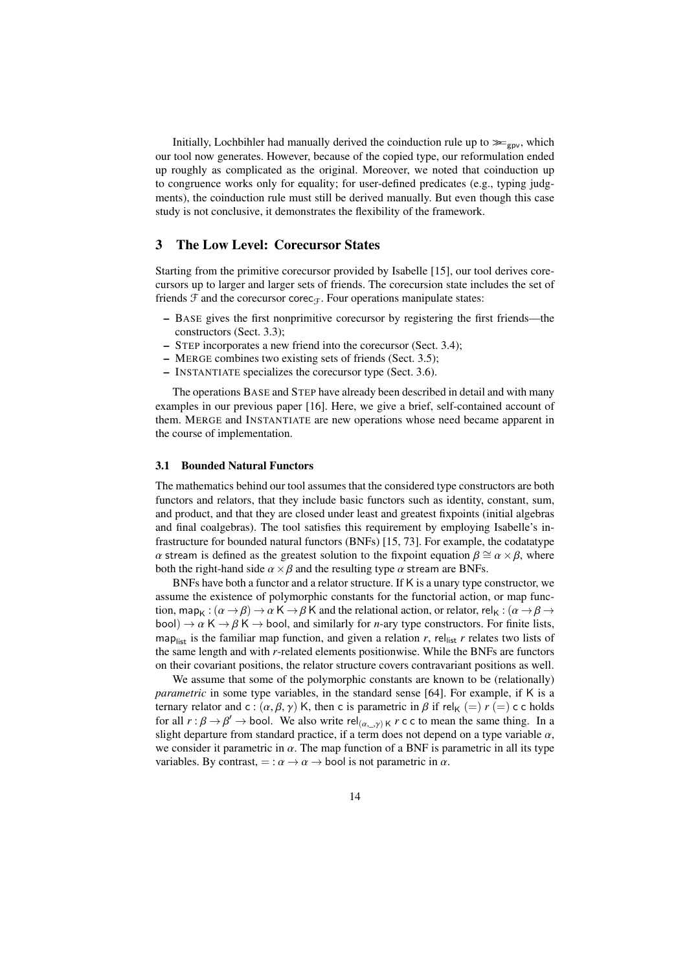Initially, Lochbihler had manually derived the coinduction rule up to  $\ggg_{\text{gpv}}$ , which our tool now generates. However, because of the copied type, our reformulation ended up roughly as complicated as the original. Moreover, we noted that coinduction up to congruence works only for equality; for user-defined predicates (e.g., typing judgments), the coinduction rule must still be derived manually. But even though this case study is not conclusive, it demonstrates the flexibility of the framework.

# <span id="page-13-0"></span>3 The Low Level: Corecursor States

Starting from the primitive corecursor provided by Isabelle [\[15\]](#page-36-6), our tool derives corecursors up to larger and larger sets of friends. The corecursion state includes the set of friends  $\mathcal F$  and the corecursor corec $\mathcal F$ . Four operations manipulate states:

- BASE gives the first nonprimitive corecursor by registering the first friends—the constructors (Sect. [3.3\)](#page-14-1);
- STEP incorporates a new friend into the corecursor (Sect. [3.4\)](#page-15-0);
- MERGE combines two existing sets of friends (Sect. [3.5\)](#page-16-0);
- INSTANTIATE specializes the corecursor type (Sect. [3.6\)](#page-17-1).

The operations BASE and STEP have already been described in detail and with many examples in our previous paper [\[16\]](#page-36-7). Here, we give a brief, self-contained account of them. MERGE and INSTANTIATE are new operations whose need became apparent in the course of implementation.

## <span id="page-13-1"></span>3.1 Bounded Natural Functors

The mathematics behind our tool assumes that the considered type constructors are both functors and relators, that they include basic functors such as identity, constant, sum, and product, and that they are closed under least and greatest fixpoints (initial algebras and final coalgebras). The tool satisfies this requirement by employing Isabelle's infrastructure for bounded natural functors (BNFs) [\[15,](#page-36-6) [73\]](#page-39-1). For example, the codatatype α stream is defined as the greatest solution to the fixpoint equation  $β \cong α \times β$ , where both the right-hand side  $\alpha \times \beta$  and the resulting type  $\alpha$  stream are BNFs.

BNFs have both a functor and a relator structure. If K is a unary type constructor, we assume the existence of polymorphic constants for the functorial action, or map function, map<sub>K</sub> :  $(\alpha \to \beta) \to \alpha K \to \beta K$  and the relational action, or relator, rel<sub>K</sub> :  $(\alpha \to \beta \to \gamma K)$ bool)  $\rightarrow \alpha \mathsf{K} \rightarrow \beta \mathsf{K} \rightarrow$  bool, and similarly for *n*-ary type constructors. For finite lists, map<sub>list</sub> is the familiar map function, and given a relation *r*, rel<sub>list</sub> *r* relates two lists of the same length and with *r*-related elements positionwise. While the BNFs are functors on their covariant positions, the relator structure covers contravariant positions as well.

We assume that some of the polymorphic constants are known to be (relationally) *parametric* in some type variables, in the standard sense [\[64\]](#page-38-4). For example, if K is a ternary relator and c :  $(\alpha, \beta, \gamma)$  K, then c is parametric in  $\beta$  if rel<sub>K</sub> (=)  $r$  (=) c c holds for all  $r : \beta \to \beta' \to$  bool. We also write rel $(\alpha_{r-1}) \ltimes r$  c c to mean the same thing. In a slight departure from standard practice if a term does not depend on a type variable  $\alpha$ slight departure from standard practice, if a term does not depend on a type variable  $\alpha$ , we consider it parametric in  $\alpha$ . The map function of a BNF is parametric in all its type variables. By contrast,  $=$ :  $\alpha \rightarrow \alpha \rightarrow$  bool is not parametric in  $\alpha$ .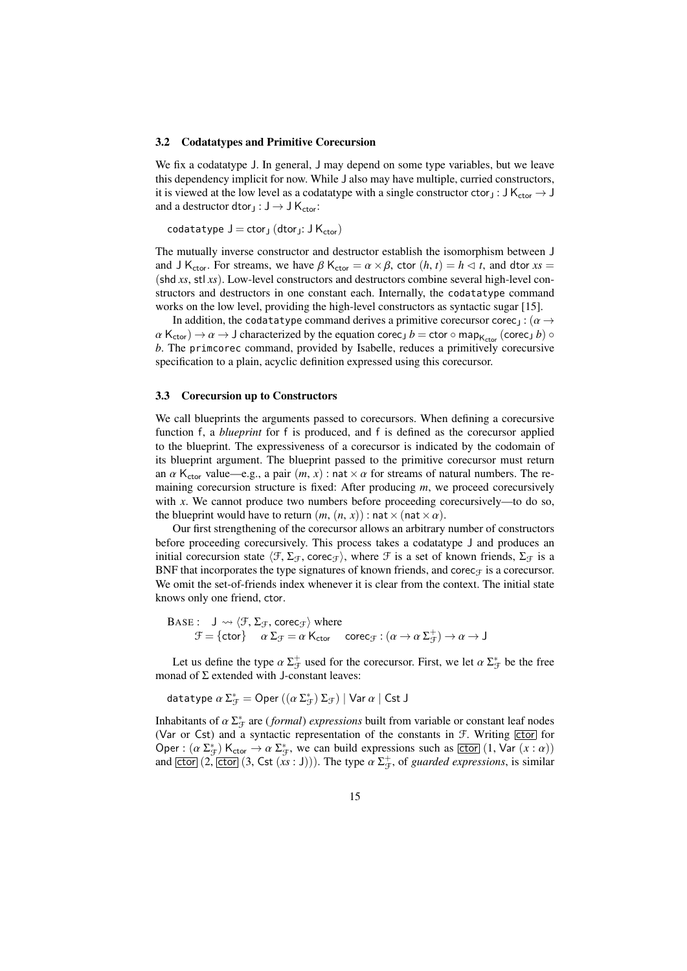#### <span id="page-14-0"></span>3.2 Codatatypes and Primitive Corecursion

We fix a codatatype J. In general, J may depend on some type variables, but we leave this dependency implicit for now. While J also may have multiple, curried constructors, it is viewed at the low level as a codatatype with a single constructor ctor<sub>J</sub> : J K<sub>ctor</sub>  $\rightarrow$  J and a destructor dtor<sub>J</sub> :  $J \rightarrow J K_{\text{ctor}}$ :

codatatype  $J = c$ tor<sub>J</sub> (dtor<sub>J</sub>:  $J K_{ctor}$ )

The mutually inverse constructor and destructor establish the isomorphism between J and J K<sub>ctor</sub>. For streams, we have  $\beta$  K<sub>ctor</sub> =  $\alpha \times \beta$ , ctor  $(h, t) = h \le t$ , and dtor  $xs =$ (shd *xs*, stl *xs*). Low-level constructors and destructors combine several high-level constructors and destructors in one constant each. Internally, the codatatype command works on the low level, providing the high-level constructors as syntactic sugar [\[15\]](#page-36-6).

In addition, the codatatype command derives a primitive corecursor corec<sub>J</sub> : ( $\alpha \rightarrow$  $\alpha$  K<sub>ctor</sub>)  $\rightarrow \alpha \rightarrow J$  characterized by the equation corec<sub>J</sub>  $b =$  ctor  $\circ$  map<sub>K<sub>ctor</sub> (corec<sub>J</sub>  $b$ )  $\circ$ </sub> *b*. The primcorec command, provided by Isabelle, reduces a primitively corecursive specification to a plain, acyclic definition expressed using this corecursor.

## <span id="page-14-1"></span>3.3 Corecursion up to Constructors

We call blueprints the arguments passed to corecursors. When defining a corecursive function f, a *blueprint* for f is produced, and f is defined as the corecursor applied to the blueprint. The expressiveness of a corecursor is indicated by the codomain of its blueprint argument. The blueprint passed to the primitive corecursor must return an  $\alpha$  K<sub>ctor</sub> value—e.g., a pair  $(m, x)$ : nat  $\times \alpha$  for streams of natural numbers. The remaining corecursion structure is fixed: After producing *m*, we proceed corecursively with  $x$ . We cannot produce two numbers before proceeding corecursively—to do so, the blueprint would have to return  $(m, (n, x))$ : nat  $\times$  (nat  $\times \alpha$ ).

Our first strengthening of the corecursor allows an arbitrary number of constructors before proceeding corecursively. This process takes a codatatype J and produces an initial corecursion state  $\langle \mathcal{F}, \Sigma_{\mathcal{F}}$ , corec<sub> $\mathcal{F}\rangle$ </sub>, where  $\mathcal{F}$  is a set of known friends,  $\Sigma_{\mathcal{F}}$  is a BNF that incorporates the type signatures of known friends, and corec $\tau$  is a corecursor. We omit the set-of-friends index whenever it is clear from the context. The initial state knows only one friend, ctor.

$$
\begin{array}{ll}\text{BASE}: & J \leadsto \langle \mathcal{F}, \Sigma_{\mathcal{F}}, \text{corec}_{\mathcal{F}} \rangle \text{ where } \\ & \mathcal{F} = \{ \text{ctor} \} \quad \alpha \, \Sigma_{\mathcal{F}} = \alpha \, \mathsf{K}_{\text{ctor}} \quad \text{corec}_{\mathcal{F}} : (\alpha \to \alpha \, \Sigma_{\mathcal{F}}^+) \to \alpha \to J \end{array}
$$

Let us define the type  $\alpha \Sigma_{\mathcal{F}}^+$  used for the corecursor. First, we let  $\alpha \Sigma_{\mathcal{F}}^*$  be the free monad of  $\Sigma$  extended with J-constant leaves:

datatype  $\alpha \, \Sigma_{\mathcal{F}}^* = \mathsf{Oper}\left((\alpha \, \Sigma_{\mathcal{F}}^*) \, \Sigma_{\mathcal{F}}\right) \mid \mathsf{Var}\, \alpha \mid \mathsf{Cst}\, \mathsf{J}$ 

Inhabitants of  $\alpha \Sigma_{\mathcal{F}}^*$  are (*formal*) *expressions* built from variable or constant leaf nodes<br>(Var or Cst) and a syntactic representation of the constants in  $\mathcal{F}$  Writing [ctor] for (Var or Cst) and a syntactic representation of the constants in  $F$ . Writing  $\boxed{\text{ctor}}$  for Oper :  $(\alpha \Sigma_{\mathcal{F}}^* )$  K<sub>ctor</sub>  $\rightarrow \alpha \Sigma_{\mathcal{F}}^*$ , we can build expressions such as  $\boxed{\text{ctor}}$   $(1, \text{Var}(x : \alpha))$ <br>and  $\boxed{\text{ctor}}$   $(2, \boxed{\text{ctor}} (3, \boxed{\text{ct}(x : 1)}))$ . The type  $\alpha \Sigma^+$  of *guarded expressions* is similar and  $\overline{[ctor]}$   $(2, \overline{[ctor]}$   $(3, \overline{Cst}(xs : J)))$ . The type  $\alpha \Sigma_{\mathcal{F}}^+$ , of *guarded expressions*, is similar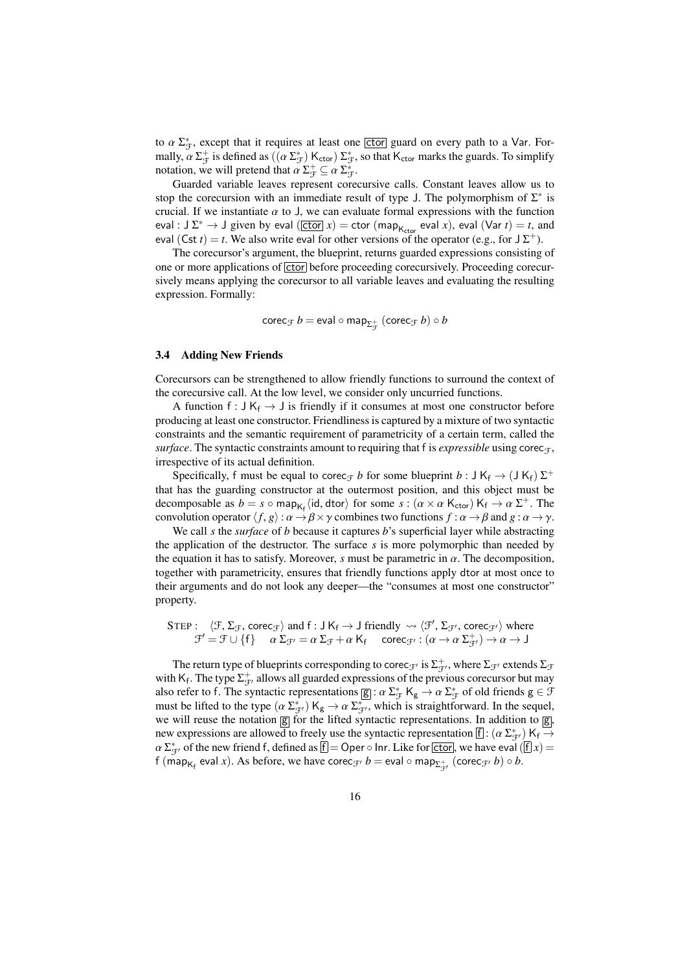to  $\alpha \sum_{\mathcal{F}}^*$ , except that it requires at least one **ctor** guard on every path to a Var. For-<br>mally  $\alpha \sum_{\mathcal{F}}^+$  is defined as  $((\alpha \sum_{\mathcal{F}}^*)K, \alpha \sum_{\mathcal{F}}^* )$  so that K, marks the quards. To simplify mally,  $\alpha \Sigma_{\mathcal{F}}^+$  is defined as  $((\alpha \Sigma_{\mathcal{F}}^*) \mathsf{K}_{\text{ctor}}) \Sigma_{\mathcal{F}}^*$ , so that  $\mathsf{K}_{\text{ctor}}$  marks the guards. To simplify notation we will pretend that  $\alpha \Sigma^+ \subset \alpha \Sigma^*$ notation, we will pretend that  $\alpha \Sigma_{\mathcal{F}}^+ \subseteq \alpha \Sigma_{\mathcal{F}}^+$ .<br>
Guarded variable leaves represent core

Guarded variable leaves represent corecursive calls. Constant leaves allow us to stop the corecursion with an immediate result of type J. The polymorphism of  $\Sigma^*$  is crucial. If we instantiate  $\alpha$  to J, we can evaluate formal expressions with the function eval : J  $\Sigma^* \to$  J given by eval ( $\overline{[ctor]} x$ ) = ctor (map<sub>Kctor</sub> eval *x*), eval (Var *t*) = *t*, and eval (Cst *t*) = *t*. We also write eval for other versions of the operator (e.g., for  $J\Sigma^+$ ).

The corecursor's argument, the blueprint, returns guarded expressions consisting of one or more applications of **ctor** before proceeding corecursively. Proceeding corecursively means applying the corecursor to all variable leaves and evaluating the resulting expression. Formally:

$$
\mathsf{corec}_{\mathcal{F}}\, b = \mathsf{eval} \circ \mathsf{map}_{\Sigma_{\mathcal{F}}^+} \ (\mathsf{corec}_{\mathcal{F}}\, b) \circ b
$$

#### <span id="page-15-0"></span>3.4 Adding New Friends

Corecursors can be strengthened to allow friendly functions to surround the context of the corecursive call. At the low level, we consider only uncurried functions.

A function f :  $J K_f \rightarrow J$  is friendly if it consumes at most one constructor before producing at least one constructor. Friendliness is captured by a mixture of two syntactic constraints and the semantic requirement of parametricity of a certain term, called the *surface*. The syntactic constraints amount to requiring that f is *expressible* using corec<sub>T</sub>, irrespective of its actual definition.

Specifically, f must be equal to corec<sub>*F*</sub> *b* for some blueprint *b* : J K<sub>f</sub>  $\rightarrow$  (J K<sub>f</sub>)  $\Sigma^{+}$ that has the guarding constructor at the outermost position, and this object must be decomposable as  $b = s \circ \text{map}_{K_f} \langle id, \text{dtor} \rangle$  for some  $s : (\alpha \times \alpha \mathsf{K}_{\text{ctor}}) \mathsf{K}_f \to \alpha \Sigma^+$ . The<br>convolution operator  $\langle f, \alpha \rangle : \alpha \to \beta \times \gamma$  combines two functions  $f : \alpha \to \beta$  and  $g : \alpha \to \gamma$ . convolution operator  $\langle f, g \rangle : \alpha \to \beta \times \gamma$  combines two functions  $f : \alpha \to \beta$  and  $g : \alpha \to \gamma$ .

We call *s* the *surface* of *b* because it captures *b*'s superficial layer while abstracting the application of the destructor. The surface *s* is more polymorphic than needed by the equation it has to satisfy. Moreover, *s* must be parametric in  $\alpha$ . The decomposition, together with parametricity, ensures that friendly functions apply dtor at most once to their arguments and do not look any deeper—the "consumes at most one constructor" property.

$$
\begin{array}{ll}\text{STEP}: & \langle \mathcal{F}, \Sigma_{\mathcal{F}}, \text{corec}_{\mathcal{F}} \rangle \text{ and } \text{f}: \text{J K}_{\text{f}} \rightarrow \text{J friendly } \leadsto \langle \mathcal{F}', \Sigma_{\mathcal{F}'}, \text{corec}_{\mathcal{F}'} \rangle \text{ where } \\ & \mathcal{F}' = \mathcal{F} \cup \{\text{f}\} \quad \text{ } \alpha \Sigma_{\mathcal{F}'} = \alpha \Sigma_{\mathcal{F}} + \alpha \text{ K}_{\text{f}} \quad \text{ } \text{corec}_{\mathcal{F}'}: (\alpha \rightarrow \alpha \Sigma_{\mathcal{F}'}^+) \rightarrow \alpha \rightarrow \text{J} \end{array}
$$

The return type of blueprints corresponding to corec<sub> $\mathcal{F}'$ </sub> is  $\Sigma_{\mathcal{F}'}^+$ , where  $\Sigma_{\mathcal{F}'}$  extends  $\Sigma_{\mathcal{F}}$ with  $K_f$ . The type  $\Sigma^+_{\mathcal{F}}$  allows all guarded expressions of the previous corecursor but may also refer to f. The syntactic representations  $g : \alpha \Sigma_{\mathcal{F}}^* K_g \to \alpha \Sigma_{\mathcal{F}}^*$  of old friends  $g \in \mathcal{F}$ <br>must be lifted to the type  $(\alpha \Sigma^*) K \to \alpha \Sigma^*$  which is straightforward. In the sequel must be lifted to the type  $(\alpha \Sigma_{\mathcal{F}}^*)$  K<sub>g</sub>  $\rightarrow \alpha \Sigma_{\mathcal{F}}^*$ , which is straightforward. In the sequel, we will reuse the notation  $\boxed{g}$  for the lifted syntactic representations. In addition to  $\boxed{g}$ , new expressions are allowed to freely use the syntactic representation  $\[\cdot\]$ :  $(\alpha \sum_{j=1}^{4} K_j \rightarrow \alpha \sum_{j=1}^{4} K_j \rightarrow \alpha \sum_{j=1}^{4} K_j \rightarrow \alpha \sum_{j=1}^{4} K_j \rightarrow \alpha \sum_{j=1}^{4} K_j \rightarrow \alpha \sum_{j=1}^{4} K_j \rightarrow \alpha \sum_{j=1}^{4} K_j \rightarrow \alpha \sum_{j=1}^{4} K_j \rightarrow \alpha \sum_{j=1}^{4}$  $\alpha \Sigma_{\mathcal{F}}^*$  of the new friend f, defined as  $\mathcal{F} = \mathcal{O}$  per  $\circ$  lnr. Like for ctor, we have eval  $(\mathcal{F} \mid x) =$ <br>f (man., eval x). As before, we have corected h = eval  $\circ$  man<sub>rix</sub> (corected h)  $\circ$  h f (map<sub>K<sub>f</sub> eval *x*). As before, we have corec<sub>J'</sub>  $b =$  eval  $\circ$  map<sub> $\Sigma_{\mathcal{F}'}^+$ </sub> (corec<sub>J'</sub>  $b$ )  $\circ$   $b$ .</sub>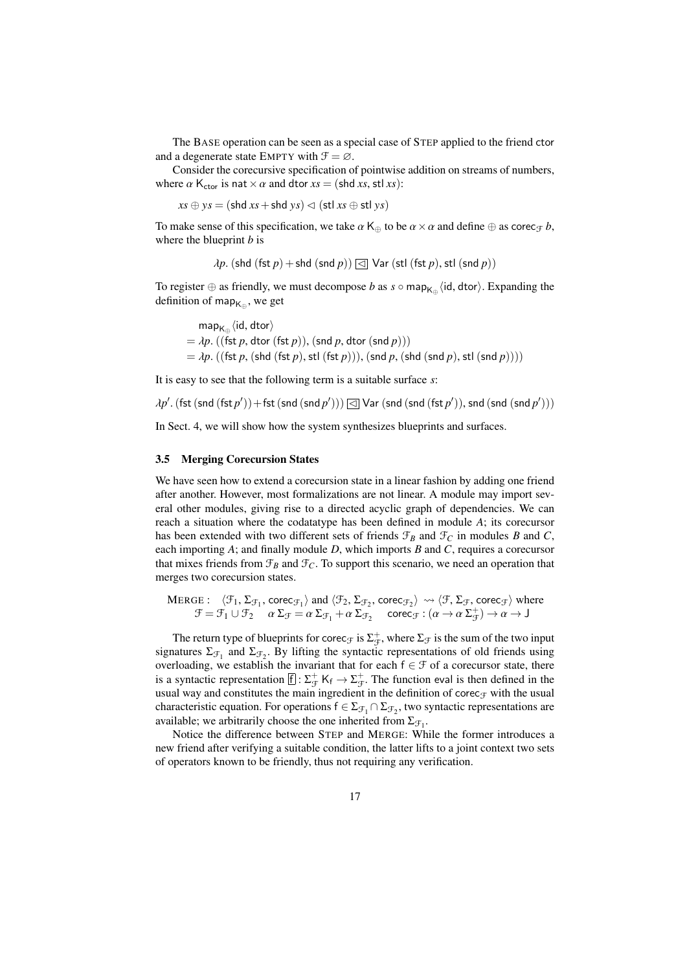The BASE operation can be seen as a special case of STEP applied to the friend ctor and a degenerate state EMPTY with  $\mathcal{F} = \emptyset$ .

Consider the corecursive specification of pointwise addition on streams of numbers, where  $\alpha$  K<sub>ctor</sub> is nat  $\times \alpha$  and dtor  $xs = (\text{shd } xs, \text{stl } xs)$ :

 $xs \oplus ys = (\text{shd } xs + \text{shd } ys) \lhd (\text{stl } xs \oplus \text{stl } ys)$ 

To make sense of this specification, we take  $\alpha$  K<sub>⊕</sub> to be  $\alpha \times \alpha$  and define  $\oplus$  as corec<sub>T</sub> *b*, where the blueprint *b* is

$$
\lambda p. (\text{shd (fst } p) + \text{shd (snd } p)) \text{ } \textcircled{\text{ } \exists \text{ } \text{Var (stl (fst } p), \text{ } \text{stl (snd } p))}
$$

To register  $\oplus$  as friendly, we must decompose *b* as *s* ◦ map<sub>K⊕</sub>  $\langle$ id, dtor $\rangle$ . Expanding the definition of map. definition of map $_{\mathsf{K}_\oplus},$  we get

map<sub>K⊕</sub> $\langle$ id, dtor $\rangle$ <br>dn  $\langle$ (fst.n. dtor  $=$   $\lambda p$ . ((fst *p*, dtor (fst *p*)), (snd *p*, dtor (snd *p*)))  $=$   $\lambda p$ . ((fst  $p$ , (shd (fst  $p$ ), stl (fst  $p$ ))), (snd  $p$ , (shd (snd  $p$ ), stl (snd  $p$ ))))

It is easy to see that the following term is a suitable surface *s*:

$$
\lambda p'.\left(\textsf{fst}\left(\textsf{snd}\left(\textsf{fst}\,p'\right)\right) + \textsf{fst}\left(\textsf{snd}\left(\textsf{snd}\,p'\right)\right)\right) \textcolor{red}{\textbf{[c] Var}}\left(\textsf{snd}\left(\textsf{snd}\left(\textsf{fst}\,p'\right)\right)\textsf{,} \textsf{snd}\left(\textsf{snd}\,p'\right)\right)\right)
$$

In Sect. [4,](#page-19-0) we will show how the system synthesizes blueprints and surfaces.

## <span id="page-16-0"></span>3.5 Merging Corecursion States

We have seen how to extend a corecursion state in a linear fashion by adding one friend after another. However, most formalizations are not linear. A module may import several other modules, giving rise to a directed acyclic graph of dependencies. We can reach a situation where the codatatype has been defined in module *A*; its corecursor has been extended with two different sets of friends  $\mathcal{F}_B$  and  $\mathcal{F}_C$  in modules *B* and *C*, each importing *A*; and finally module *D*, which imports *B* and *C*, requires a corecursor that mixes friends from  $\mathcal{F}_B$  and  $\mathcal{F}_C$ . To support this scenario, we need an operation that merges two corecursion states.

$$
\begin{array}{ll}\text{MERGE}: & \langle \mathcal{F}_1, \Sigma_{\mathcal{F}_1}, \text{corec}_{\mathcal{F}_1} \rangle \text{ and } \langle \mathcal{F}_2, \Sigma_{\mathcal{F}_2}, \text{corec}_{\mathcal{F}_2} \rangle \rightsquigarrow \langle \mathcal{F}, \Sigma_{\mathcal{F}}, \text{corec}_{\mathcal{F}} \rangle \text{ where } \\ & \mathcal{F} = \mathcal{F}_1 \cup \mathcal{F}_2 \quad \alpha \Sigma_{\mathcal{F}} = \alpha \Sigma_{\mathcal{F}_1} + \alpha \Sigma_{\mathcal{F}_2} \quad \text{corec}_{\mathcal{F}}: (\alpha \to \alpha \Sigma_{\mathcal{F}}^+) \to \alpha \to J \end{array}
$$

The return type of blueprints for corec<sub> $\mathcal F$ </sub> is  $\Sigma_{\mathcal F}^+$ , where  $\Sigma_{\mathcal F}$  is the sum of the two input signatures  $\Sigma_{\mathcal{F}_1}$  and  $\Sigma_{\mathcal{F}_2}$ . By lifting the syntactic representations of old friends using overloading, we establish the invariant that for each  $f \in \mathcal{F}$  of a corecursor state, there is a syntactic representation  $[f]: \Sigma_{\mathcal{F}}^+$  K<sub>f</sub>  $\to \Sigma_{\mathcal{F}}^+$ . The function eval is then defined in the usual way and constitutes the main ingredient in the definition of corec $<sub>F</sub>$  with the usual</sub> characteristic equation. For operations  $f \in \Sigma_{\mathcal{F}_1} \cap \Sigma_{\mathcal{F}_2}$ , two syntactic representations are available; we arbitrarily choose the one inherited from  $\Sigma_{\mathcal{F}_1}$ .

Notice the difference between STEP and MERGE: While the former introduces a new friend after verifying a suitable condition, the latter lifts to a joint context two sets of operators known to be friendly, thus not requiring any verification.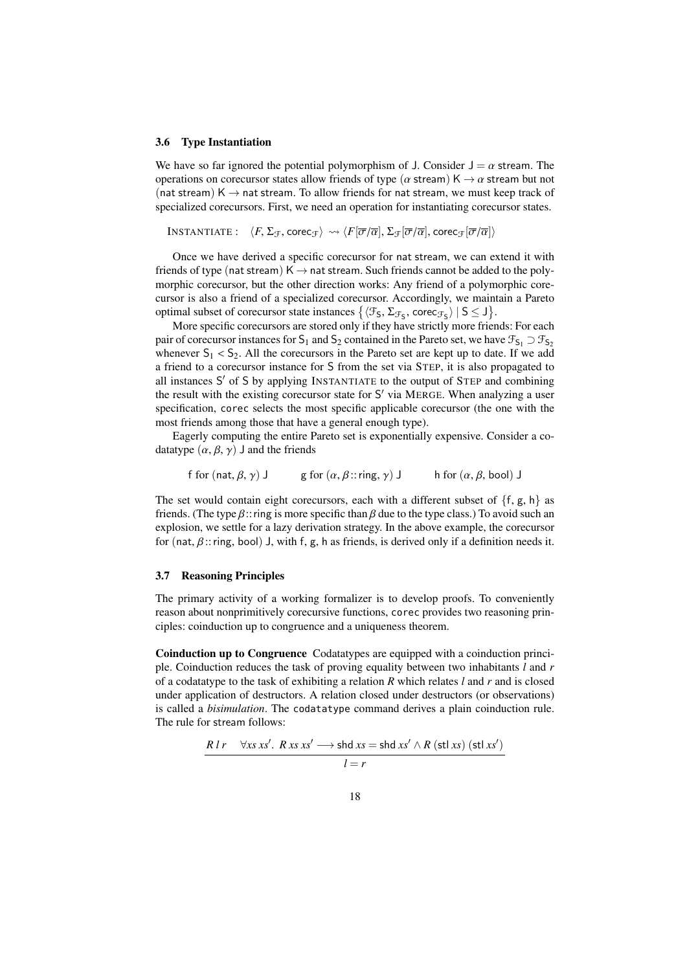#### <span id="page-17-1"></span>3.6 Type Instantiation

We have so far ignored the potential polymorphism of J. Consider  $J = \alpha$  stream. The operations on corecursor states allow friends of type ( $\alpha$  stream) K  $\rightarrow \alpha$  stream but not (nat stream)  $K \rightarrow$  nat stream. To allow friends for nat stream, we must keep track of specialized corecursors. First, we need an operation for instantiating corecursor states.

```
INSTANTIATE: \langle F, \Sigma_{\mathcal{F}}, \text{corec}_{\mathcal{F}} \rangle \rightsquigarrow \langle F[\overline{\sigma}/\overline{\alpha}], \Sigma_{\mathcal{F}}[\overline{\sigma}/\overline{\alpha}], \text{corec}_{\mathcal{F}}[\overline{\sigma}/\overline{\alpha}] \rangle
```
Once we have derived a specific corecursor for nat stream, we can extend it with friends of type (nat stream)  $K \rightarrow$  nat stream. Such friends cannot be added to the polymorphic corecursor, but the other direction works: Any friend of a polymorphic corecursor is also a friend of a specialized corecursor. Accordingly, we maintain a Pareto optimal subset of corecursor state instances  $\{(\mathcal{F}_5, \Sigma_{\mathcal{F}_5}, \text{core}_{\mathcal{F}_5}) \mid S \leq J\}$ .<br>More specific corecursors are stored only if they have strictly more fries

More specific corecursors are stored only if they have strictly more friends: For each pair of corecursor instances for S<sub>1</sub> and S<sub>2</sub> contained in the Pareto set, we have  $\mathcal{F}_{S_1} \supset \mathcal{F}_{S_2}$ whenever  $S_1 < S_2$ . All the corecursors in the Pareto set are kept up to date. If we add a friend to a corecursor instance for S from the set via STEP, it is also propagated to all instances S' of S by applying INSTANTIATE to the output of STEP and combining the result with the existing corecursor state for S' via MERGE. When analyzing a user specification, corec selects the most specific applicable corecursor (the one with the most friends among those that have a general enough type).

Eagerly computing the entire Pareto set is exponentially expensive. Consider a codatatype  $(\alpha, \beta, \gamma)$  J and the friends

$$
\text{for } (\text{nat}, \beta, \gamma) \text{ J} \qquad \text{g for } (\alpha, \beta \text{:: ring}, \gamma) \text{ J} \qquad \text{h for } (\alpha, \beta, \text{bool}) \text{ J}
$$

The set would contain eight corecursors, each with a different subset of  $\{f, g, h\}$  as friends. (The type  $\beta$ :: ring is more specific than  $\beta$  due to the type class.) To avoid such an explosion, we settle for a lazy derivation strategy. In the above example, the corecursor for (nat,  $\beta$ :: ring, bool) J, with f, g, h as friends, is derived only if a definition needs it.

## <span id="page-17-0"></span>3.7 Reasoning Principles

The primary activity of a working formalizer is to develop proofs. To conveniently reason about nonprimitively corecursive functions, corec provides two reasoning principles: coinduction up to congruence and a uniqueness theorem.

Coinduction up to Congruence Codatatypes are equipped with a coinduction principle. Coinduction reduces the task of proving equality between two inhabitants *l* and *r* of a codatatype to the task of exhibiting a relation *R* which relates *l* and *r* and is closed under application of destructors. A relation closed under destructors (or observations) is called a *bisimulation*. The codatatype command derives a plain coinduction rule. The rule for stream follows:

$$
\frac{R \, lr \quad \forall x \, s \, xs'. \, R \, xs \, xs' \longrightarrow \text{shd} \, xs = \text{shd} \, xs' \land R \, (\text{stl} \, xs) \, (\text{stl} \, xs')}{l = r}
$$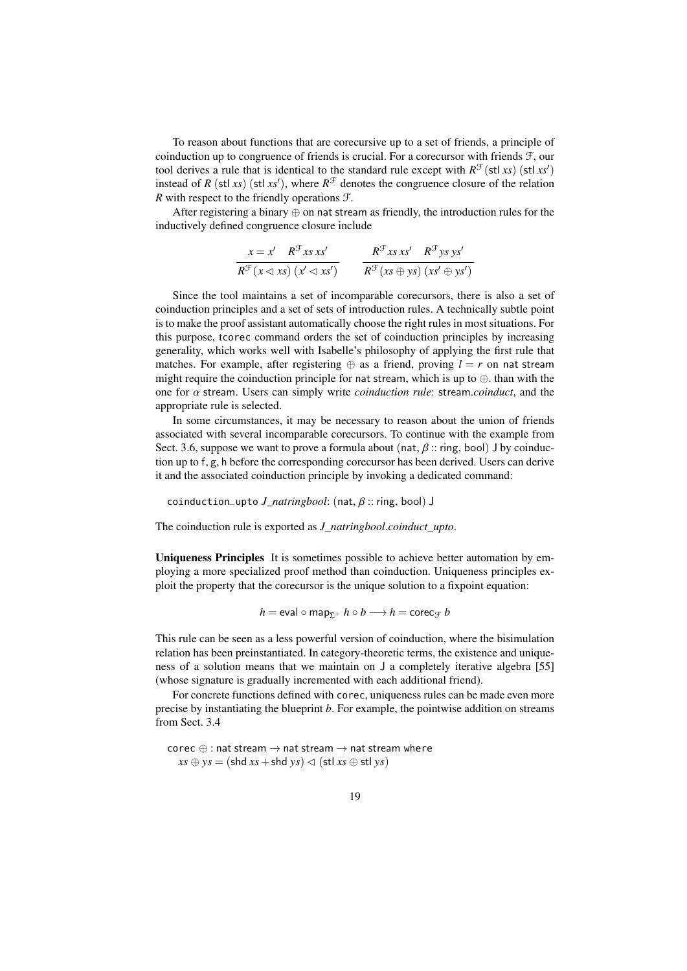To reason about functions that are corecursive up to a set of friends, a principle of coinduction up to congruence of friends is crucial. For a corecursor with friends  $F$ , our tool derives a rule that is identical to the standard rule except with  $R^{\mathcal{F}}(\text{st} \mid xs)$  (stl *xs*<sup>'</sup>) instead of *R* (stl *xs*) (stl *xs*<sup> $\prime$ </sup>), where  $R^{\mathcal{F}}$  denotes the congruence closure of the relation *R* with respect to the friendly operations F.

After registering a binary  $\oplus$  on nat stream as friendly, the introduction rules for the inductively defined congruence closure include

$$
\frac{x = x' \quad R^{\mathcal{F}} x s x s'}{R^{\mathcal{F}} (x \triangleleft x s) \ (x' \triangleleft x s')} \qquad \frac{R^{\mathcal{F}} x s x s' \quad R^{\mathcal{F}} y s y s'}{R^{\mathcal{F}} (x s \oplus y s) \ (x s' \oplus y s')}
$$

Since the tool maintains a set of incomparable corecursors, there is also a set of coinduction principles and a set of sets of introduction rules. A technically subtle point is to make the proof assistant automatically choose the right rules in most situations. For this purpose, tcorec command orders the set of coinduction principles by increasing generality, which works well with Isabelle's philosophy of applying the first rule that matches. For example, after registering  $\oplus$  as a friend, proving  $l = r$  on nat stream might require the coinduction principle for nat stream, which is up to  $\oplus$ . than with the one for α stream. Users can simply write *coinduction rule*: stream.*coinduct*, and the appropriate rule is selected.

In some circumstances, it may be necessary to reason about the union of friends associated with several incomparable corecursors. To continue with the example from Sect. [3.6,](#page-17-1) suppose we want to prove a formula about (nat,  $\beta$  :: ring, bool) J by coinduction up to f, g, h before the corresponding corecursor has been derived. Users can derive it and the associated coinduction principle by invoking a dedicated command:

coinduction\_upto *J\_natringbool*: (nat, β :: ring, bool) <sup>J</sup>

The coinduction rule is exported as *J\_natringbool*.*coinduct\_upto*.

Uniqueness Principles It is sometimes possible to achieve better automation by employing a more specialized proof method than coinduction. Uniqueness principles exploit the property that the corecursor is the unique solution to a fixpoint equation:

 $h =$ eval  $\circ$  map<sub> $\Sigma$ +</sub>  $h \circ b \longrightarrow h =$ corec<sub>T</sub> *b* 

This rule can be seen as a less powerful version of coinduction, where the bisimulation relation has been preinstantiated. In category-theoretic terms, the existence and uniqueness of a solution means that we maintain on J a completely iterative algebra [\[55\]](#page-38-10) (whose signature is gradually incremented with each additional friend).

For concrete functions defined with corec, uniqueness rules can be made even more precise by instantiating the blueprint *b*. For example, the pointwise addition on streams from Sect. [3.4](#page-15-0)

corec  $\oplus$  : nat stream  $\rightarrow$  nat stream  $\rightarrow$  nat stream where  $xs \oplus ys = (shd xs + shd ys) \lhd (stl xs \oplus stl ys)$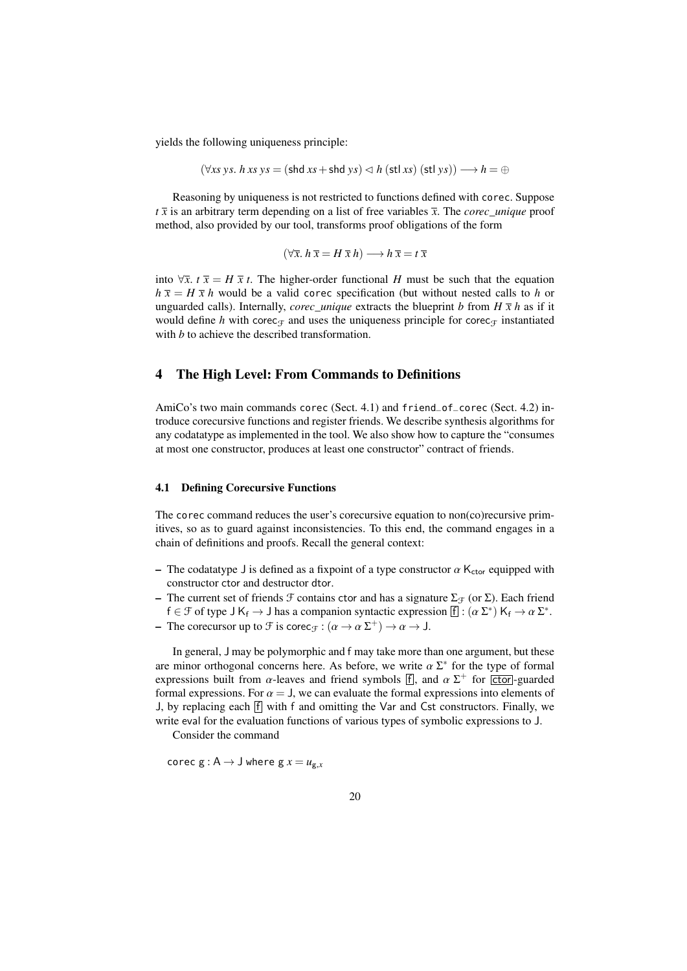yields the following uniqueness principle:

$$
(\forall xs\; ys.\; h\; xs\; ys = (shd\; xs + shd\; ys) \lhd h\; (stl\; xs)\; (stl\; ys)) \longrightarrow h = \oplus
$$

Reasoning by uniqueness is not restricted to functions defined with corec. Suppose  $t\bar{x}$  is an arbitrary term depending on a list of free variables  $\bar{x}$ . The *corec\_unique* proof method, also provided by our tool, transforms proof obligations of the form

$$
(\forall \overline{x}. \ h \ \overline{x} = H \ \overline{x} \ h) \longrightarrow h \ \overline{x} = t \ \overline{x}
$$

into  $\forall \bar{x}$ . *t*  $\bar{x} = H \bar{x} t$ . The higher-order functional *H* must be such that the equation  $h \bar{x} = H \bar{x} h$  would be a valid corec specification (but without nested calls to h or unguarded calls). Internally, *corec\_unique* extracts the blueprint *b* from  $H \bar{x} h$  as if it would define *h* with corec<sub>T</sub> and uses the uniqueness principle for corec<sub>T</sub> instantiated with *b* to achieve the described transformation.

# <span id="page-19-0"></span>4 The High Level: From Commands to Definitions

AmiCo's two main commands corec (Sect. [4.1\)](#page-19-1) and friend\_of\_corec (Sect. [4.2\)](#page-22-0) introduce corecursive functions and register friends. We describe synthesis algorithms for any codatatype as implemented in the tool. We also show how to capture the "consumes at most one constructor, produces at least one constructor" contract of friends.

## <span id="page-19-1"></span>4.1 Defining Corecursive Functions

The corec command reduces the user's corecursive equation to non(co)recursive primitives, so as to guard against inconsistencies. To this end, the command engages in a chain of definitions and proofs. Recall the general context:

- The codatatype J is defined as a fixpoint of a type constructor  $\alpha$  K<sub>ctor</sub> equipped with constructor ctor and destructor dtor.
- The current set of friends  $\mathcal F$  contains ctor and has a signature  $\Sigma_{\mathcal F}$  (or  $\Sigma$ ). Each friend  $f \in \mathcal{F}$  of type  $J K_f \to J$  has a companion syntactic expression  $[f] : (\alpha \Sigma^*) K_f \to \alpha \Sigma^*$ .<br>The corecursor up to  $\mathcal{F}$  is corecurs  $(\alpha \to \alpha \Sigma^+) \to \alpha \to J$ .
- The corecursor up to  $\mathcal F$  is corec<sub> $\mathcal F$ </sub> :  $(\alpha \to \alpha \Sigma^+) \to \alpha \to J$ .

In general, J may be polymorphic and f may take more than one argument, but these are minor orthogonal concerns here. As before, we write  $\alpha \Sigma^*$  for the type of formal<br>expressions built from  $\alpha$ -leaves and friend symbols  $\overline{f}$  and  $\alpha \Sigma^+$  for [stor]-guarded expressions built from  $\alpha$ -leaves and friend symbols [f], and  $\alpha \Sigma^+$  for  $\overline{[ctor]}$ -guarded formal expressions. For  $\alpha = 1$  we can evaluate the formal expressions into elements of formal expressions. For  $\alpha = J$ , we can evaluate the formal expressions into elements of J, by replacing each  $\overline{f}$  with f and omitting the Var and Cst constructors. Finally, we write eval for the evaluation functions of various types of symbolic expressions to J.

Consider the command

corec  $g : A \rightarrow J$  where  $g x = u_{g,x}$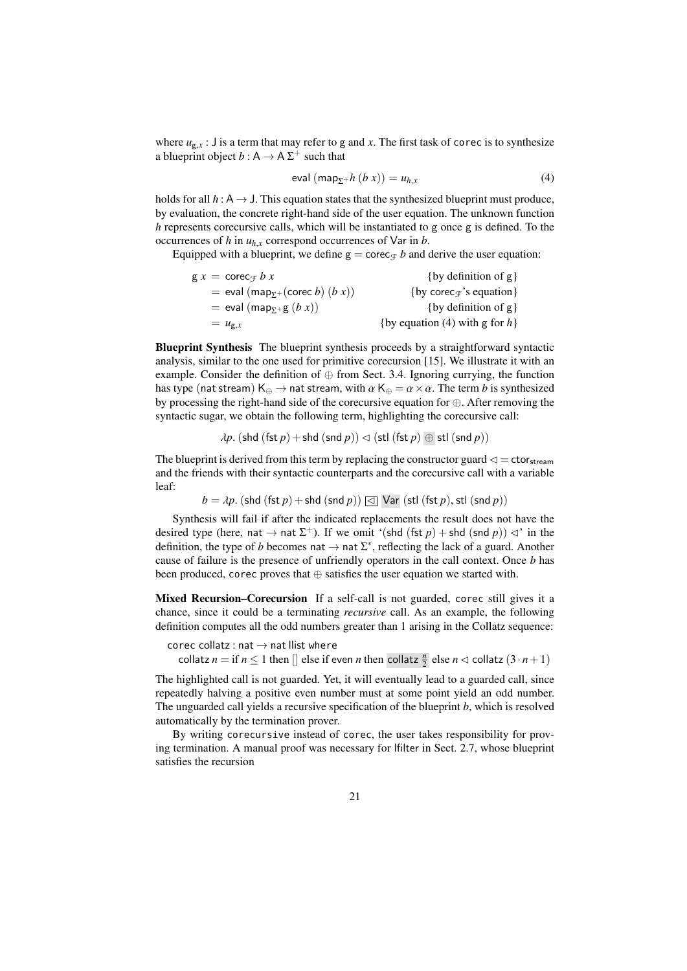where  $u_{g,x}$ : J is a term that may refer to g and *x*. The first task of corec is to synthesize a blueprint object  $b: A \rightarrow A \Sigma^{+}$  such that

<span id="page-20-0"></span>
$$
eval (map_{\Sigma^+}h (b x)) = u_{h,x}
$$
 (4)

holds for all  $h : A \rightarrow J$ . This equation states that the synthesized blueprint must produce, by evaluation, the concrete right-hand side of the user equation. The unknown function *h* represents corecursive calls, which will be instantiated to g once g is defined. To the occurrences of  $h$  in  $u_{h,x}$  correspond occurrences of Var in  $b$ .

Equipped with a blueprint, we define  $g = \text{corec}_{\mathcal{F}} b$  and derive the user equation:

| $gx = \csc_{f} bx$                                                   | {by definition of $g$ }                             |
|----------------------------------------------------------------------|-----------------------------------------------------|
| $=$ eval (map <sub><math>\Sigma^{+}</math></sub> (corec b) $(b x)$ ) | {by corec <sub><math>\tau</math></sub> 's equation} |
| $=$ eval (map <sub>x+</sub> g(bx))                                   | {by definition of $g$ }                             |
| $= u_{g,x}$                                                          | {by equation (4) with g for $h$ }                   |
|                                                                      |                                                     |

Blueprint Synthesis The blueprint synthesis proceeds by a straightforward syntactic analysis, similar to the one used for primitive corecursion [\[15\]](#page-36-6). We illustrate it with an example. Consider the definition of  $\oplus$  from Sect. [3.4.](#page-15-0) Ignoring currying, the function has type (nat stream)  $K_{\oplus} \to$  nat stream, with  $\alpha K_{\oplus} = \alpha \times \alpha$ . The term *b* is synthesized by processing the right-hand side of the corecursive equation for ⊕. After removing the syntactic sugar, we obtain the following term, highlighting the corecursive call:

$$
\lambda p. (\text{shd (fst } p) + \text{shd (snd } p)) \lhd (\text{stl (fst } p) \oplus \text{stl (snd } p))
$$

The blueprint is derived from this term by replacing the constructor guard  $\leq$  = ctor<sub>stream</sub> and the friends with their syntactic counterparts and the corecursive call with a variable leaf:

 $b = \lambda p$ . (shd (fst *p*) + shd (snd *p*))  $\boxed{\triangleleft}$  Var (stl (fst *p*), stl (snd *p*))

Synthesis will fail if after the indicated replacements the result does not have the desired type (here, nat  $\rightarrow$  nat  $\Sigma^{+}$ ). If we omit '(shd (fst *p*) + shd (snd *p*))  $\lhd$ ' in the definition, the type of *b* becomes nat  $\rightarrow$  nat  $\Sigma^*$ , reflecting the lack of a guard. Another cause of failure is the presence of unfriendly operators in the call context. Once *b* has been produced, corec proves that  $oplus$  satisfies the user equation we started with.

Mixed Recursion–Corecursion If a self-call is not guarded, corec still gives it a chance, since it could be a terminating *recursive* call. As an example, the following definition computes all the odd numbers greater than 1 arising in the Collatz sequence:

corec collatz : nat  $\rightarrow$  nat llist where

collatz  $n =$  if  $n \leq 1$  then  $\lbrack \rbrack$  else if even  $n$  then collatz  $\frac{n}{2}$  else  $n \lhd$  collatz  $(3 \cdot n + 1)$ 

The highlighted call is not guarded. Yet, it will eventually lead to a guarded call, since repeatedly halving a positive even number must at some point yield an odd number. The unguarded call yields a recursive specification of the blueprint *b*, which is resolved automatically by the termination prover.

By writing corecursive instead of corec, the user takes responsibility for proving termination. A manual proof was necessary for lfilter in Sect. [2.7,](#page-9-1) whose blueprint satisfies the recursion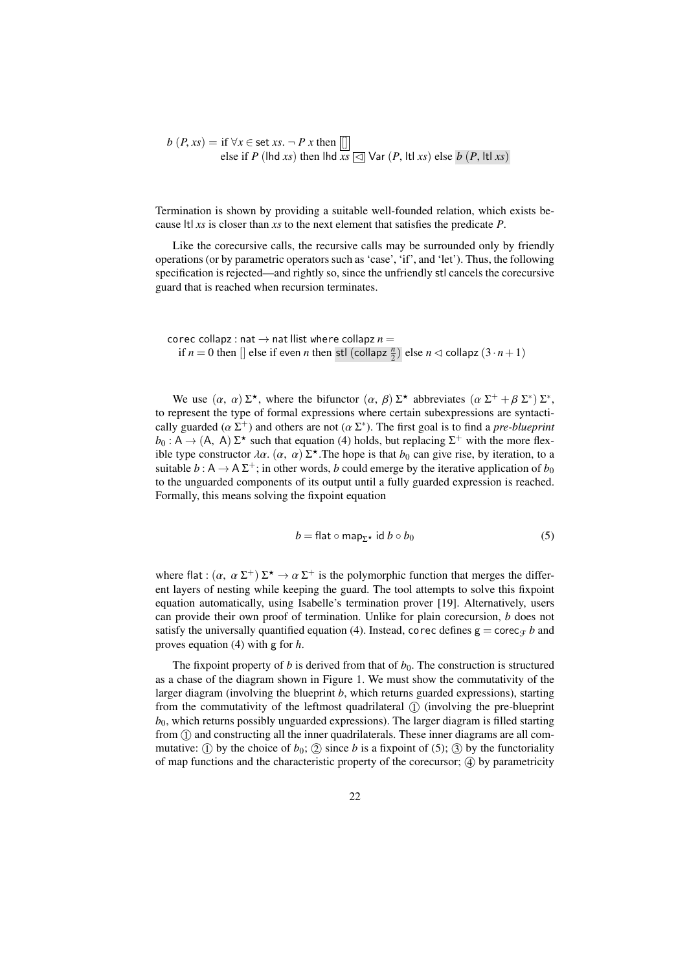*<sup>b</sup>* (*P*, *xs*) = if <sup>∀</sup>*<sup>x</sup>* <sup>∈</sup> set *xs*. <sup>¬</sup> *P x* then [] else if *<sup>P</sup>* (lhd *xs*) then lhd *xs* <sup>C</sup> Var (*P*, ltl *xs*) else *<sup>b</sup>* (*P*, ltl *xs*)

Termination is shown by providing a suitable well-founded relation, which exists because ltl *xs* is closer than *xs* to the next element that satisfies the predicate *P*.

Like the corecursive calls, the recursive calls may be surrounded only by friendly operations (or by parametric operators such as 'case', 'if', and 'let'). Thus, the following specification is rejected—and rightly so, since the unfriendly stl cancels the corecursive guard that is reached when recursion terminates.

corec collapz : nat  $\rightarrow$  nat llist where collapz  $n =$ if  $n = 0$  then  $\left[ \right]$  else if even *n* then stl (collapz  $\frac{n}{2}$ ) else  $n \lhd$  collapz  $(3 \cdot n + 1)$ 

We use  $(\alpha, \alpha) \Sigma^*$ , where the bifunctor  $(\alpha, \beta) \Sigma^*$  abbreviates  $(\alpha \Sigma^+ + \beta \Sigma^*) \Sigma^*$ , to represent the type of formal expressions where certain subexpressions are syntactically guarded ( $\alpha \Sigma^+$ ) and others are not ( $\alpha \Sigma^*$ ). The first goal is to find a *pre-blueprint*<br> $h_0: \Delta \rightarrow (\Delta \Delta) \Sigma^*$  such that equation (A) holds, but replacing  $\Sigma^+$  with the more flex.  $b_0: A \to (A, A) \Sigma^*$  such that equation [\(4\)](#page-20-0) holds, but replacing  $\Sigma^+$  with the more flex-<br>ible type constructor  $\partial \alpha$  ( $\alpha$ ,  $\alpha$ )  $\Sigma^*$ . The hope is that be can give rise, by iteration to a ible type constructor  $\lambda \alpha$ .  $(\alpha, \alpha) \Sigma^*$ . The hope is that  $b_0$  can give rise, by iteration, to a suitable  $b : \Delta \rightarrow \Delta \Sigma^+$ ; in other words, b could emerge by the iterative application of bo suitable  $b: A \to A \Sigma^+$ ; in other words, *b* could emerge by the iterative application of  $b_0$ to the unguarded components of its output until a fully guarded expression is reached. Formally, this means solving the fixpoint equation

<span id="page-21-0"></span>
$$
b = \text{flat} \circ \text{map}_{\Sigma^*} \text{ id } b \circ b_0 \tag{5}
$$

where flat :  $(\alpha, \alpha \Sigma^{+}) \Sigma^{*} \to \alpha \Sigma^{+}$  is the polymorphic function that merges the different layers of nesting while keeping the guard. The tool attempts to solve this fixpoint ent layers of nesting while keeping the guard. The tool attempts to solve this fixpoint equation automatically, using Isabelle's termination prover [\[19\]](#page-36-13). Alternatively, users can provide their own proof of termination. Unlike for plain corecursion, *b* does not satisfy the universally quantified equation [\(4\)](#page-20-0). Instead, corec defines  $g = \text{corec}_{\pm} b$  and proves equation [\(4\)](#page-20-0) with g for *h*.

The fixpoint property of *b* is derived from that of  $b<sub>0</sub>$ . The construction is structured as a chase of the diagram shown in Figure [1.](#page-22-1) We must show the commutativity of the larger diagram (involving the blueprint *b*, which returns guarded expressions), starting from the commutativity of the leftmost quadrilateral  $(1)$  (involving the pre-blueprint  $b<sub>0</sub>$ , which returns possibly unguarded expressions). The larger diagram is filled starting from (1) and constructing all the inner quadrilaterals. These inner diagrams are all commutative: (1) by the choice of  $b_0$ ; (2) since *b* is a fixpoint of [\(5\)](#page-21-0); (3) by the functoriality of map functions and the characteristic property of the corecursor;  $\phi$  by parametricity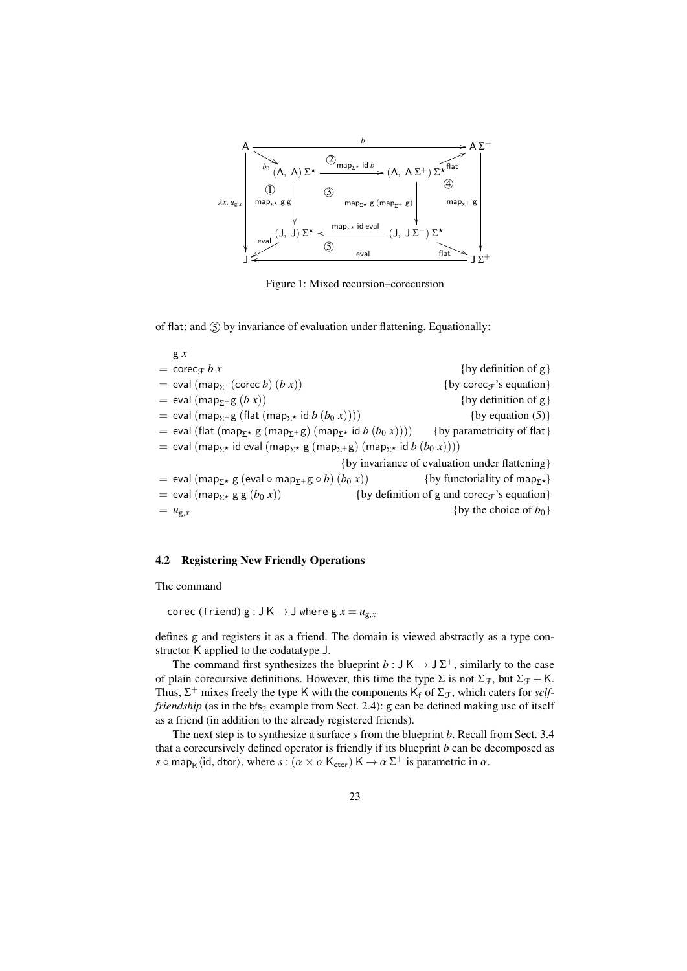<span id="page-22-1"></span>

Figure 1: Mixed recursion–corecursion

of flat; and  $\circ$  by invariance of evaluation under flattening. Equationally:

g *x*  $=$  corec<sub>T</sub> *b x* {by definition of g} = eval (map<sub> $\Sigma$ +</sub> (corec *b*) (*b x*)) {by corec<sub>T</sub>'s equation}<br>= eval (map<sub> $\Sigma$ +</sub> g (*b x*)) {by definition of g}  $=$  eval (map<sub>y+</sub>  $g(b x)$ ) = eval (map<sub>Σ+</sub> g (flat (map<sub>Σ</sub>\* id *b* (*b*<sub>0</sub> *x*)))) {by equation [\(5\)](#page-21-0)}<br>= eval (flat (map<sub>Σ\*</sub> g (map<sub>Σ\*</sub> g) (map<sub>Σ\*</sub> id *b* (*b*<sub>0</sub> *x*)))) {by parametricity of flat}  $=$  eval (flat (map<sub>Σ\*</sub> g (map<sub>Σ+</sub> g) (map<sub>Σ\*</sub> id *b* (*b*<sub>0</sub> *x*))))  $=$  eval (map<sub>Σ\*</sub> id eval (map<sub>Σ\*</sub> g (map<sub>Σ+</sub> g) (map<sub>Σ\*</sub> id *b* (*b*<sub>0</sub> *x*)))) {by invariance of evaluation under flattening} = eval (map<sub>Σ</sub>\* g (eval ∘ map<sub>Σ</sub>+ g ∘ *b*) (*b*<sub>0</sub> *x*)) {by functoriality of map<sub>Σ</sub>\*)<br>= eval (map<sub>Σ</sub>\* g g (*b*<sub>0</sub> *x*)) {by definition of g and corec<sub>*T*</sub>'s equation = eval (map<sub>Σ</sub>\* g g (*b*<sub>0</sub> *x*)) {by definition of g and corec<sub>T</sub>'s equation}<br>=  $u_{g.x}$  {by the choice of *b*<sub>0</sub>} {by the choice of  $b_0$ }

# <span id="page-22-0"></span>4.2 Registering New Friendly Operations

The command

corec (friend)  $g : J K \rightarrow J$  where  $g x = u_{g.x}$ 

defines g and registers it as a friend. The domain is viewed abstractly as a type constructor K applied to the codatatype J.

The command first synthesizes the blueprint  $b: J K \rightarrow J \Sigma^{+}$ , similarly to the case of plain corecursive definitions. However, this time the type  $\Sigma$  is not  $\Sigma_{\mathcal{F}}$ , but  $\Sigma_{\mathcal{F}} + \mathsf{K}$ . Thus,  $\Sigma^+$  mixes freely the type K with the components  $K_f$  of  $\Sigma_f$ , which caters for *selffriendship* (as in the bfs<sub>2</sub> example from Sect. [2.4\)](#page-7-0): g can be defined making use of itself as a friend (in addition to the already registered friends).

The next step is to synthesize a surface *s* from the blueprint *b*. Recall from Sect. [3.4](#page-15-0) that a corecursively defined operator is friendly if its blueprint *b* can be decomposed as *s*  $\circ$  map<sub>K</sub>  $\langle$ id, dtor $\rangle$ , where  $s : (\alpha \times \alpha \mathsf{K}_{\text{ctor}}) \mathsf{K} \to \alpha \Sigma^+$  is parametric in  $\alpha$ .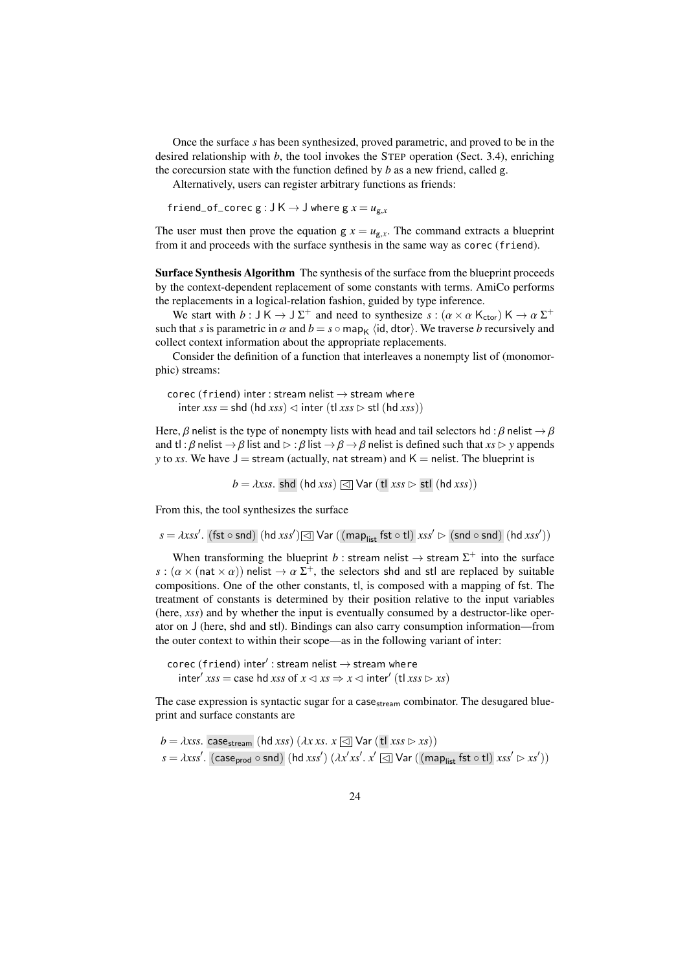Once the surface *s* has been synthesized, proved parametric, and proved to be in the desired relationship with *b*, the tool invokes the STEP operation (Sect. [3.4\)](#page-15-0), enriching the corecursion state with the function defined by *b* as a new friend, called g.

Alternatively, users can register arbitrary functions as friends:

friend\_of\_corec  $g : J K \rightarrow J$  where  $g x = u_{g.x}$ 

The user must then prove the equation  $g x = u_{g.x}$ . The command extracts a blueprint from it and proceeds with the surface synthesis in the same way as corec (friend).

Surface Synthesis Algorithm The synthesis of the surface from the blueprint proceeds by the context-dependent replacement of some constants with terms. AmiCo performs the replacements in a logical-relation fashion, guided by type inference.

We start with  $b : J K \to J \Sigma^+$  and need to synthesize  $s : (\alpha \times \alpha K_{\text{ctor}}) K \to \alpha \Sigma^+$ <br>b that s is parametric in  $\alpha$  and  $b = s \cap \text{map}$ , (id dtor). We traverse b recursively and such that *s* is parametric in  $\alpha$  and  $b = s \circ \text{map}_{K}$  (id, dtor). We traverse *b* recursively and collect context information about the appropriate replacements.

Consider the definition of a function that interleaves a nonempty list of (monomorphic) streams:

corec (friend) inter : stream nelist  $\rightarrow$  stream where  $\text{inter } x s s = \text{shd } (\text{hd } x s s) \lhd \text{inter } (\text{tl } x s s \rhd \text{stl } (\text{hd } x s s))$ 

Here,  $\beta$  nelist is the type of nonempty lists with head and tail selectors hd :  $\beta$  nelist  $\rightarrow \beta$ and tl :  $\beta$  nelist  $\rightarrow \beta$  list and  $\triangleright$  :  $\beta$  list  $\rightarrow \beta \rightarrow \beta$  nelist is defined such that *xs*  $\triangleright$  *y* appends *y* to *xs*. We have  $J =$  stream (actually, nat stream) and  $K =$  nelist. The blueprint is

 $b = \lambda x$ ss. shd (hd *xss*)  $\text{Q}$  Var (tl *xss*  $\text{D}$  stl (hd *xss*))

From this, the tool synthesizes the surface

```
s = \lambda x s s'. (fst ◦ snd) (hd xss')\boxed{\triangleleft} Var ((map<sub>list</sub> fst ◦ tl) xss' \rhd (snd ◦ snd) (hd xss'))
```
When transforming the blueprint *b* : stream nelist  $\rightarrow$  stream  $\Sigma^{+}$  into the surface  $s : (\alpha \times (\text{nat} \times \alpha))$  nelist  $\rightarrow \alpha \Sigma^{+}$ , the selectors shd and stl are replaced by suitable<br>compositions. One of the other constants, this composed with a manning of fst. The compositions. One of the other constants, tl, is composed with a mapping of fst. The treatment of constants is determined by their position relative to the input variables (here, *xss*) and by whether the input is eventually consumed by a destructor-like operator on J (here, shd and stl). Bindings can also carry consumption information—from the outer context to within their scope—as in the following variant of inter:

corec (friend)  $\mathsf{inter}'$ : stream nelist  $\rightarrow$  stream where inter<sup>0</sup> *xss* = case hd *xss* of *x* C *xs* ⇒ *x* C inter<sup>0</sup> (tl *xss* B *xs*)

The case expression is syntactic sugar for a case  $_{\rm stream}$  combinator. The desugared blueprint and surface constants are

 $b = \lambda x$ ss. case<sub>stream</sub> (hd *xss*) ( $\lambda x$  *xs*.  $x \le \infty$  Var (tl *xss*  $\triangleright$  *xs*)) *<sup>s</sup>* <sup>=</sup> λ*xss*<sup>0</sup> . (caseprod ◦ snd) (hd *xss*<sup>0</sup> ) (λ*<sup>x</sup>* 0 *xs*0 . *x* <sup>0</sup> C Var ((maplist fst ◦ tl) *xss*<sup>0</sup> B *xs*<sup>0</sup> ))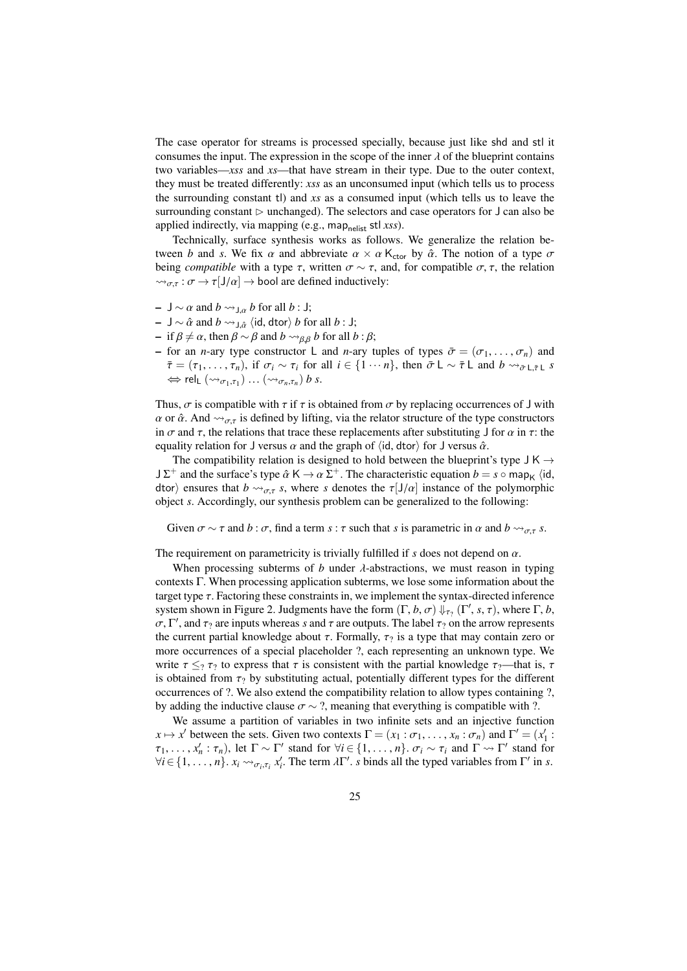The case operator for streams is processed specially, because just like shd and stl it consumes the input. The expression in the scope of the inner  $\lambda$  of the blueprint contains two variables—*xss* and *xs*—that have stream in their type. Due to the outer context, they must be treated differently: *xss* as an unconsumed input (which tells us to process the surrounding constant tl) and *xs* as a consumed input (which tells us to leave the surrounding constant  $\triangleright$  unchanged). The selectors and case operators for J can also be applied indirectly, via mapping (e.g., map<sub>nelist</sub> stl *xss*).

Technically, surface synthesis works as follows. We generalize the relation between *b* and *s*. We fix  $\alpha$  and abbreviate  $\alpha \times \alpha$  K<sub>ctor</sub> by  $\hat{\alpha}$ . The notion of a type  $\sigma$ being *compatible* with a type  $\tau$ , written  $\sigma \sim \tau$ , and, for compatible  $\sigma$ ,  $\tau$ , the relation  $\rightsquigarrow_{\sigma,\tau} : \sigma \to \tau[{\mathsf{J}}/\alpha] \to \text{bool}$  are defined inductively:

- $-$  J ∼ α and  $b \rightarrow$ <sub>J,α</sub> b for all b : J;
- J ∼  $\hat{\alpha}$  and  $b \leadsto_{J,\hat{\alpha}} \langle id, \text{dtor} \rangle$  *b* for all *b* : J;
- if  $β ≠ α$ , then  $β ∼ β$  and  $b ∼ β$ , b for all  $b : β$ ;
- for an *n*-ary type constructor L and *n*-ary tuples of types  $\bar{\sigma} = (\sigma_1, \dots, \sigma_n)$  and  $\bar{\tau} = (\tau_1, \ldots, \tau_n)$ , if  $\sigma_i \sim \tau_i$  for all  $i \in \{1 \cdots n\}$ , then  $\bar{\sigma} \mathsf{L} \sim \bar{\tau} \mathsf{L}$  and  $b \leadsto_{\bar{\sigma} \mathsf{L} \bar{\tau} \mathsf{L}} s$  $\Leftrightarrow$  rel<sub>L</sub>  $(\leadsto_{\sigma_1,\tau_1}) \dots (\leadsto_{\sigma_n,\tau_n}) b s.$

Thus,  $\sigma$  is compatible with  $\tau$  if  $\tau$  is obtained from  $\sigma$  by replacing occurrences of J with  $\alpha$  or  $\hat{\alpha}$ . And  $\rightsquigarrow_{\sigma,\tau}$  is defined by lifting, via the relator structure of the type constructors in  $\sigma$  and  $\tau$ , the relations that trace these replacements after substituting J for  $\alpha$  in  $\tau$ : the equality relation for J versus  $\alpha$  and the graph of  $\langle id, dtor \rangle$  for J versus  $\hat{\alpha}$ .

The compatibility relation is designed to hold between the blueprint's type  $J K \rightarrow$  $J \Sigma^+$  and the surface's type  $\hat{\alpha} \mathsf{K} \to \alpha \Sigma^+$ . The characteristic equation  $b = s \circ \text{map}_{\mathsf{K}} \langle \text{id}, \text{id}_{\mathsf{K}} \rangle$  ensures that  $b \sim s$ , where s denotes the  $\tau | J/\alpha|$  instance of the polymorphic dtor) ensures that  $b \rightarrow_{\sigma,\tau} s$ , where *s* denotes the  $\tau[J/\alpha]$  instance of the polymorphic object *s*. Accordingly, our synthesis problem can be generalized to the following:

Given  $\sigma \sim \tau$  and  $b : \sigma$ , find a term  $s : \tau$  such that  $s$  is parametric in  $\alpha$  and  $b \leadsto_{\sigma,\tau} s$ .

The requirement on parametricity is trivially fulfilled if  $s$  does not depend on  $\alpha$ .

When processing subterms of *b* under  $\lambda$ -abstractions, we must reason in typing contexts Γ. When processing application subterms, we lose some information about the target type  $\tau$ . Factoring these constraints in, we implement the syntax-directed inference system shown in Figure [2.](#page-25-0) Judgments have the form  $(\Gamma, b, \sigma) \Downarrow_{\tau_?} (\Gamma', s, \tau)$ , where  $\Gamma, b$ ,  $\sigma \Gamma'$  and  $\tau_0$  are inputs whereas s and  $\tau$  are outputs. The label  $\tau_0$  on the arrow represents  $\sigma$ , Γ', and τ<sub>?</sub> are inputs whereas *s* and τ are outputs. The label τ<sub>?</sub> on the arrow represents<br>the current partial knowledge about τ. Formally, το is a type that may contain zero or the current partial knowledge about  $\tau$ . Formally,  $\tau_2$  is a type that may contain zero or more occurrences of a special placeholder ?, each representing an unknown type. We write  $\tau \leq_2 \tau_2$  to express that  $\tau$  is consistent with the partial knowledge  $\tau_2$ —that is,  $\tau$ is obtained from  $\tau_2$  by substituting actual, potentially different types for the different occurrences of ?. We also extend the compatibility relation to allow types containing ?, by adding the inductive clause  $\sigma \sim ?$ , meaning that everything is compatible with ?.

<span id="page-24-0"></span>We assume a partition of variables in two infinite sets and an injective function  $x \mapsto x'$  between the sets. Given two contexts  $\Gamma = (x_1 : \sigma_1, \ldots, x_n : \sigma_n)$  and  $\Gamma' = (x'_1 : \tau)$ <br>  $x' \mapsto \tau$ ) let  $\Gamma \sim \Gamma'$  stand for  $\forall i \in \{1, \ldots, n\}$  or  $\sim \tau$  and  $\Gamma \sim \Gamma'$  stand for  $\tau_1, \ldots, x_n' : \tau_n$ ), let  $\Gamma \sim \Gamma'$  stand for  $\forall i \in \{1, \ldots, n\}$ .  $\sigma_i \sim \tau_i$  and  $\Gamma \sim \Gamma'$  stand for  $\forall i \in I$  and  $\Gamma$  is  $\Gamma'$  in  $\Gamma$  $\forall i \in \{1, \ldots, n\}$ .  $x_i \leadsto_{\sigma_i, \tau_i} x'_i$ . The term  $\lambda \Gamma'$ . *s* binds all the typed variables from  $\Gamma'$  in *s*.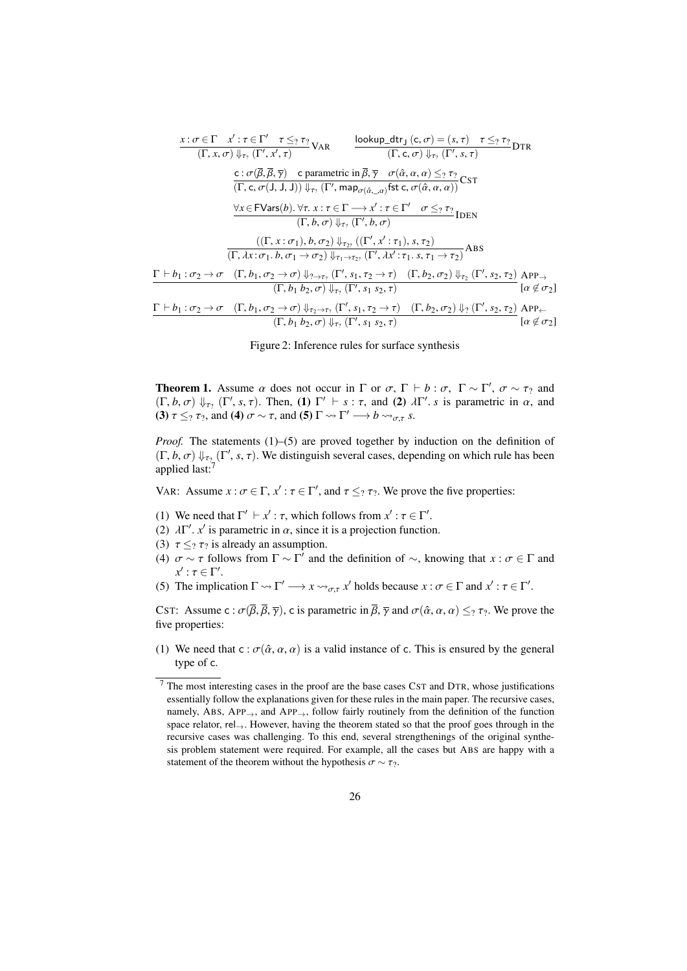<span id="page-25-0"></span>
$$
\frac{x:\sigma \in \Gamma \quad x': \tau \in \Gamma' \quad \tau \leq_? \tau_?}{(\Gamma, x, \sigma) \Downarrow_{\tau_?} (\Gamma', x', \tau)} \text{Var} \qquad \frac{\text{lookup\_dtr}_J(c, \sigma) = (s, \tau) \quad \tau \leq_? \tau_?}{(\Gamma, c, \sigma) \Downarrow_{\tau_?} (\Gamma', s, \tau)} \text{DTR}
$$
\n
$$
\frac{c:\sigma(\overline{\beta}, \overline{\beta}, \overline{\gamma}) \quad c \text{ parametric in } \overline{\beta}, \overline{\gamma} \quad \sigma(\hat{\alpha}, \alpha, \alpha) \leq_? \tau_?}{(\Gamma, c, \sigma(J, J, J)) \Downarrow_{\tau_?} (\Gamma', \text{map}_{\sigma(\hat{\alpha}, \dots \alpha)} \text{fst } c, \sigma(\hat{\alpha}, \alpha, \alpha))} \text{CST}
$$
\n
$$
\frac{\forall x \in \text{FVars}(b). \forall \tau, x: \tau \in \Gamma \longrightarrow x': \tau \in \Gamma' \quad \sigma \leq_? \tau_?}{(\Gamma, b, \sigma) \Downarrow_{\tau_?} (\Gamma', b, \sigma)}
$$
\n
$$
\frac{((\Gamma, x: \sigma_1), b, \sigma_2) \Downarrow_{\tau_2?} ((\Gamma', x': \tau_1), s, \tau_2)}{(\Gamma, \lambda x: \sigma_1. b, \sigma_1 \rightarrow \sigma_2) \Downarrow_{\tau_1 \rightarrow \tau_2?} (\Gamma', \lambda x': \tau_1. s, \tau_1 \rightarrow \tau_2)} \text{ABS}
$$
\n
$$
\frac{\Gamma \vdash b_1: \sigma_2 \rightarrow \sigma \quad (\Gamma, b_1, \sigma_2 \rightarrow \sigma) \Downarrow_{\tau_? \rightarrow \tau_?} (\Gamma', s_1, \tau_2 \rightarrow \tau) \quad (\Gamma, b_2, \sigma_2) \Downarrow_{\tau_2} (\Gamma', s_2, \tau_2)}{(\Gamma, b_1 b_2, \sigma) \Downarrow_{\tau_?} (\Gamma', s_1 s_2, \tau)} \text{DFP}_{\rightarrow} \text{Var}(a, \phi, \sigma_2) \text{DFP}_{\rightarrow} \text{Var}(a, \phi, \sigma_2) \text{DFP}_{\rightarrow} \text{Var}(a, \phi, \sigma_2) \text{DFP}_{\rightarrow} \text{Var}(a, \phi, \sigma_2) \text{DFP}_{\rightarrow} \text{Var}(a, \phi
$$

Figure 2: Inference rules for surface synthesis

**Theorem 1.** Assume  $\alpha$  does not occur in  $\Gamma$  or  $\sigma$ ,  $\Gamma \vdash b : \sigma$ ,  $\Gamma \sim \Gamma'$ ,  $\sigma \sim \tau_2$  and  $(\Gamma, b, \sigma) \parallel (\Gamma' \times \tau)$ . Then (1)  $\Gamma' \vdash s : \tau$  and (2)  $\lambda \Gamma'$  s is parametric in  $\alpha$  and  $(\Gamma, b, \sigma) \Downarrow_{\tau_2} (\Gamma', s, \tau)$ . Then, (1)  $\Gamma' \vdash s : \tau$ , and (2)  $\lambda \Gamma'$ . *s* is parametric in  $\alpha$ , and (3)  $\tau \leq_{\alpha} \tau_2$  and (4)  $\tau \approx \tau$  and (5)  $\Gamma \approx \Gamma' \longrightarrow b \approx_{\alpha} s$ (3)  $\tau \leq_7 \tau_7$ , and (4)  $\sigma \sim \tau$ , and (5)  $\Gamma \rightsquigarrow \Gamma' \longrightarrow b \rightsquigarrow_{\sigma,\tau} s$ .

*Proof.* The statements (1)–(5) are proved together by induction on the definition of  $(\Gamma, b, \sigma) \Downarrow_{\tau_2} (\Gamma', s, \tau)$ . We distinguish several cases, depending on which rule has been<br>applied last<sup>-7</sup> applied last:<sup>[7](#page-25-1)</sup>

VAR: Assume  $x : \sigma \in \Gamma$ ,  $x' : \tau \in \Gamma'$ , and  $\tau \leq_? \tau_?$ . We prove the five properties:

- (1) We need that  $\Gamma' \vdash x' : \tau$ , which follows from  $x' : \tau \in \Gamma'$ .<br>(2)  $\lambda \Gamma' x'$  is parametric in  $\alpha$  since it is a projection function
- (2)  $\lambda \Gamma'$ . *x'* is parametric in  $\alpha$ , since it is a projection function.<br>(3)  $\tau \leq \tau_2$  is already an assumption
- (3)  $\tau \leq_? \tau_?$  is already an assumption.
- (4)  $\sigma \sim \tau$  follows from  $\Gamma \sim \Gamma'$  and the definition of  $\sim$ , knowing that  $x : \sigma \in \Gamma$  and  $x' : \tau \in \Gamma'$  $x'$  :  $\tau \in \Gamma'$ .<br>The implic
- (5) The implication  $\Gamma \rightsquigarrow \Gamma' \longrightarrow x \rightsquigarrow_{\sigma,\tau} x'$  holds because  $x : \sigma \in \Gamma$  and  $x' : \tau \in \Gamma'$ .

CST: Assume c :  $\sigma(\overline{\beta}, \overline{\beta}, \overline{\gamma})$ , c is parametric in  $\overline{\beta}, \overline{\gamma}$  and  $\sigma(\hat{\alpha}, \alpha, \alpha) \leq_? \tau$ ?. We prove the five properties:

(1) We need that  $c : \sigma(\hat{\alpha}, \alpha, \alpha)$  is a valid instance of c. This is ensured by the general type of c.

<span id="page-25-1"></span><sup>7</sup> The most interesting cases in the proof are the base cases CST and DTR, whose justifications essentially follow the explanations given for these rules in the main paper. The recursive cases, namely, ABS, APP $\rightarrow$ , and APP $\rightarrow$ , follow fairly routinely from the definition of the function space relator, rel→. However, having the theorem stated so that the proof goes through in the recursive cases was challenging. To this end, several strengthenings of the original synthesis problem statement were required. For example, all the cases but ABS are happy with a statement of the theorem without the hypothesis  $\sigma \sim \tau_?$ .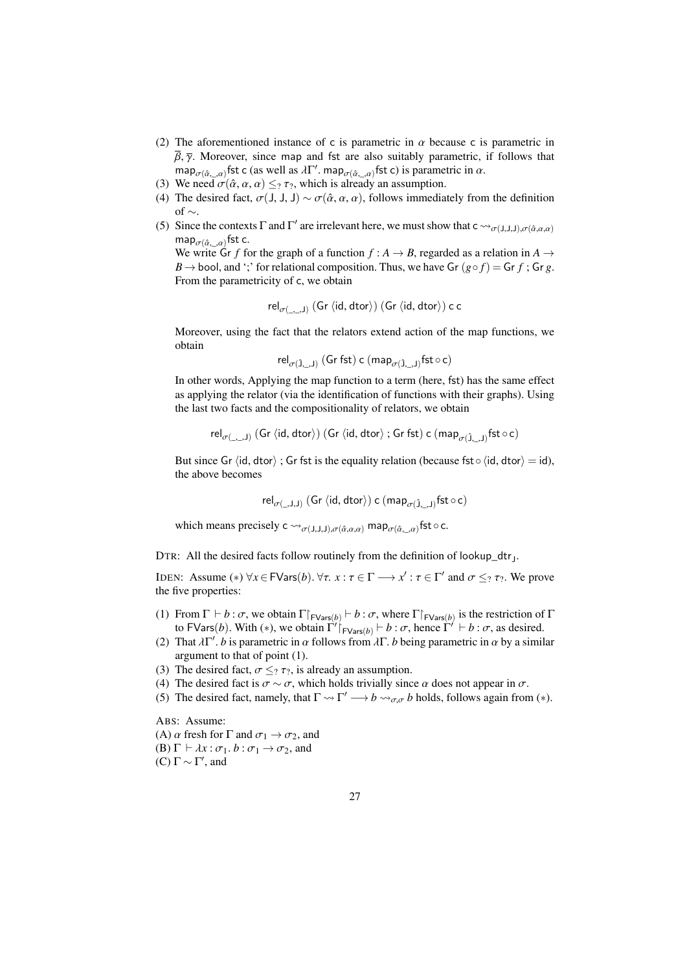- (2) The aforementioned instance of c is parametric in  $\alpha$  because c is parametric in  $\bar{\beta}$ ,  $\bar{\gamma}$ . Moreover, since map and fst are also suitably parametric, if follows that map<sub>σ</sub>( $\hat{\alpha}_{r,\alpha\alpha}$ ) fst c (as well as  $\lambda \Gamma'$ , map<sub>σ</sub>( $\hat{\alpha}_{r,\alpha\alpha}$ ) fst c) is parametric in  $\alpha$ .<br>We need  $\sigma(\hat{\alpha}, \alpha, \alpha) \leq \alpha$ , which is already an assumption
- (3) We need  $\sigma(\hat{\alpha}, \alpha, \alpha) \leq_? \tau_?$ , which is already an assumption.
- (4) The desired fact,  $\sigma$ (J, J, J) ~  $\sigma$ ( $\hat{\alpha}$ ,  $\alpha$ ,  $\alpha$ ), follows immediately from the definition of  $\sim$ .
- (5) Since the contexts  $\Gamma$  and  $\Gamma'$  are irrelevant here, we must show that  $c \leadsto_{\sigma(J,J,J),\sigma(\hat{\alpha},\alpha,\alpha)}$ map $_{\sigma(\hat{\alpha}_\cdot, \alpha)}$ fst c.<br>We write Cr. f fa

We write Gr *f* for the graph of a function  $f : A \rightarrow B$ , regarded as a relation in  $A \rightarrow$ *B*  $\rightarrow$  bool, and ';' for relational composition. Thus, we have Gr  $(g \circ f) =$  Gr *f*; Gr *g*. From the parametricity of c, we obtain

$$
\mathsf{rel}_{\sigma(\_,\_,\mathsf{J})}\left(\mathsf{Gr}\left\langle\mathsf{id},\mathsf{dtor}\right\rangle\right)\left(\mathsf{Gr}\left\langle\mathsf{id},\mathsf{dtor}\right\rangle\right)\mathsf{c}\,\mathsf{c}
$$

Moreover, using the fact that the relators extend action of the map functions, we obtain

$$
\mathsf{rel}_{\sigma(\hat{\mathtt{J}},\_,\mathtt{J})}\;(\mathsf{Gr}\;\mathsf{fst})\;c\;(\mathsf{map}_{\sigma(\hat{\mathtt{J}},\_,\mathtt{J})}\mathsf{fst}\circ c)
$$

In other words, Applying the map function to a term (here, fst) has the same effect as applying the relator (via the identification of functions with their graphs). Using the last two facts and the compositionality of relators, we obtain

$$
\mathsf{rel}_{\sigma(\_,\_,\mathsf{J})}\left(\mathsf{Gr}\left\langle \mathsf{id},\mathsf{dtor}\right\rangle \right)(\mathsf{Gr}\left\langle \mathsf{id},\mathsf{dtor}\right\rangle;\mathsf{Gr}\mathsf{fst})\ \mathsf{c}\left(\mathsf{map}_{\sigma(\hat{\mathsf{J}},\_,\mathsf{J})}\mathsf{fst}\circ\mathsf{c}\right)
$$

But since Gr  $\langle id, \text{dtor} \rangle$ ; Gr fst is the equality relation (because fst∘  $\langle id, \text{dtor} \rangle = id$ ), the above becomes

 $\mathsf{rel}_{\sigma(\_,\mathsf{J},\mathsf{J})}(\mathsf{Gr}\langle\mathsf{id},\mathsf{dtor}\rangle)$  c  $(\mathsf{map}_{\sigma(\hat{\mathsf{J}},\_,\mathsf{J})}\mathsf{fst}\circ\mathsf{c})$ 

which means precisely  $c \leadsto_{\sigma(J,J,J),\sigma(\hat{\alpha},\alpha,\alpha)} \text{map}_{\sigma(\hat{\alpha},\_\alpha)} \text{fst} \circ c$ .

DTR: All the desired facts follow routinely from the definition of lookup\_dtr<sub>J</sub>.

IDEN: Assume  $(*) \forall x \in \mathsf{FVars}(b)$ .  $\forall \tau \in \mathcal{X} : \tau \in \Gamma \longrightarrow x' : \tau \in \Gamma'$  and  $\sigma \leq_? \tau_?$ . We prove the five properties: the five properties:

- (1) From  $\Gamma \vdash b : \sigma$ , we obtain  $\Gamma \upharpoonright_{\text{FVars}(b)} \vdash b : \sigma$ , where  $\Gamma \upharpoonright_{\text{FVars}(b)}$  is the restriction of  $\Gamma$  to  $\Gamma$  is the restriction of  $\Gamma$ to FVars(*b*). With (\*), we obtain  $\Gamma'$   $\vdash_{FVars(b)}$  + *b* : *σ*, hence  $\Gamma' \vdash b$  : *σ*, as desired.
- (2) That  $\lambda \Gamma'$ . *b* is parametric in  $\alpha$  follows from  $\lambda \Gamma$ . *b* being parametric in  $\alpha$  by a similar argument to that of point (1) argument to that of point (1).
- (3) The desired fact,  $\sigma \leq_? \tau_?$ , is already an assumption.
- (4) The desired fact is  $\sigma \sim \sigma$ , which holds trivially since  $\alpha$  does not appear in  $\sigma$ .
- (5) The desired fact, namely, that  $\Gamma \leadsto \Gamma' \longrightarrow b \leadsto_{\sigma,\sigma} b$  holds, follows again from (\*).

ABS: Assume:

(A)  $\alpha$  fresh for  $\Gamma$  and  $\sigma_1 \rightarrow \sigma_2$ , and

(B)  $\Gamma \vdash \lambda x : \sigma_1 \ldotp b : \sigma_1 \rightarrow \sigma_2$ , and

(C) Γ  $\sim$  Γ', and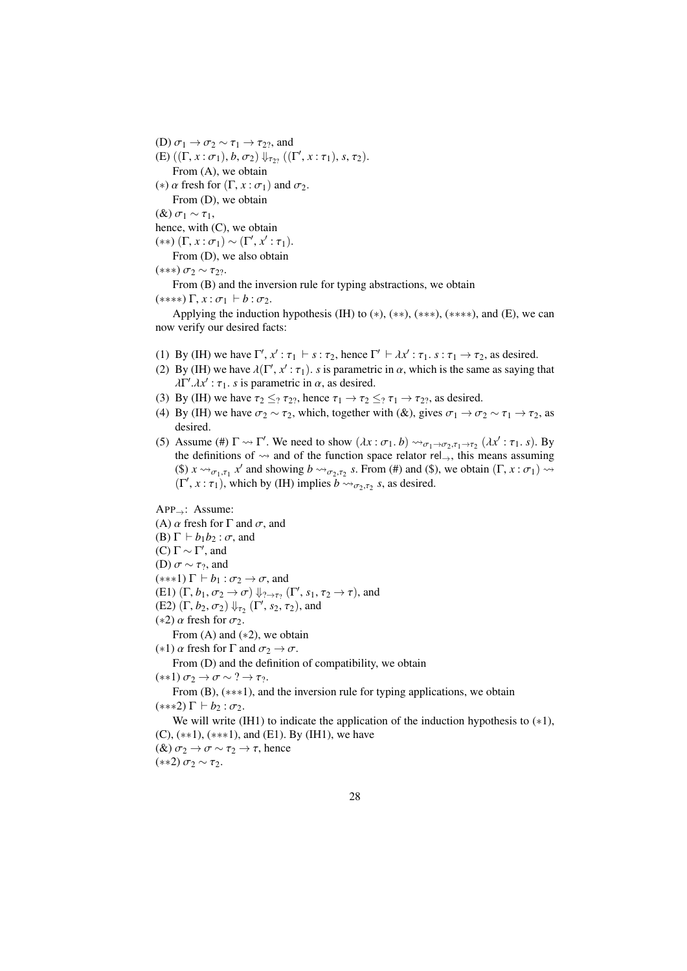(D)  $\sigma_1 \rightarrow \sigma_2 \sim \tau_1 \rightarrow \tau_2$ ?, and (E)  $((\Gamma, x : \sigma_1), b, \sigma_2) \Downarrow_{\tau_{27}} ((\Gamma', x : \tau_1), s, \tau_2).$ <br>From (A), we obtain From (A), we obtain (\*)  $\alpha$  fresh for  $(\Gamma, x : \sigma_1)$  and  $\sigma_2$ . From (D), we obtain

 $(\&) \sigma_1 \sim \tau_1$ ,

hence, with (C), we obtain

(\*\*) (Γ, *x* :  $σ_1$ ) ~ (Γ', *x'* :  $τ_1$ ).<br>From (D), we also obtain

From (D), we also obtain

$$
(***) \sigma_2 \sim \tau_{2?}.
$$

(\*\*\*)  $\sigma_2 \sim \tau_{2}$ ?.<br>From (B) and the inversion rule for typing abstractions, we obtain

 $(***\rF, x : \sigma_1 \vdash b : \sigma_2.$ 

Applying the induction hypothesis (IH) to  $(*), (**, (**, *, (**, *,),$  and (E), we can now verify our desired facts:

- (1) By (IH) we have  $\Gamma', x' : \tau_1 \vdash s : \tau_2$ , hence  $\Gamma' \vdash \lambda x' : \tau_1 \ldots s : \tau_1 \rightarrow \tau_2$ , as desired.<br>(2) By (IH) we have  $\lambda(\Gamma', x' : \tau_1)$ , s is parametric in  $\alpha$ , which is the same as saying
- (2) By (IH) we have  $\lambda(\Gamma', x' : \tau_1)$ . *s* is parametric in  $\alpha$ , which is the same as saying that  $\lambda \Gamma' \lambda x' \cdot \tau_1$ , *s* is parametric in  $\alpha$ , as desired  $\lambda \Gamma'$ . $\lambda x'$ :  $\tau_1$ . *s* is parametric in  $\alpha$ , as desired.
- (3) By (IH) we have  $\tau_2 \leq_2 \tau_{22}$ , hence  $\tau_1 \to \tau_2 \leq_2 \tau_1 \to \tau_{22}$ , as desired.
- (4) By (IH) we have  $\sigma_2 \sim \tau_2$ , which, together with (&), gives  $\sigma_1 \to \sigma_2 \sim \tau_1 \to \tau_2$ , as desired.
- (5) Assume (#)  $\Gamma \rightsquigarrow \Gamma'$ . We need to show  $(\lambda x : \sigma_1, b) \rightsquigarrow_{\sigma_1 \rightarrow \sigma_2, \tau_1 \rightarrow \tau_2} (\lambda x' : \tau_1, s)$ . By the definitions of  $\infty$  and of the function space relator rel. this means assuming the definitions of  $\sim$  and of the function space relator rel<sub>→</sub>, this means assuming (\$)  $x \rightsquigarrow_{\sigma_1, \tau_1} x'$  and showing  $b \rightsquigarrow_{\sigma_2, \tau_2} s$ . From (#) and (\$), we obtain  $(\Gamma, x : \sigma_1) \rightsquigarrow$  $(\Gamma', x : \tau_1)$ , which by (IH) implies  $b \leadsto_{\sigma_2, \tau_2} s$ , as desired.

APP→: Assume: (A)  $\alpha$  fresh for  $\Gamma$  and  $\sigma$ , and (B)  $\Gamma \vdash b_1b_2 : \sigma$ , and (C) Γ  $\sim$  Γ', and (D)  $\sigma \sim \tau_2$ , and  $(***1)$   $\Gamma \vdash b_1 : \sigma_2 \rightarrow \sigma$ , and (E1)  $(\Gamma, b_1, \sigma_2 \rightarrow \sigma) \Downarrow_{? \rightarrow \tau_?} (\Gamma', s_1, \tau_2 \rightarrow \tau)$ , and<br>(E2)  $(\Gamma, b_2, \tau_2) \Downarrow (\Gamma', s_2, \tau_2)$  and (E2)  $(\Gamma, b_2, \sigma_2) \Downarrow_{\tau_2} (\Gamma', s_2, \tau_2)$ , and  $(s_2)$   $\alpha$  fresh for  $\sigma_2$ (\*2)  $\alpha$  fresh for  $\sigma_2$ . From  $(A)$  and  $(*2)$ , we obtain (\*1)  $\alpha$  fresh for  $\Gamma$  and  $\sigma_2 \rightarrow \sigma$ . From (D) and the definition of compatibility, we obtain  $(**1)\,\sigma_2 \rightarrow \sigma \sim ? \rightarrow \tau_2.$ 

From (B), (∗∗∗1), and the inversion rule for typing applications, we obtain  $(***2)$   $\Gamma \vdash b_2 : \sigma_2$ .

We will write (IH1) to indicate the application of the induction hypothesis to  $(*1)$ ,  $(C)$ ,  $(**1)$ ,  $(**1)$ , and  $(E1)$ . By  $(H1)$ , we have (&)  $\sigma_2 \rightarrow \sigma \sim \tau_2 \rightarrow \tau$ , hence (\*\*2)  $σ<sub>2</sub> ∼ τ<sub>2</sub>$ .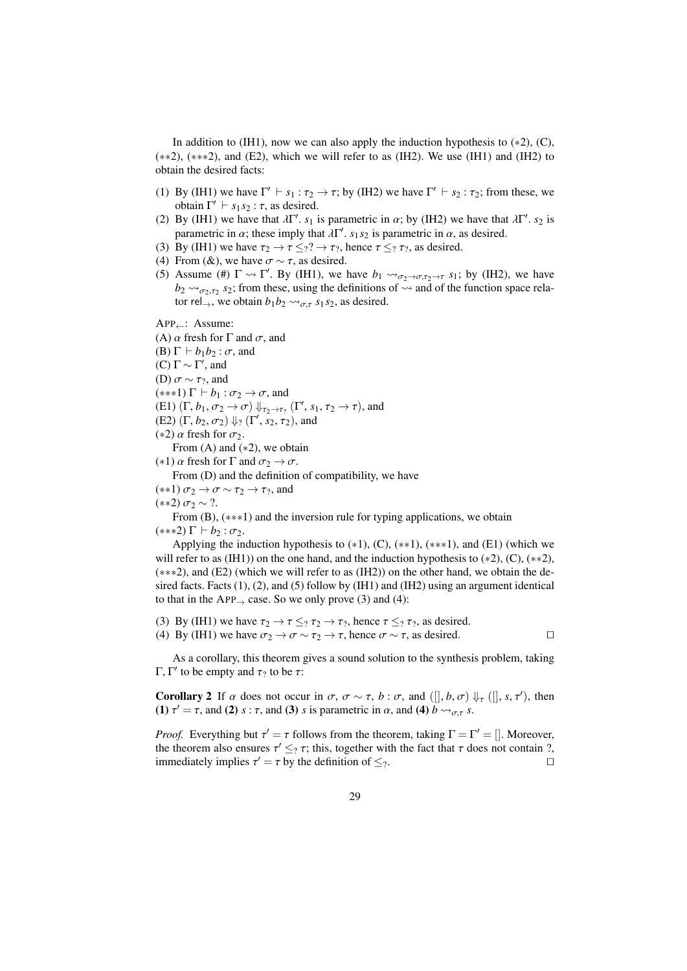In addition to (IH1), now we can also apply the induction hypothesis to  $(*2)$ ,  $(C)$ , (∗∗2), (∗∗∗2), and (E2), which we will refer to as (IH2). We use (IH1) and (IH2) to obtain the desired facts:

- (1) By (IH1) we have  $\Gamma' \vdash s_1 : \tau_2 \to \tau$ ; by (IH2) we have  $\Gamma' \vdash s_2 : \tau_2$ ; from these, we obtain  $\Gamma' \vdash s_1 s_2 : \tau_2$  is desired obtain  $\Gamma' \vdash s_1 s_2 : \tau$ , as desired.<br>By (IH1) we have that  $\lambda \Gamma'$ , suit
- (2) By (IH1) we have that  $\lambda \Gamma'$ ,  $s_1$  is parametric in  $\alpha$ ; by (IH2) we have that  $\lambda \Gamma'$ ,  $s_2$  is parametric in  $\alpha$  as desired parametric in  $\alpha$ ; these imply that  $\lambda \Gamma'$ ,  $s_1 s_2$  is parametric in  $\alpha$ , as desired.<br>By (IH1) we have  $\tau_2 \rightarrow \tau_1 < 2 \rightarrow \tau_2$ , hence  $\tau_2 < 2 \rightarrow \tau_2$  as desired.
- (3) By (IH1) we have  $\tau_2 \to \tau \leq_2? \to \tau_2$ , hence  $\tau \leq_2 \tau_2$ , as desired.
- (4) From (&), we have  $\sigma \sim \tau$ , as desired.
- (5) Assume (#)  $\Gamma \rightsquigarrow \Gamma'$ . By (IH1), we have  $b_1 \rightsquigarrow_{\sigma_2 \rightarrow \sigma, \tau_2 \rightarrow \tau} s_1$ ; by (IH2), we have  $b_1 \rightsquigarrow_{\sigma_2 \rightarrow \sigma, \tau_2 \rightarrow \tau} s_1$ ; by (IH2), we have  $b_2 \rightarrow b_2 \rightarrow \sigma_2$ , from these, using the definitions of  $\rightarrow$  and of the function space relator rel<sub>→</sub>, we obtain  $b_1b_2 \rightarrow_{\sigma,\tau} s_1s_2$ , as desired.

APP←: Assume:

(A)  $\alpha$  fresh for  $\Gamma$  and  $\sigma$ , and (B)  $\Gamma$  *+ b*<sub>1</sub>*b*<sub>2</sub> : *σ*, and (C) Γ  $\sim$  Γ', and

(D)  $\sigma \sim \tau_?$ , and

 $(***1)$   $\Gamma \vdash b_1 : \sigma_2 \rightarrow \sigma$ , and

(E1)  $(\Gamma, b_1, \sigma_2 \rightarrow \sigma) \Downarrow_{\tau_2 \rightarrow \tau_2} (\Gamma', s_1, \tau_2 \rightarrow \tau)$ , and<br>(E2)  $(\Gamma, b_2, \tau_2) \Downarrow_{\Gamma} (\Gamma', s_2, \tau_2)$  and

(E2)  $(\Gamma, b_2, \sigma_2) \Downarrow_{?} (\Gamma', s_2, \tau_2)$ , and  $(s_2) \propto$  fresh for  $\sigma_2$ 

(\*2)  $\alpha$  fresh for  $\sigma_2$ .

From  $(A)$  and  $(*2)$ , we obtain

(\*1)  $\alpha$  fresh for  $\Gamma$  and  $\sigma_2 \rightarrow \sigma$ .

From (D) and the definition of compatibility, we have

 $(**1)\,\sigma_2 \rightarrow \sigma \sim \tau_2 \rightarrow \tau_2$ , and

 $(**2)$   $σ<sub>2</sub> ∼ ?$ .

From (B), (∗∗∗1) and the inversion rule for typing applications, we obtain  $(***2)$   $\Gamma \vdash b_2 : \sigma_2$ .

Applying the induction hypothesis to  $(*1)$ ,  $(C)$ ,  $(**1)$ ,  $(**1)$ , and  $(E1)$  (which we will refer to as (IH1)) on the one hand, and the induction hypothesis to  $(*2)$ ,  $(C)$ ,  $(**2)$ , (∗∗∗2), and (E2) (which we will refer to as (IH2)) on the other hand, we obtain the desired facts. Facts (1), (2), and (5) follow by (IH1) and (IH2) using an argument identical to that in the  $APP_{\rightarrow}$  case. So we only prove (3) and (4):

(3) By (IH1) we have  $\tau_2 \to \tau \leq_? \tau_2 \to \tau_?$ , hence  $\tau \leq_? \tau_?$ , as desired. (4) By (IH1) we have  $\sigma_2 \to \sigma \sim \tau_2 \to \tau$ , hence  $\sigma \sim \tau$ , as desired.

As a corollary, this theorem gives a sound solution to the synthesis problem, taking Γ, Γ' to be empty and  $τ_?$  to be  $τ$ :

**Corollary 2** If  $\alpha$  does not occur in  $\sigma$ ,  $\sigma \sim \tau$ ,  $b : \sigma$ , and ([],  $b, \sigma$ )  $\Downarrow_{\tau}$  ([],  $s, \tau'$ ), then (1)  $\tau' = \tau$  and (2)  $s : \tau$  and (3)  $s$  is parametric in  $\alpha$  and (4)  $b \sim \tau$ (1)  $\tau' = \tau$ , and (2) *s* :  $\tau$ , and (3) *s* is parametric in  $\alpha$ , and (4)  $\bar{b} \leadsto_{\sigma,\tau} s$ .

*Proof.* Everything but  $\tau' = \tau$  follows from the theorem, taking  $\Gamma = \Gamma' = []$ . Moreover, the theorem also ensures  $\tau' \leq \tau$ ; this together with the fact that  $\tau$  does not contain? the theorem also ensures  $\tau' \leq_? \tau$ ; this, together with the fact that  $\tau$  does not contain ?,<br>immediately implies  $\tau' = \tau$  by the definition of  $\leq_8$ immediately implies  $\tau' = \tau$  by the definition of  $\leq_?$ .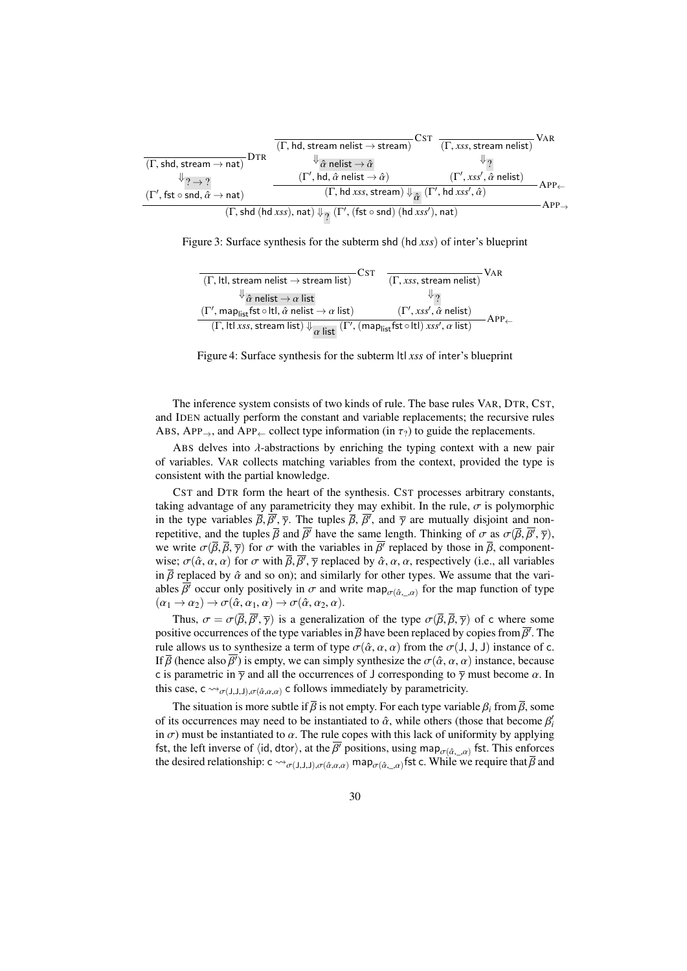<span id="page-29-0"></span>

|                                                                                                                                                                             | $(\Gamma, hd, stream$ nelist $\rightarrow$ stream)                                                     | <b>VAR</b><br>$(\Gamma, xss,$ stream nelist)               |  |
|-----------------------------------------------------------------------------------------------------------------------------------------------------------------------------|--------------------------------------------------------------------------------------------------------|------------------------------------------------------------|--|
| Dtr<br>$(\Gamma, \text{shd}, \text{stream} \rightarrow \text{nat})$                                                                                                         | ${}^{\Downarrow}\hat{\alpha}$ nelist $\rightarrow \hat{\alpha}$                                        | ∜ว                                                         |  |
| $\big\downarrow$ ? $\rightarrow$ ?                                                                                                                                          | $(\Gamma', \text{hd}, \hat{\alpha} \text{ helist} \rightarrow \hat{\alpha})$                           | $(\Gamma', xss', \hat{\alpha}$ nelist)<br>$APP \leftarrow$ |  |
| $(\Gamma', \mathsf{fst} \circ \mathsf{snd}, \hat{\alpha} \to \mathsf{nat})$                                                                                                 | $(\Gamma, h d x s s, \text{stream}) \Downarrow_{\widehat{\alpha}} (\Gamma', h d x s s', \hat{\alpha})$ |                                                            |  |
| $APP_1$<br>$(\Gamma, \text{shd}(\text{hd} \text{ xss}), \text{nat}) \Downarrow_{\mathcal{P}} (\Gamma', (\text{fst} \circ \text{snd}) (\text{hd} \text{ xss}'), \text{nat})$ |                                                                                                        |                                                            |  |

<span id="page-29-1"></span>Figure 3: Surface synthesis for the subterm shd (hd *xss*) of inter's blueprint

| $(\Gamma,$ ltl, stream nelist $\rightarrow$ stream list)                                                                                                          | Cst<br>VAR<br>$(\Gamma, xss, stream$ nelist)              |
|-------------------------------------------------------------------------------------------------------------------------------------------------------------------|-----------------------------------------------------------|
| ${}^{\Downarrow}\hat{\alpha}$ nelist $\rightarrow \alpha$ list                                                                                                    | ∜ າ                                                       |
| $(\Gamma', \mathsf{map}_{\mathsf{list}}\mathsf{fst} \circ \mathsf{ltl}, \hat{\alpha} \mathsf{nelist} \to \alpha \mathsf{list})$                                   | $(\Gamma', xss', \hat{\alpha}$ nelist)<br>$APP\leftarrow$ |
| $(\Gamma,$ ltl xss, stream list) $\Downarrow_{\alpha}$ list $(\Gamma', (\text{map}_{\text{list}} \text{fst} \circ \text{ltl}) \text{ xss}', \alpha \text{ list})$ |                                                           |

Figure 4: Surface synthesis for the subterm ltl *xss* of inter's blueprint

The inference system consists of two kinds of rule. The base rules VAR, DTR, CST, and IDEN actually perform the constant and variable replacements; the recursive rules ABS, APP<sub>→</sub>, and APP<sub>←</sub> collect type information (in  $\tau_2$ ) to guide the replacements.

ABS delves into  $\lambda$ -abstractions by enriching the typing context with a new pair of variables. VAR collects matching variables from the context, provided the type is consistent with the partial knowledge.

CST and DTR form the heart of the synthesis. CST processes arbitrary constants, taking advantage of any parametricity they may exhibit. In the rule,  $\sigma$  is polymorphic in the type variables  $\overline{\beta}$ ,  $\overline{\beta'}$ ,  $\overline{\gamma}$ . The tuples  $\overline{\beta}$ ,  $\overline{\beta'}$ , and  $\overline{\gamma}$  are mutually disjoint and non-<br>repetitive and the tuples  $\overline{\beta}$  and  $\overline{\beta'}$  have the same length. Thinking of  $\sigma$  as  $\sigma(\$ repetitive, and the tuples  $\overline{\beta}$  and  $\overline{\beta'}$  have the same length. Thinking of  $\sigma$  as  $\sigma(\overline{\beta}, \overline{\beta'}, \overline{\gamma})$ , we write  $\sigma(\overline{\beta}, \overline{\beta}, \overline{\gamma})$  for  $\sigma$  with the variables in  $\overline{\beta'}$  replaced by those in  $\overline{\beta}$  comp we write  $\sigma(\bar{\beta}, \bar{\beta}, \bar{\gamma})$  for  $\sigma$  with the variables in  $\bar{\beta}$  replaced by those in  $\bar{\beta}$ , component-<br>wise:  $\sigma(\hat{\alpha}, \alpha, \alpha)$  for  $\sigma$  with  $\bar{\beta}$ ,  $\bar{\beta}'$  replaced by  $\hat{\alpha}, \alpha, \alpha$  respectively (i.e., all variables wise;  $\sigma(\hat{\alpha}, \alpha, \alpha)$  for  $\sigma$  with  $\bar{\beta}, \bar{\beta'}, \bar{\gamma}$  replaced by  $\hat{\alpha}, \alpha, \alpha$ , respectively (i.e., all variables in  $\bar{\beta}$  replaced by  $\hat{\alpha}$  and so on); and similarly for other types. We assume that the variin  $\bar{\beta}$  replaced by  $\hat{\alpha}$  and so on); and similarly for other types. We assume that the variables  $\overline{\beta'}$  occur only positively in  $\sigma$  and write map<sub> $\sigma(\hat{\alpha}_{...}, \alpha)$ </sub> for the map function of type  $(\alpha \rightarrow \alpha) \rightarrow \sigma(\hat{\alpha}, \alpha, \alpha) \rightarrow \sigma(\hat{\alpha}, \alpha, \alpha)$  $(\alpha_1 \rightarrow \alpha_2) \rightarrow \sigma(\hat{\alpha}, \alpha_1, \alpha) \rightarrow \sigma(\hat{\alpha}, \alpha_2, \alpha).$ 

Thus,  $\sigma = \sigma(\overline{\beta}, \overline{\beta'}, \overline{\gamma})$  is a generalization of the type  $\sigma(\overline{\beta}, \overline{\beta}, \overline{\gamma})$  of c where some itive occurrences of the type variables in  $\overline{\beta}$  have been replaced by copies from  $\overline{\beta'}$ . The positive occurrences of the type variables in  $\overline{\beta}$  have been replaced by copies from  $\overline{\beta'}$ . The rule allows us to synthesize a term of type  $\overline{\alpha}$ ( $\hat{\alpha}$ ,  $\alpha$ ,  $\alpha$ ) from the  $\overline{\alpha}(1,1,1)$  instance of  $\overline{\alpha}$ rule allows us to synthesize a term of type  $\sigma(\hat{\alpha}, \alpha, \alpha)$  from the  $\sigma(1, 1, 1)$  instance of c. If  $\overline{\beta}$  (hence also  $\overline{\beta'}$ ) is empty, we can simply synthesize the  $\sigma(\hat{\alpha}, \alpha, \alpha)$  instance, because c is parametric in  $\bar{\gamma}$  and all the occurrences of J corresponding to  $\bar{\gamma}$  must become  $\alpha$ . In this case,  $c \rightarrow_{\sigma(J,J,J),\sigma(\hat{\alpha},\alpha,\alpha)} c$  follows immediately by parametricity.

The situation is more subtle if  $\bar{\beta}$  is not empty. For each type variable  $\beta_i$  from  $\bar{\beta}$ , some of its occurrences may need to be instantiated to  $\hat{\alpha}$ , while others (those that become  $\beta_i^i$ <br>in  $\sigma$ ) must be instantiated to  $\alpha$ . The rule cones with this lack of uniformity by anniving in  $\sigma$ ) must be instantiated to  $\alpha$ . The rule copes with this lack of uniformity by applying fst, the left inverse of  $\langle id, dtor \rangle$ , at the  $\overline{\beta'}$  positions, using map<sub> $\sigma(\hat{\alpha}_n, \alpha)$ </sub> fst. This enforces the desired relationship:  $\zeta \approx \alpha$ ,  $\alpha$ ,  $\alpha$ ,  $\zeta$ ,  $\zeta$ ,  $\zeta$ ,  $\zeta$ ,  $\zeta$ ,  $\zeta$ ,  $\zeta$ ,  $\zeta$ ,  $\zeta$ , the desired relationship:  $c \leadsto_{\sigma(J,J,J),\sigma(\hat{\alpha},\alpha,\alpha)} \text{map}_{\sigma(\hat{\alpha},\alpha)}$  fst c. While we require that  $\overline{\beta}$  and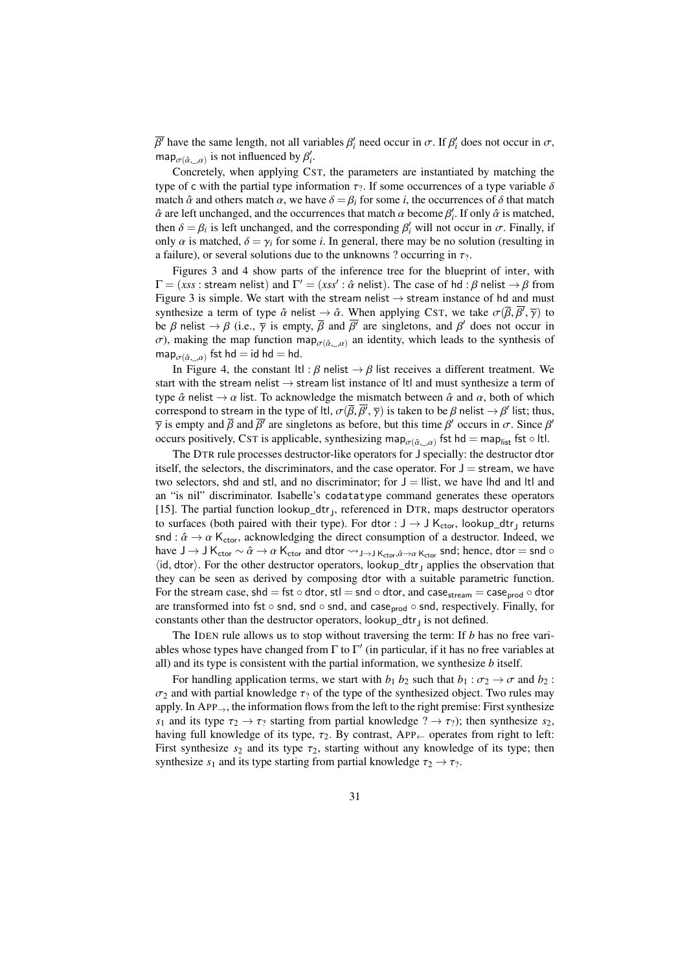$\exp_{\sigma(\hat{\alpha}_{2},\alpha)}$  is not influenced by  $\beta'_i$ .  $\overline{\sigma}$  have the same length, not all variables  $\beta'_i$  need occur in  $\sigma$ . If  $\beta'_i$  does not occur in  $\sigma$ ,

Concretely, when applying CST, the parameters are instantiated by matching the type of c with the partial type information  $\tau_2$ . If some occurrences of a type variable  $\delta$ match  $\hat{\alpha}$  and others match  $\alpha$ , we have  $\delta = \beta_i$  for some *i*, the occurrences of  $\delta$  that match  $\hat{\alpha}$  are left unchanged, and the occurrences that match  $\alpha$  become  $\beta'_i$ . If only  $\hat{\alpha}$  is matched, then  $\hat{\delta} = \beta_i$  is left unchanged, and the corresponding  $\beta'_i$  will not occur in  $\sigma$ . Finally, if then  $\delta = \beta_i$  is left unchanged, and the corresponding  $\beta'_i$  will not occur in  $\sigma$ . Finally, if only  $\alpha$  is matched  $\delta = \gamma_i$  for some *i*. In general, there may be no solution (resulting in only  $\alpha$  is matched,  $\delta = \gamma_i$  for some *i*. In general, there may be no solution (resulting in a failure), or several solutions due to the unknowns ? occurring in  $\tau_?$ .

Figures [3](#page-29-0) and [4](#page-29-1) show parts of the inference tree for the blueprint of inter, with  $\Gamma = (xs \text{ s} : \text{stream helist})$  and  $\Gamma' = (xs \text{ s} : \hat{\alpha} \text{ relist})$ . The case of hd : β nelist  $\rightarrow \beta$  from<br>Figure 3 is simple. We start with the stream nelist  $\rightarrow$  stream instance of hd and must Figure [3](#page-29-0) is simple. We start with the stream nelist  $\rightarrow$  stream instance of hd and must synthesize a term of type  $\hat{\alpha}$  nelist  $\rightarrow \hat{\alpha}$ . When applying CST, we take  $\sigma(\overline{\beta}, \overline{\beta'}, \overline{\gamma})$  to be *B* nelist  $\rightarrow$  *B* (i.e.  $\overline{\alpha}$  is empty  $\overline{B}$  and  $\overline{B'}$  are singletons and  $B'$  does not occur in be β nelist  $\rightarrow \beta$  (i.e.,  $\bar{\gamma}$  is empty,  $\bar{\beta}$  and  $\bar{\beta}'$  are singletons, and  $\beta'$  does not occur in  $\sigma$ ) making the man function man  $\alpha$ , an identity which leads to the synthesis of  $\sigma$ ), making the map function map<sub> $\sigma$ ( $\hat{\alpha}$ ,  $\alpha$ )</sub> an identity, which leads to the synthesis of map  $\alpha$ map<sub> $\sigma(\hat{\alpha}_{n,m})$ </sub> fst hd = id hd = hd.

In Figure [4,](#page-29-1) the constant ltl :  $\beta$  nelist  $\rightarrow \beta$  list receives a different treatment. We start with the stream nelist  $\rightarrow$  stream list instance of ltl and must synthesize a term of type  $\hat{\alpha}$  nelist  $\rightarrow \alpha$  list. To acknowledge the mismatch between  $\hat{\alpha}$  and  $\alpha$ , both of which correspond to stream in the type of ltl,  $\sigma(\overline{\beta}, \overline{\beta'}, \overline{\gamma})$  is taken to be  $\beta$  nelist  $\rightarrow \beta'$  list; thus,  $\overline{\gamma}$  is empty and  $\overline{\beta}$  and  $\overline{\beta}'$  are singletons as before, but this time  $\beta'$  occurs in  $\sigma$ . Sinc  $\overline{\gamma}$  is empty and  $\overline{\beta}$  and  $\overline{\beta}'$  are singletons as before, but this time  $\beta'$  occurs in  $\sigma$ . Since  $\beta'$  occurs positively CST is applicable, synthesizing map  $\alpha$ , set bd = map, fst o lt occurs positively, CST is applicable, synthesizing map $_{\sigma(\hat{\alpha}_-, \alpha)}$  fst hd = map<sub>list</sub> fst ◦ ltl.<br>The DTR is however, and the standard line content for the distribution of the distribution of the later

The DTR rule processes destructor-like operators for J specially: the destructor dtor itself, the selectors, the discriminators, and the case operator. For  $J =$  stream, we have two selectors, shd and stl, and no discriminator; for  $J =$  llist, we have lhd and ltl and an "is nil" discriminator. Isabelle's codatatype command generates these operators [\[15\]](#page-36-6). The partial function lookup\_dtr<sub>J</sub>, referenced in DTR, maps destructor operators to surfaces (both paired with their type). For dtor :  $J \rightarrow J K_{\text{ctor}}$ , lookup\_dtr<sub>J</sub> returns snd :  $\hat{\alpha} \rightarrow \alpha$  K<sub>ctor</sub>, acknowledging the direct consumption of a destructor. Indeed, we have  $J \to J K_{\text{ctor}} \sim \hat{\alpha} \to \alpha K_{\text{ctor}}$  and dtor  $\leadsto_{J \to J K_{\text{ctor}}, \hat{\alpha} \to \alpha K_{\text{ctor}}}$  snd; hence, dtor = snd ∘  $\langle id, \text{dtor} \rangle$ . For the other destructor operators, lookup\_dtr<sub>J</sub> applies the observation that they can be seen as derived by composing dtor with a suitable parametric function they can be seen as derived by composing dtor with a suitable parametric function. For the stream case, shd = fst ∘ dtor, stl = snd ∘ dtor, and case<sub>stream</sub> = case<sub>prod</sub> ∘ dtor are transformed into fst ∘ snd, snd ∘ snd, and case<sub>prod</sub> ∘ snd, respectively. Finally, for constants other than the destructor operators,  $\text{lookup\_dtr}_J$  is not defined.

The IDEN rule allows us to stop without traversing the term: If *b* has no free variables whose types have changed from  $\Gamma$  to  $\Gamma'$  (in particular, if it has no free variables at all) and its type is consistent with the partial information, we synthesize *b* itself.

For handling application terms, we start with  $b_1$   $b_2$  such that  $b_1$  :  $\sigma_2 \rightarrow \sigma$  and  $b_2$  :  $\sigma_2$  and with partial knowledge  $\tau_2$  of the type of the synthesized object. Two rules may apply. In APP $\rightarrow$ , the information flows from the left to the right premise: First synthesize *s*<sub>1</sub> and its type  $\tau_2 \to \tau_2$  starting from partial knowledge  $? \to \tau_2$ ; then synthesize *s*<sub>2</sub>, having full knowledge of its type,  $\tau_2$ . By contrast, APP<sub>←</sub> operates from right to left: First synthesize  $s_2$  and its type  $\tau_2$ , starting without any knowledge of its type; then synthesize  $s_1$  and its type starting from partial knowledge  $\tau_2 \rightarrow \tau_2$ .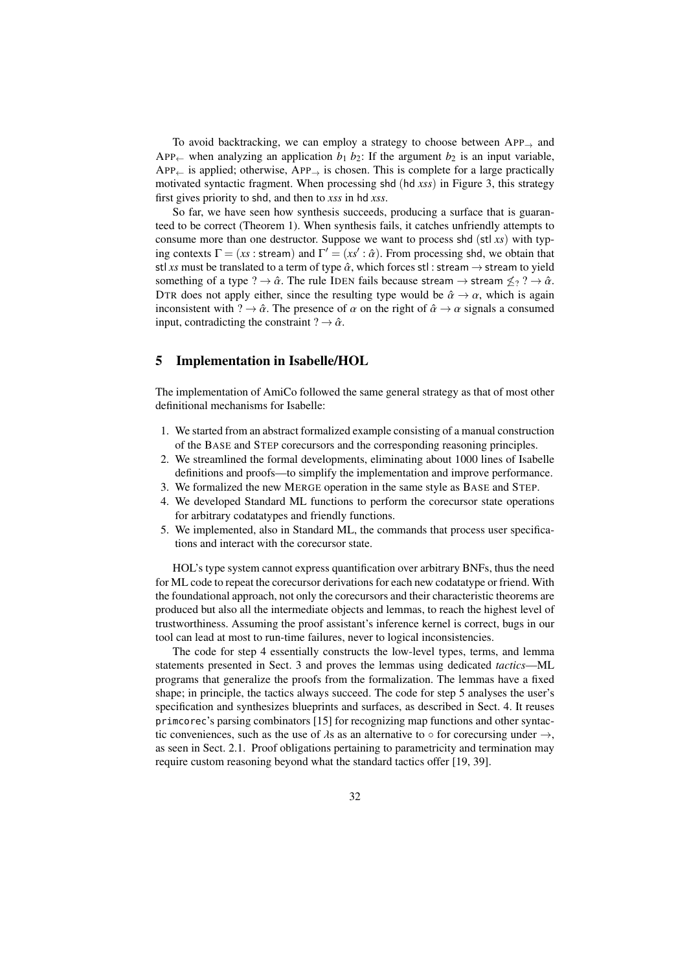To avoid backtracking, we can employ a strategy to choose between  $APP_{\rightarrow}$  and APP<sub>←</sub> when analyzing an application  $b_1$   $b_2$ : If the argument  $b_2$  is an input variable, APP $\leftarrow$  is applied; otherwise, APP $\rightarrow$  is chosen. This is complete for a large practically motivated syntactic fragment. When processing shd (hd *xss*) in Figure [3,](#page-29-0) this strategy first gives priority to shd, and then to *xss* in hd *xss*.

So far, we have seen how synthesis succeeds, producing a surface that is guaranteed to be correct (Theorem [1\)](#page-24-0). When synthesis fails, it catches unfriendly attempts to consume more than one destructor. Suppose we want to process shd (stl *xs*) with typing contexts  $\Gamma = (xs : \text{stream})$  and  $\Gamma' = (xs' : \hat{\alpha})$ . From processing shd, we obtain that  $\text{stellar value}$  is the translated to a term of type  $\hat{\alpha}$ , which forces  $\text{std}$ : stream  $\rightarrow$  stream to yield stl *xs* must be translated to a term of type  $\hat{\alpha}$ , which forces stl : stream  $\rightarrow$  stream to yield something of a type ?  $\rightarrow \hat{\alpha}$ . The rule IDEN fails because stream  $\rightarrow$  stream  $\leq$  ?  $\rightarrow \hat{\alpha}$ . DTR does not apply either, since the resulting type would be  $\hat{\alpha} \rightarrow \alpha$ , which is again inconsistent with ?  $\rightarrow \hat{\alpha}$ . The presence of  $\alpha$  on the right of  $\hat{\alpha} \rightarrow \alpha$  signals a consumed input, contradicting the constraint  $? \rightarrow \hat{\alpha}$ .

# <span id="page-31-0"></span>5 Implementation in Isabelle/HOL

The implementation of AmiCo followed the same general strategy as that of most other definitional mechanisms for Isabelle:

- 1. We started from an abstract formalized example consisting of a manual construction of the BASE and STEP corecursors and the corresponding reasoning principles.
- 2. We streamlined the formal developments, eliminating about 1000 lines of Isabelle definitions and proofs—to simplify the implementation and improve performance.
- 3. We formalized the new MERGE operation in the same style as BASE and STEP.
- 4. We developed Standard ML functions to perform the corecursor state operations for arbitrary codatatypes and friendly functions.
- 5. We implemented, also in Standard ML, the commands that process user specifications and interact with the corecursor state.

HOL's type system cannot express quantification over arbitrary BNFs, thus the need for ML code to repeat the corecursor derivations for each new codatatype or friend. With the foundational approach, not only the corecursors and their characteristic theorems are produced but also all the intermediate objects and lemmas, to reach the highest level of trustworthiness. Assuming the proof assistant's inference kernel is correct, bugs in our tool can lead at most to run-time failures, never to logical inconsistencies.

The code for step 4 essentially constructs the low-level types, terms, and lemma statements presented in Sect. [3](#page-13-0) and proves the lemmas using dedicated *tactics*—ML programs that generalize the proofs from the formalization. The lemmas have a fixed shape; in principle, the tactics always succeed. The code for step 5 analyses the user's specification and synthesizes blueprints and surfaces, as described in Sect. [4.](#page-19-0) It reuses primcorec's parsing combinators [\[15\]](#page-36-6) for recognizing map functions and other syntactic conveniences, such as the use of  $\lambda$ s as an alternative to  $\circ$  for corecursing under  $\rightarrow$ , as seen in Sect. [2.1.](#page-3-1) Proof obligations pertaining to parametricity and termination may require custom reasoning beyond what the standard tactics offer [\[19,](#page-36-13) [39\]](#page-37-14).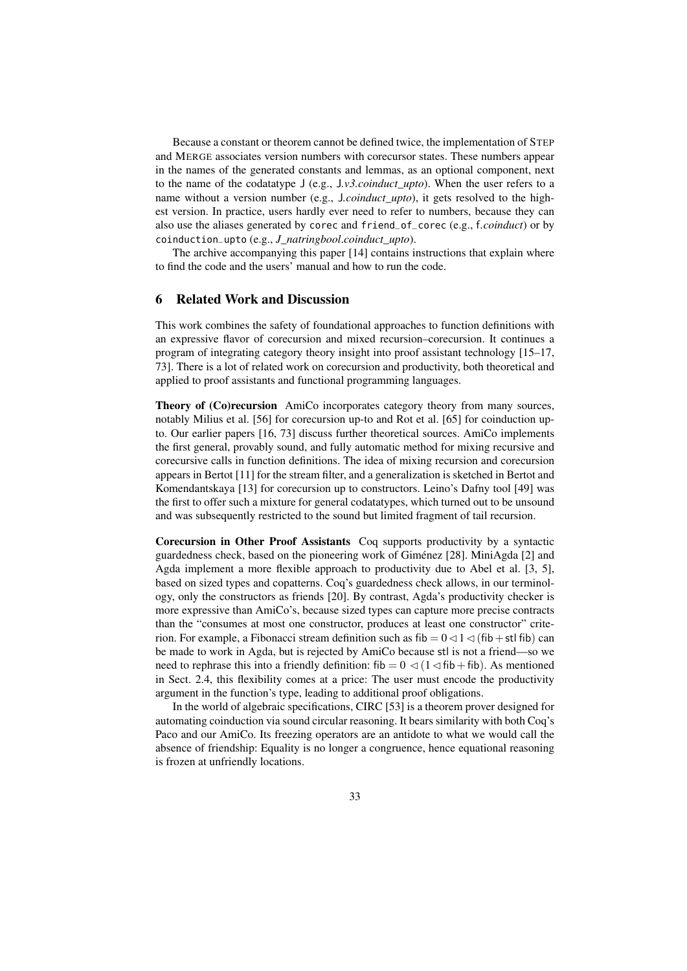Because a constant or theorem cannot be defined twice, the implementation of STEP and MERGE associates version numbers with corecursor states. These numbers appear in the names of the generated constants and lemmas, as an optional component, next to the name of the codatatype J (e.g., J*.v3.coinduct\_upto*). When the user refers to a name without a version number (e.g., J*.coinduct\_upto*), it gets resolved to the highest version. In practice, users hardly ever need to refer to numbers, because they can also use the aliases generated by corec and friend\_of\_corec (e.g., f*.coinduct*) or by coinduction\_upto (e.g., *J\_natringbool*.*coinduct\_upto*).

The archive accompanying this paper [\[14\]](#page-36-9) contains instructions that explain where to find the code and the users' manual and how to run the code.

# <span id="page-32-0"></span>6 Related Work and Discussion

This work combines the safety of foundational approaches to function definitions with an expressive flavor of corecursion and mixed recursion–corecursion. It continues a program of integrating category theory insight into proof assistant technology [\[15](#page-36-6)[–17,](#page-36-5) [73\]](#page-39-1). There is a lot of related work on corecursion and productivity, both theoretical and applied to proof assistants and functional programming languages.

Theory of (Co)recursion AmiCo incorporates category theory from many sources, notably Milius et al. [\[56\]](#page-38-11) for corecursion up-to and Rot et al. [\[65\]](#page-38-12) for coinduction upto. Our earlier papers [\[16,](#page-36-7) [73\]](#page-39-1) discuss further theoretical sources. AmiCo implements the first general, provably sound, and fully automatic method for mixing recursive and corecursive calls in function definitions. The idea of mixing recursion and corecursion appears in Bertot [\[11\]](#page-36-14) for the stream filter, and a generalization is sketched in Bertot and Komendantskaya [\[13\]](#page-36-15) for corecursion up to constructors. Leino's Dafny tool [\[49\]](#page-37-5) was the first to offer such a mixture for general codatatypes, which turned out to be unsound and was subsequently restricted to the sound but limited fragment of tail recursion.

Corecursion in Other Proof Assistants Coq supports productivity by a syntactic guardedness check, based on the pioneering work of Giménez [\[28\]](#page-37-15). MiniAgda [\[2\]](#page-35-4) and Agda implement a more flexible approach to productivity due to Abel et al. [\[3,](#page-35-3) [5\]](#page-35-5), based on sized types and copatterns. Coq's guardedness check allows, in our terminology, only the constructors as friends [\[20\]](#page-36-16). By contrast, Agda's productivity checker is more expressive than AmiCo's, because sized types can capture more precise contracts than the "consumes at most one constructor, produces at least one constructor" criterion. For example, a Fibonacci stream definition such as fib  $= 0 \le 1 \le (fib + st)$  can be made to work in Agda, but is rejected by AmiCo because stl is not a friend—so we need to rephrase this into a friendly definition:  $fib = 0 \triangleleft (1 \triangleleft fib + fib)$ . As mentioned in Sect. [2.4,](#page-7-0) this flexibility comes at a price: The user must encode the productivity argument in the function's type, leading to additional proof obligations.

In the world of algebraic specifications, CIRC [\[53\]](#page-38-13) is a theorem prover designed for automating coinduction via sound circular reasoning. It bears similarity with both Coq's Paco and our AmiCo. Its freezing operators are an antidote to what we would call the absence of friendship: Equality is no longer a congruence, hence equational reasoning is frozen at unfriendly locations.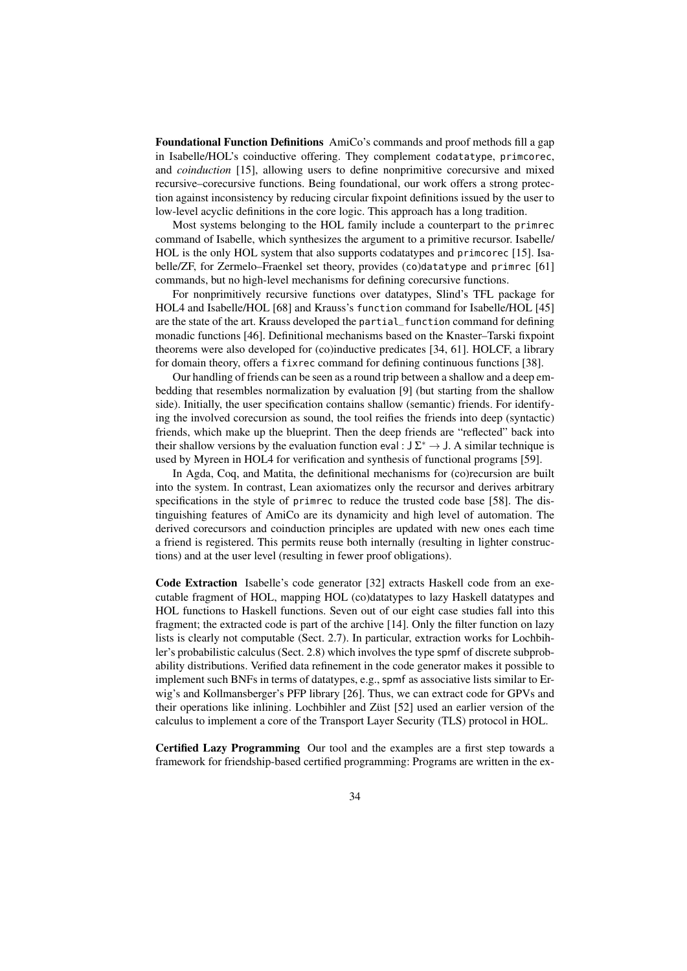Foundational Function Definitions AmiCo's commands and proof methods fill a gap in Isabelle/HOL's coinductive offering. They complement codatatype, primcorec, and *coinduction* [\[15\]](#page-36-6), allowing users to define nonprimitive corecursive and mixed recursive–corecursive functions. Being foundational, our work offers a strong protection against inconsistency by reducing circular fixpoint definitions issued by the user to low-level acyclic definitions in the core logic. This approach has a long tradition.

Most systems belonging to the HOL family include a counterpart to the primrec command of Isabelle, which synthesizes the argument to a primitive recursor. Isabelle/ HOL is the only HOL system that also supports codatatypes and primcorec [\[15\]](#page-36-6). Isabelle/ZF, for Zermelo–Fraenkel set theory, provides (co)datatype and primrec [\[61\]](#page-38-14) commands, but no high-level mechanisms for defining corecursive functions.

For nonprimitively recursive functions over datatypes, Slind's TFL package for HOL4 and Isabelle/HOL [\[68\]](#page-38-15) and Krauss's function command for Isabelle/HOL [\[45\]](#page-37-16) are the state of the art. Krauss developed the partial\_function command for defining monadic functions [\[46\]](#page-37-13). Definitional mechanisms based on the Knaster–Tarski fixpoint theorems were also developed for (co)inductive predicates [\[34,](#page-37-17) [61\]](#page-38-14). HOLCF, a library for domain theory, offers a fixrec command for defining continuous functions [\[38\]](#page-37-18).

Our handling of friends can be seen as a round trip between a shallow and a deep embedding that resembles normalization by evaluation [\[9\]](#page-36-17) (but starting from the shallow side). Initially, the user specification contains shallow (semantic) friends. For identifying the involved corecursion as sound, the tool reifies the friends into deep (syntactic) friends, which make up the blueprint. Then the deep friends are "reflected" back into their shallow versions by the evaluation function eval :  $J\Sigma^* \to J$ . A similar technique is used by Myreen in HOL4 for verification and synthesis of functional programs [\[59\]](#page-38-16).

In Agda, Coq, and Matita, the definitional mechanisms for (co)recursion are built into the system. In contrast, Lean axiomatizes only the recursor and derives arbitrary specifications in the style of primrec to reduce the trusted code base [\[58\]](#page-38-17). The distinguishing features of AmiCo are its dynamicity and high level of automation. The derived corecursors and coinduction principles are updated with new ones each time a friend is registered. This permits reuse both internally (resulting in lighter constructions) and at the user level (resulting in fewer proof obligations).

Code Extraction Isabelle's code generator [\[32\]](#page-37-19) extracts Haskell code from an executable fragment of HOL, mapping HOL (co)datatypes to lazy Haskell datatypes and HOL functions to Haskell functions. Seven out of our eight case studies fall into this fragment; the extracted code is part of the archive [\[14\]](#page-36-9). Only the filter function on lazy lists is clearly not computable (Sect. [2.7\)](#page-9-1). In particular, extraction works for Lochbihler's probabilistic calculus (Sect. [2.8\)](#page-10-2) which involves the type spmf of discrete subprobability distributions. Verified data refinement in the code generator makes it possible to implement such BNFs in terms of datatypes, e.g., spmf as associative lists similar to Erwig's and Kollmansberger's PFP library [\[26\]](#page-36-18). Thus, we can extract code for GPVs and their operations like inlining. Lochbihler and Züst [\[52\]](#page-38-18) used an earlier version of the calculus to implement a core of the Transport Layer Security (TLS) protocol in HOL.

Certified Lazy Programming Our tool and the examples are a first step towards a framework for friendship-based certified programming: Programs are written in the ex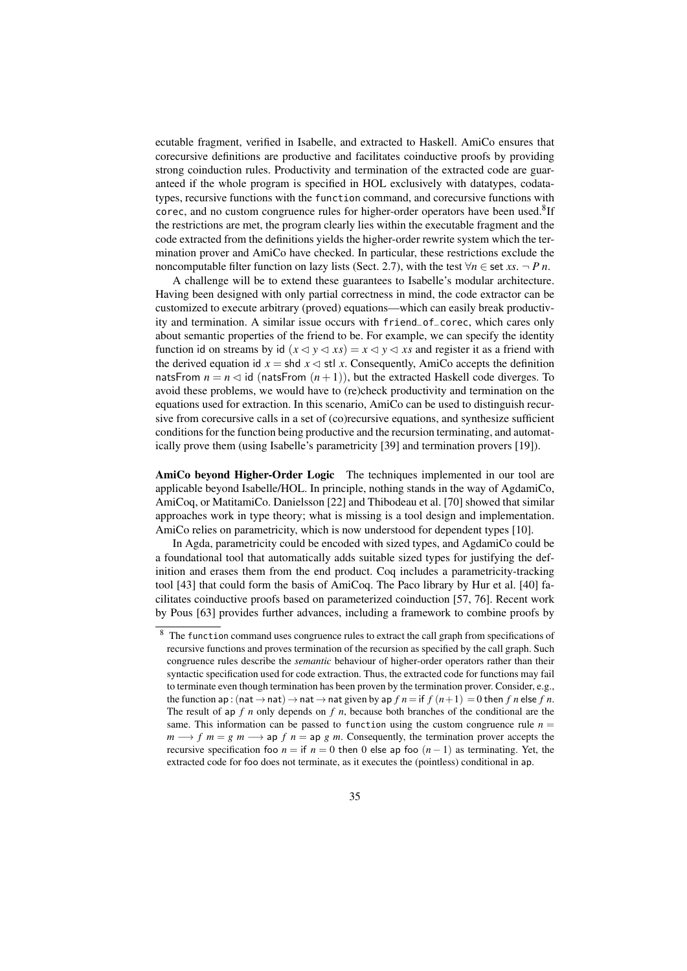ecutable fragment, verified in Isabelle, and extracted to Haskell. AmiCo ensures that corecursive definitions are productive and facilitates coinductive proofs by providing strong coinduction rules. Productivity and termination of the extracted code are guaranteed if the whole program is specified in HOL exclusively with datatypes, codatatypes, recursive functions with the function command, and corecursive functions with corec, and no custom congruence rules for higher-order operators have been used.<sup>[8](#page-34-0)</sup>If the restrictions are met, the program clearly lies within the executable fragment and the code extracted from the definitions yields the higher-order rewrite system which the termination prover and AmiCo have checked. In particular, these restrictions exclude the noncomputable filter function on lazy lists (Sect. [2.7\)](#page-9-1), with the test  $\forall n \in \text{set } xs. \neg P \, n$ .

A challenge will be to extend these guarantees to Isabelle's modular architecture. Having been designed with only partial correctness in mind, the code extractor can be customized to execute arbitrary (proved) equations—which can easily break productivity and termination. A similar issue occurs with friend\_of\_corec, which cares only about semantic properties of the friend to be. For example, we can specify the identity function id on streams by id  $(x \le y \le xs) = x \le y \le xs$  and register it as a friend with the derived equation id  $x = \text{shd } x \leq \text{stl } x$ . Consequently, AmiCo accepts the definition natsFrom  $n = n \le d$  id (natsFrom  $(n + 1)$ ), but the extracted Haskell code diverges. To avoid these problems, we would have to (re)check productivity and termination on the equations used for extraction. In this scenario, AmiCo can be used to distinguish recursive from corecursive calls in a set of (co)recursive equations, and synthesize sufficient conditions for the function being productive and the recursion terminating, and automatically prove them (using Isabelle's parametricity [\[39\]](#page-37-14) and termination provers [\[19\]](#page-36-13)).

AmiCo beyond Higher-Order Logic The techniques implemented in our tool are applicable beyond Isabelle/HOL. In principle, nothing stands in the way of AgdamiCo, AmiCoq, or MatitamiCo. Danielsson [\[22\]](#page-36-19) and Thibodeau et al. [\[70\]](#page-38-19) showed that similar approaches work in type theory; what is missing is a tool design and implementation. AmiCo relies on parametricity, which is now understood for dependent types [\[10\]](#page-36-20).

In Agda, parametricity could be encoded with sized types, and AgdamiCo could be a foundational tool that automatically adds suitable sized types for justifying the definition and erases them from the end product. Coq includes a parametricity-tracking tool [\[43\]](#page-37-20) that could form the basis of AmiCoq. The Paco library by Hur et al. [\[40\]](#page-37-10) facilitates coinductive proofs based on parameterized coinduction [\[57,](#page-38-20) [76\]](#page-39-3). Recent work by Pous [\[63\]](#page-38-21) provides further advances, including a framework to combine proofs by

<span id="page-34-0"></span><sup>&</sup>lt;sup>8</sup> The function command uses congruence rules to extract the call graph from specifications of recursive functions and proves termination of the recursion as specified by the call graph. Such congruence rules describe the *semantic* behaviour of higher-order operators rather than their syntactic specification used for code extraction. Thus, the extracted code for functions may fail to terminate even though termination has been proven by the termination prover. Consider, e.g., the function ap : (nat  $\rightarrow$  nat)  $\rightarrow$  nat  $\rightarrow$  nat given by ap  $f n =$  if  $f (n+1) = 0$  then  $f n$  else  $f n$ . The result of ap *f n* only depends on *f n*, because both branches of the conditional are the same. This information can be passed to function using the custom congruence rule  $n =$  $m \rightarrow f$  *m* = *g m*  $\rightarrow$  ap *f n* = ap *g m*. Consequently, the termination prover accepts the recursive specification foo  $n =$  if  $n = 0$  then 0 else ap foo  $(n - 1)$  as terminating. Yet, the extracted code for foo does not terminate, as it executes the (pointless) conditional in ap.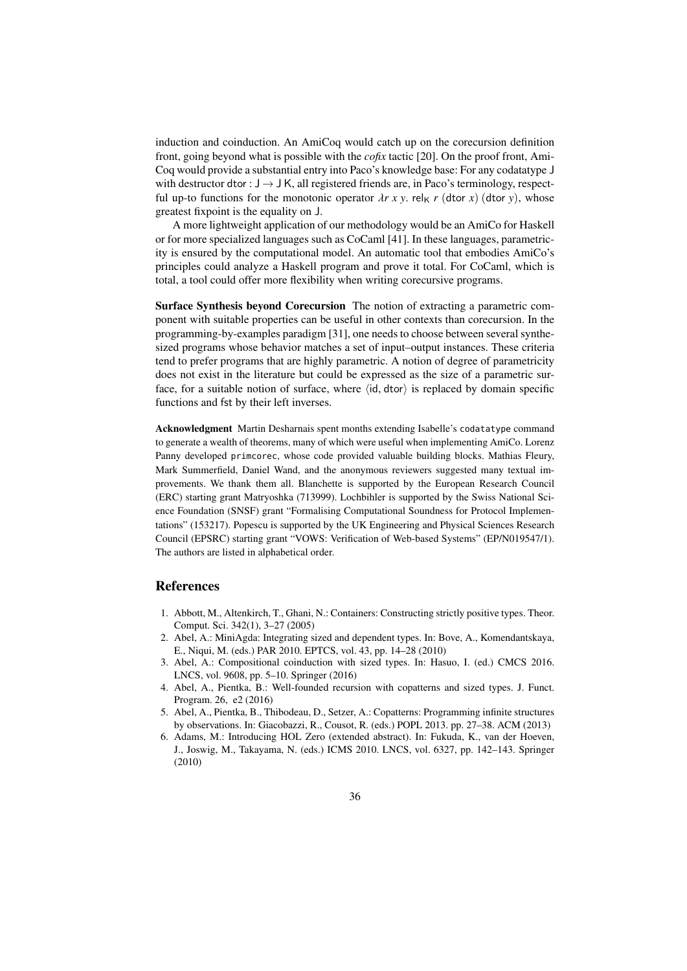induction and coinduction. An AmiCoq would catch up on the corecursion definition front, going beyond what is possible with the *cofix* tactic [\[20\]](#page-36-16). On the proof front, Ami-Coq would provide a substantial entry into Paco's knowledge base: For any codatatype J with destructor dtor :  $J \rightarrow J K$ , all registered friends are, in Paco's terminology, respectful up-to functions for the monotonic operator  $\lambda r \, x \, y$ . rel<sub>K</sub> r (dtor x) (dtor y), whose greatest fixpoint is the equality on J.

A more lightweight application of our methodology would be an AmiCo for Haskell or for more specialized languages such as CoCaml [\[41\]](#page-37-21). In these languages, parametricity is ensured by the computational model. An automatic tool that embodies AmiCo's principles could analyze a Haskell program and prove it total. For CoCaml, which is total, a tool could offer more flexibility when writing corecursive programs.

Surface Synthesis beyond Corecursion The notion of extracting a parametric component with suitable properties can be useful in other contexts than corecursion. In the programming-by-examples paradigm [\[31\]](#page-37-22), one needs to choose between several synthesized programs whose behavior matches a set of input–output instances. These criteria tend to prefer programs that are highly parametric. A notion of degree of parametricity does not exist in the literature but could be expressed as the size of a parametric surface, for a suitable notion of surface, where  $\langle id, d \cdot \rangle$  is replaced by domain specific functions and fst by their left inverses.

Acknowledgment Martin Desharnais spent months extending Isabelle's codatatype command to generate a wealth of theorems, many of which were useful when implementing AmiCo. Lorenz Panny developed primcorec, whose code provided valuable building blocks. Mathias Fleury, Mark Summerfield, Daniel Wand, and the anonymous reviewers suggested many textual improvements. We thank them all. Blanchette is supported by the European Research Council (ERC) starting grant Matryoshka (713999). Lochbihler is supported by the Swiss National Science Foundation (SNSF) grant "Formalising Computational Soundness for Protocol Implementations" (153217). Popescu is supported by the UK Engineering and Physical Sciences Research Council (EPSRC) starting grant "VOWS: Verification of Web-based Systems" (EP/N019547/1). The authors are listed in alphabetical order.

# References

- <span id="page-35-0"></span>1. Abbott, M., Altenkirch, T., Ghani, N.: Containers: Constructing strictly positive types. Theor. Comput. Sci. 342(1), 3–27 (2005)
- <span id="page-35-4"></span>2. Abel, A.: MiniAgda: Integrating sized and dependent types. In: Bove, A., Komendantskaya, E., Niqui, M. (eds.) PAR 2010. EPTCS, vol. 43, pp. 14–28 (2010)
- <span id="page-35-3"></span>3. Abel, A.: Compositional coinduction with sized types. In: Hasuo, I. (ed.) CMCS 2016. LNCS, vol. 9608, pp. 5–10. Springer (2016)
- <span id="page-35-2"></span>4. Abel, A., Pientka, B.: Well-founded recursion with copatterns and sized types. J. Funct. Program. 26, e2 (2016)
- <span id="page-35-5"></span>5. Abel, A., Pientka, B., Thibodeau, D., Setzer, A.: Copatterns: Programming infinite structures by observations. In: Giacobazzi, R., Cousot, R. (eds.) POPL 2013. pp. 27–38. ACM (2013)
- <span id="page-35-1"></span>6. Adams, M.: Introducing HOL Zero (extended abstract). In: Fukuda, K., van der Hoeven, J., Joswig, M., Takayama, N. (eds.) ICMS 2010. LNCS, vol. 6327, pp. 142–143. Springer (2010)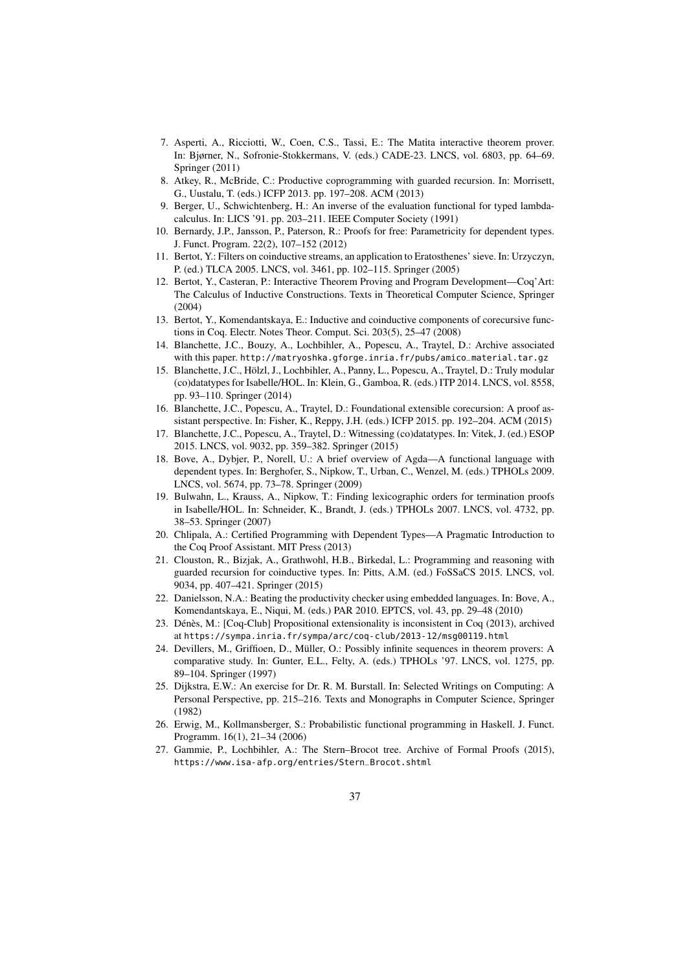- <span id="page-36-4"></span>7. Asperti, A., Ricciotti, W., Coen, C.S., Tassi, E.: The Matita interactive theorem prover. In: Bjørner, N., Sofronie-Stokkermans, V. (eds.) CADE-23. LNCS, vol. 6803, pp. 64–69. Springer (2011)
- <span id="page-36-1"></span>8. Atkey, R., McBride, C.: Productive coprogramming with guarded recursion. In: Morrisett, G., Uustalu, T. (eds.) ICFP 2013. pp. 197–208. ACM (2013)
- <span id="page-36-17"></span>9. Berger, U., Schwichtenberg, H.: An inverse of the evaluation functional for typed lambdacalculus. In: LICS '91. pp. 203–211. IEEE Computer Society (1991)
- <span id="page-36-20"></span>10. Bernardy, J.P., Jansson, P., Paterson, R.: Proofs for free: Parametricity for dependent types. J. Funct. Program. 22(2), 107–152 (2012)
- <span id="page-36-14"></span>11. Bertot, Y.: Filters on coinductive streams, an application to Eratosthenes' sieve. In: Urzyczyn, P. (ed.) TLCA 2005. LNCS, vol. 3461, pp. 102–115. Springer (2005)
- <span id="page-36-3"></span>12. Bertot, Y., Casteran, P.: Interactive Theorem Proving and Program Development—Coq'Art: The Calculus of Inductive Constructions. Texts in Theoretical Computer Science, Springer (2004)
- <span id="page-36-15"></span>13. Bertot, Y., Komendantskaya, E.: Inductive and coinductive components of corecursive functions in Coq. Electr. Notes Theor. Comput. Sci. 203(5), 25–47 (2008)
- <span id="page-36-9"></span>14. Blanchette, J.C., Bouzy, A., Lochbihler, A., Popescu, A., Traytel, D.: Archive associated with this paper. [http://matryoshka.gforge.inria.fr/pubs/amico\\_material.tar.gz](http://matryoshka.gforge.inria.fr/pubs/amico_material.tar.gz)
- <span id="page-36-6"></span>15. Blanchette, J.C., Hölzl, J., Lochbihler, A., Panny, L., Popescu, A., Traytel, D.: Truly modular (co)datatypes for Isabelle/HOL. In: Klein, G., Gamboa, R. (eds.) ITP 2014. LNCS, vol. 8558, pp. 93–110. Springer (2014)
- <span id="page-36-7"></span>16. Blanchette, J.C., Popescu, A., Traytel, D.: Foundational extensible corecursion: A proof assistant perspective. In: Fisher, K., Reppy, J.H. (eds.) ICFP 2015. pp. 192–204. ACM (2015)
- <span id="page-36-5"></span>17. Blanchette, J.C., Popescu, A., Traytel, D.: Witnessing (co)datatypes. In: Vitek, J. (ed.) ESOP 2015. LNCS, vol. 9032, pp. 359–382. Springer (2015)
- <span id="page-36-2"></span>18. Bove, A., Dybjer, P., Norell, U.: A brief overview of Agda—A functional language with dependent types. In: Berghofer, S., Nipkow, T., Urban, C., Wenzel, M. (eds.) TPHOLs 2009. LNCS, vol. 5674, pp. 73–78. Springer (2009)
- <span id="page-36-13"></span>19. Bulwahn, L., Krauss, A., Nipkow, T.: Finding lexicographic orders for termination proofs in Isabelle/HOL. In: Schneider, K., Brandt, J. (eds.) TPHOLs 2007. LNCS, vol. 4732, pp. 38–53. Springer (2007)
- <span id="page-36-16"></span>20. Chlipala, A.: Certified Programming with Dependent Types—A Pragmatic Introduction to the Coq Proof Assistant. MIT Press (2013)
- <span id="page-36-0"></span>21. Clouston, R., Bizjak, A., Grathwohl, H.B., Birkedal, L.: Programming and reasoning with guarded recursion for coinductive types. In: Pitts, A.M. (ed.) FoSSaCS 2015. LNCS, vol. 9034, pp. 407–421. Springer (2015)
- <span id="page-36-19"></span>22. Danielsson, N.A.: Beating the productivity checker using embedded languages. In: Bove, A., Komendantskaya, E., Niqui, M. (eds.) PAR 2010. EPTCS, vol. 43, pp. 29–48 (2010)
- <span id="page-36-8"></span>23. Dénès, M.: [Coq-Club] Propositional extensionality is inconsistent in Coq (2013), archived at <https://sympa.inria.fr/sympa/arc/coq-club/2013-12/msg00119.html>
- <span id="page-36-12"></span>24. Devillers, M., Griffioen, D., Müller, O.: Possibly infinite sequences in theorem provers: A comparative study. In: Gunter, E.L., Felty, A. (eds.) TPHOLs '97. LNCS, vol. 1275, pp. 89–104. Springer (1997)
- <span id="page-36-11"></span>25. Dijkstra, E.W.: An exercise for Dr. R. M. Burstall. In: Selected Writings on Computing: A Personal Perspective, pp. 215–216. Texts and Monographs in Computer Science, Springer (1982)
- <span id="page-36-18"></span>26. Erwig, M., Kollmansberger, S.: Probabilistic functional programming in Haskell. J. Funct. Programm. 16(1), 21–34 (2006)
- <span id="page-36-10"></span>27. Gammie, P., Lochbihler, A.: The Stern–Brocot tree. Archive of Formal Proofs (2015), [https://www.isa-afp.org/entries/Stern\\_Brocot.shtml](https://www.isa-afp.org/entries/Stern_Brocot.shtml)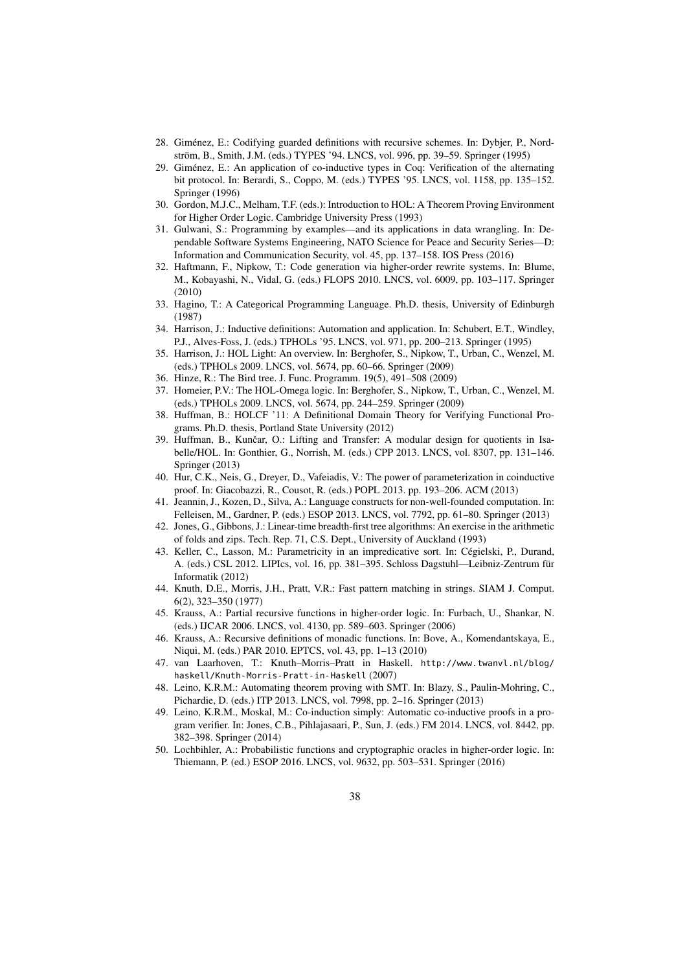- <span id="page-37-15"></span>28. Giménez, E.: Codifying guarded definitions with recursive schemes. In: Dybjer, P., Nordström, B., Smith, J.M. (eds.) TYPES '94. LNCS, vol. 996, pp. 39–59. Springer (1995)
- <span id="page-37-0"></span>29. Giménez, E.: An application of co-inductive types in Coq: Verification of the alternating bit protocol. In: Berardi, S., Coppo, M. (eds.) TYPES '95. LNCS, vol. 1158, pp. 135–152. Springer (1996)
- <span id="page-37-4"></span>30. Gordon, M.J.C., Melham, T.F. (eds.): Introduction to HOL: A Theorem Proving Environment for Higher Order Logic. Cambridge University Press (1993)
- <span id="page-37-22"></span>31. Gulwani, S.: Programming by examples—and its applications in data wrangling. In: Dependable Software Systems Engineering, NATO Science for Peace and Security Series—D: Information and Communication Security, vol. 45, pp. 137–158. IOS Press (2016)
- <span id="page-37-19"></span>32. Haftmann, F., Nipkow, T.: Code generation via higher-order rewrite systems. In: Blume, M., Kobayashi, N., Vidal, G. (eds.) FLOPS 2010. LNCS, vol. 6009, pp. 103–117. Springer (2010)
- <span id="page-37-1"></span>33. Hagino, T.: A Categorical Programming Language. Ph.D. thesis, University of Edinburgh (1987)
- <span id="page-37-17"></span>34. Harrison, J.: Inductive definitions: Automation and application. In: Schubert, E.T., Windley, P.J., Alves-Foss, J. (eds.) TPHOLs '95. LNCS, vol. 971, pp. 200–213. Springer (1995)
- <span id="page-37-2"></span>35. Harrison, J.: HOL Light: An overview. In: Berghofer, S., Nipkow, T., Urban, C., Wenzel, M. (eds.) TPHOLs 2009. LNCS, vol. 5674, pp. 60–66. Springer (2009)
- <span id="page-37-8"></span>36. Hinze, R.: The Bird tree. J. Func. Programm. 19(5), 491–508 (2009)
- <span id="page-37-3"></span>37. Homeier, P.V.: The HOL-Omega logic. In: Berghofer, S., Nipkow, T., Urban, C., Wenzel, M. (eds.) TPHOLs 2009. LNCS, vol. 5674, pp. 244–259. Springer (2009)
- <span id="page-37-18"></span>38. Huffman, B.: HOLCF '11: A Definitional Domain Theory for Verifying Functional Programs. Ph.D. thesis, Portland State University (2012)
- <span id="page-37-14"></span>39. Huffman, B., Kunčar, O.: Lifting and Transfer: A modular design for quotients in Isabelle/HOL. In: Gonthier, G., Norrish, M. (eds.) CPP 2013. LNCS, vol. 8307, pp. 131–146. Springer (2013)
- <span id="page-37-10"></span>40. Hur, C.K., Neis, G., Dreyer, D., Vafeiadis, V.: The power of parameterization in coinductive proof. In: Giacobazzi, R., Cousot, R. (eds.) POPL 2013. pp. 193–206. ACM (2013)
- <span id="page-37-21"></span>41. Jeannin, J., Kozen, D., Silva, A.: Language constructs for non-well-founded computation. In: Felleisen, M., Gardner, P. (eds.) ESOP 2013. LNCS, vol. 7792, pp. 61–80. Springer (2013)
- <span id="page-37-9"></span>42. Jones, G., Gibbons, J.: Linear-time breadth-first tree algorithms: An exercise in the arithmetic of folds and zips. Tech. Rep. 71, C.S. Dept., University of Auckland (1993)
- <span id="page-37-20"></span>43. Keller, C., Lasson, M.: Parametricity in an impredicative sort. In: Cégielski, P., Durand, A. (eds.) CSL 2012. LIPIcs, vol. 16, pp. 381–395. Schloss Dagstuhl—Leibniz-Zentrum für Informatik (2012)
- <span id="page-37-7"></span>44. Knuth, D.E., Morris, J.H., Pratt, V.R.: Fast pattern matching in strings. SIAM J. Comput. 6(2), 323–350 (1977)
- <span id="page-37-16"></span>45. Krauss, A.: Partial recursive functions in higher-order logic. In: Furbach, U., Shankar, N. (eds.) IJCAR 2006. LNCS, vol. 4130, pp. 589–603. Springer (2006)
- <span id="page-37-13"></span>46. Krauss, A.: Recursive definitions of monadic functions. In: Bove, A., Komendantskaya, E., Niqui, M. (eds.) PAR 2010. EPTCS, vol. 43, pp. 1–13 (2010)
- <span id="page-37-6"></span>47. van Laarhoven, T.: Knuth–Morris–Pratt in Haskell. [http://www.twanvl.nl/blog/](http://www.twanvl.nl/blog/haskell/Knuth-Morris-Pratt-in-Haskell) [haskell/Knuth-Morris-Pratt-in-Haskell](http://www.twanvl.nl/blog/haskell/Knuth-Morris-Pratt-in-Haskell) (2007)
- <span id="page-37-11"></span>48. Leino, K.R.M.: Automating theorem proving with SMT. In: Blazy, S., Paulin-Mohring, C., Pichardie, D. (eds.) ITP 2013. LNCS, vol. 7998, pp. 2–16. Springer (2013)
- <span id="page-37-5"></span>49. Leino, K.R.M., Moskal, M.: Co-induction simply: Automatic co-inductive proofs in a program verifier. In: Jones, C.B., Pihlajasaari, P., Sun, J. (eds.) FM 2014. LNCS, vol. 8442, pp. 382–398. Springer (2014)
- <span id="page-37-12"></span>50. Lochbihler, A.: Probabilistic functions and cryptographic oracles in higher-order logic. In: Thiemann, P. (ed.) ESOP 2016. LNCS, vol. 9632, pp. 503–531. Springer (2016)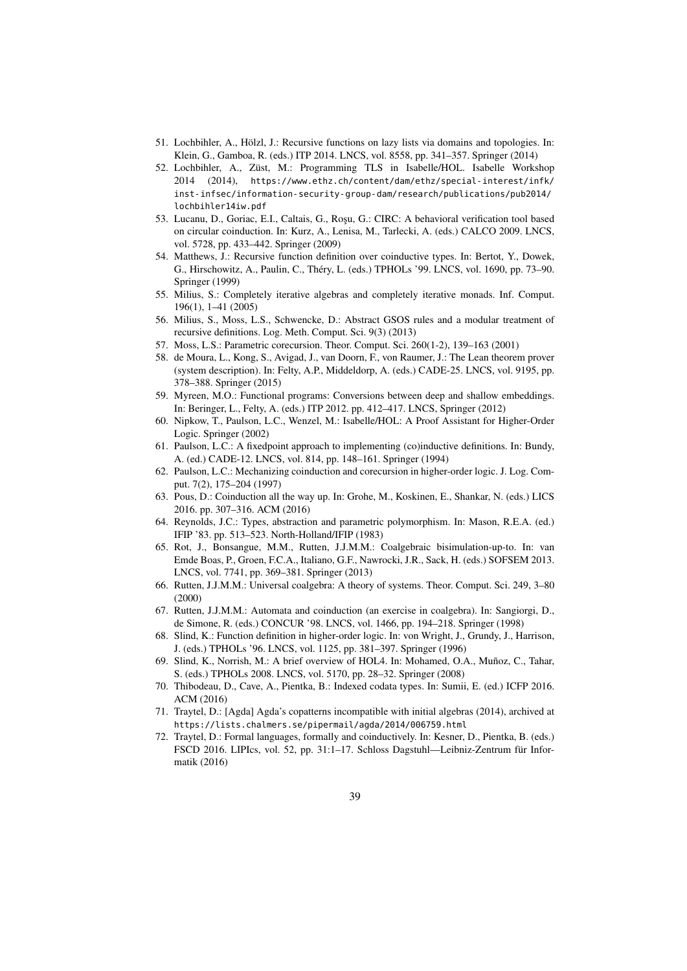- <span id="page-38-9"></span>51. Lochbihler, A., Hölzl, J.: Recursive functions on lazy lists via domains and topologies. In: Klein, G., Gamboa, R. (eds.) ITP 2014. LNCS, vol. 8558, pp. 341–357. Springer (2014)
- <span id="page-38-18"></span>52. Lochbihler, A., Züst, M.: Programming TLS in Isabelle/HOL. Isabelle Workshop 2014 (2014), [https://www.ethz.ch/content/dam/ethz/special-interest/infk/](https://www.ethz.ch/content/dam/ethz/special-interest/infk/inst-infsec/information-security-group-dam/research/publications/pub2014/lochbihler14iw.pdf) [inst-infsec/information-security-group-dam/research/publications/pub2014/](https://www.ethz.ch/content/dam/ethz/special-interest/infk/inst-infsec/information-security-group-dam/research/publications/pub2014/lochbihler14iw.pdf) [lochbihler14iw.pdf](https://www.ethz.ch/content/dam/ethz/special-interest/infk/inst-infsec/information-security-group-dam/research/publications/pub2014/lochbihler14iw.pdf)
- <span id="page-38-13"></span>53. Lucanu, D., Goriac, E.I., Caltais, G., Roșu, G.: CIRC: A behavioral verification tool based on circular coinduction. In: Kurz, A., Lenisa, M., Tarlecki, A. (eds.) CALCO 2009. LNCS, vol. 5728, pp. 433–442. Springer (2009)
- <span id="page-38-8"></span>54. Matthews, J.: Recursive function definition over coinductive types. In: Bertot, Y., Dowek, G., Hirschowitz, A., Paulin, C., Théry, L. (eds.) TPHOLs '99. LNCS, vol. 1690, pp. 73–90. Springer (1999)
- <span id="page-38-10"></span>55. Milius, S.: Completely iterative algebras and completely iterative monads. Inf. Comput. 196(1), 1–41 (2005)
- <span id="page-38-11"></span>56. Milius, S., Moss, L.S., Schwencke, D.: Abstract GSOS rules and a modular treatment of recursive definitions. Log. Meth. Comput. Sci. 9(3) (2013)
- <span id="page-38-20"></span>57. Moss, L.S.: Parametric corecursion. Theor. Comput. Sci. 260(1-2), 139–163 (2001)
- <span id="page-38-17"></span>58. de Moura, L., Kong, S., Avigad, J., van Doorn, F., von Raumer, J.: The Lean theorem prover (system description). In: Felty, A.P., Middeldorp, A. (eds.) CADE-25. LNCS, vol. 9195, pp. 378–388. Springer (2015)
- <span id="page-38-16"></span>59. Myreen, M.O.: Functional programs: Conversions between deep and shallow embeddings. In: Beringer, L., Felty, A. (eds.) ITP 2012. pp. 412–417. LNCS, Springer (2012)
- <span id="page-38-2"></span>60. Nipkow, T., Paulson, L.C., Wenzel, M.: Isabelle/HOL: A Proof Assistant for Higher-Order Logic. Springer (2002)
- <span id="page-38-14"></span>61. Paulson, L.C.: A fixedpoint approach to implementing (co)inductive definitions. In: Bundy, A. (ed.) CADE-12. LNCS, vol. 814, pp. 148–161. Springer (1994)
- <span id="page-38-7"></span>62. Paulson, L.C.: Mechanizing coinduction and corecursion in higher-order logic. J. Log. Comput. 7(2), 175–204 (1997)
- <span id="page-38-21"></span>63. Pous, D.: Coinduction all the way up. In: Grohe, M., Koskinen, E., Shankar, N. (eds.) LICS 2016. pp. 307–316. ACM (2016)
- <span id="page-38-4"></span>64. Reynolds, J.C.: Types, abstraction and parametric polymorphism. In: Mason, R.E.A. (ed.) IFIP '83. pp. 513–523. North-Holland/IFIP (1983)
- <span id="page-38-12"></span>65. Rot, J., Bonsangue, M.M., Rutten, J.J.M.M.: Coalgebraic bisimulation-up-to. In: van Emde Boas, P., Groen, F.C.A., Italiano, G.F., Nawrocki, J.R., Sack, H. (eds.) SOFSEM 2013. LNCS, vol. 7741, pp. 369–381. Springer (2013)
- <span id="page-38-0"></span>66. Rutten, J.J.M.M.: Universal coalgebra: A theory of systems. Theor. Comput. Sci. 249, 3–80 (2000)
- <span id="page-38-5"></span>67. Rutten, J.J.M.M.: Automata and coinduction (an exercise in coalgebra). In: Sangiorgi, D., de Simone, R. (eds.) CONCUR '98. LNCS, vol. 1466, pp. 194–218. Springer (1998)
- <span id="page-38-15"></span>68. Slind, K.: Function definition in higher-order logic. In: von Wright, J., Grundy, J., Harrison, J. (eds.) TPHOLs '96. LNCS, vol. 1125, pp. 381–397. Springer (1996)
- <span id="page-38-1"></span>69. Slind, K., Norrish, M.: A brief overview of HOL4. In: Mohamed, O.A., Muñoz, C., Tahar, S. (eds.) TPHOLs 2008. LNCS, vol. 5170, pp. 28–32. Springer (2008)
- <span id="page-38-19"></span>70. Thibodeau, D., Cave, A., Pientka, B.: Indexed codata types. In: Sumii, E. (ed.) ICFP 2016. ACM (2016)
- <span id="page-38-3"></span>71. Traytel, D.: [Agda] Agda's copatterns incompatible with initial algebras (2014), archived at <https://lists.chalmers.se/pipermail/agda/2014/006759.html>
- <span id="page-38-6"></span>72. Traytel, D.: Formal languages, formally and coinductively. In: Kesner, D., Pientka, B. (eds.) FSCD 2016. LIPIcs, vol. 52, pp. 31:1–17. Schloss Dagstuhl—Leibniz-Zentrum für Informatik (2016)